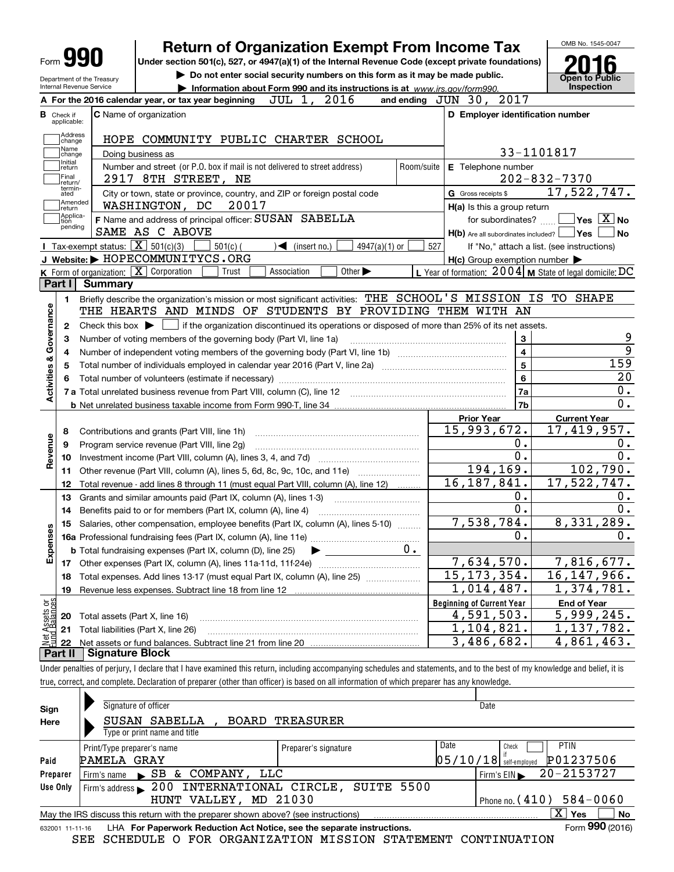| Form <b>Y!</b>                                      |                                                                                                              | <b>Return of Organization Exempt From Income Tax</b>                                            |            |                                                     | OMB No. 1545-0047                                                                                                                                                                               |
|-----------------------------------------------------|--------------------------------------------------------------------------------------------------------------|-------------------------------------------------------------------------------------------------|------------|-----------------------------------------------------|-------------------------------------------------------------------------------------------------------------------------------------------------------------------------------------------------|
|                                                     | Under section 501(c), 527, or 4947(a)(1) of the Internal Revenue Code (except private foundations)           |                                                                                                 |            |                                                     |                                                                                                                                                                                                 |
| Department of the Treasury                          |                                                                                                              | Do not enter social security numbers on this form as it may be made public.                     |            |                                                     | <b>Open to Public</b>                                                                                                                                                                           |
| Internal Revenue Service                            |                                                                                                              | Information about Form 990 and its instructions is at www.irs.gov/form990.                      |            |                                                     | Inspection                                                                                                                                                                                      |
|                                                     | A For the 2016 calendar year, or tax year beginning                                                          | JUL 1, 2016                                                                                     |            | and ending JUN 30, 2017                             |                                                                                                                                                                                                 |
| <b>B</b> Check if<br>applicable:                    | <b>C</b> Name of organization                                                                                |                                                                                                 |            | D Employer identification number                    |                                                                                                                                                                                                 |
| Address<br>change                                   | HOPE COMMUNITY PUBLIC CHARTER SCHOOL                                                                         |                                                                                                 |            |                                                     |                                                                                                                                                                                                 |
| Name<br>change                                      | Doing business as                                                                                            |                                                                                                 |            |                                                     | 33-1101817                                                                                                                                                                                      |
| Initial<br>return                                   | Number and street (or P.O. box if mail is not delivered to street address)                                   |                                                                                                 | Room/suite | E Telephone number                                  |                                                                                                                                                                                                 |
| Final<br>return/                                    | 2917 8TH STREET, NE                                                                                          |                                                                                                 |            |                                                     | $202 - 832 - 7370$                                                                                                                                                                              |
| termin-<br>ated                                     | City or town, state or province, country, and ZIP or foreign postal code                                     |                                                                                                 |            | G Gross receipts \$                                 | 17,522,747.                                                                                                                                                                                     |
| Amended<br>return                                   | WASHINGTON, DC<br>20017                                                                                      |                                                                                                 |            | H(a) Is this a group return                         |                                                                                                                                                                                                 |
| Applica-<br>tion<br>pending                         | F Name and address of principal officer: SUSAN SABELLA                                                       |                                                                                                 |            | for subordinates?                                   | $ {\mathsf Y}$ es $\lfloor \underline{{\mathsf X}} \rfloor$ No                                                                                                                                  |
|                                                     | SAME AS C ABOVE                                                                                              |                                                                                                 |            | $H(b)$ Are all subordinates included?               | ∣Yes<br><b>No</b>                                                                                                                                                                               |
|                                                     | Tax-exempt status: $\boxed{\mathbf{X}}$ 501(c)(3)<br>$501(c)$ (                                              | $\sqrt{\frac{1}{1}}$ (insert no.)<br>4947(a)(1) or                                              | 527        |                                                     | If "No," attach a list. (see instructions)                                                                                                                                                      |
|                                                     | J Website: > HOPECOMMUNITYCS.ORG                                                                             |                                                                                                 |            | $H(c)$ Group exemption number $\blacktriangleright$ |                                                                                                                                                                                                 |
| Part I                                              | K Form of organization: X Corporation<br>Trust<br><b>Summary</b>                                             | Other $\blacktriangleright$<br>Association                                                      |            |                                                     | L Year of formation: $2004$ M State of legal domicile: DC                                                                                                                                       |
|                                                     |                                                                                                              |                                                                                                 |            |                                                     |                                                                                                                                                                                                 |
| 1.                                                  | Briefly describe the organization's mission or most significant activities: THE SCHOOL'S MISSION IS TO SHAPE |                                                                                                 |            |                                                     |                                                                                                                                                                                                 |
| Governance                                          | THE HEARTS AND MINDS OF STUDENTS BY PROVIDING THEM WITH AN                                                   |                                                                                                 |            |                                                     |                                                                                                                                                                                                 |
| 2                                                   | Check this box $\blacktriangleright$                                                                         | if the organization discontinued its operations or disposed of more than 25% of its net assets. |            |                                                     |                                                                                                                                                                                                 |
| з                                                   | Number of voting members of the governing body (Part VI, line 1a)                                            |                                                                                                 |            | 3                                                   |                                                                                                                                                                                                 |
|                                                     |                                                                                                              |                                                                                                 |            |                                                     |                                                                                                                                                                                                 |
| 4                                                   |                                                                                                              |                                                                                                 |            | $\overline{4}$                                      |                                                                                                                                                                                                 |
| 5                                                   |                                                                                                              |                                                                                                 |            | 5                                                   |                                                                                                                                                                                                 |
| 6                                                   |                                                                                                              |                                                                                                 |            | 6                                                   |                                                                                                                                                                                                 |
|                                                     |                                                                                                              |                                                                                                 |            | 7a                                                  |                                                                                                                                                                                                 |
|                                                     |                                                                                                              |                                                                                                 |            | 7b                                                  |                                                                                                                                                                                                 |
|                                                     |                                                                                                              |                                                                                                 |            | <b>Prior Year</b>                                   | <b>Current Year</b>                                                                                                                                                                             |
| 8                                                   | Contributions and grants (Part VIII, line 1h)                                                                |                                                                                                 |            | 15,993,672.                                         |                                                                                                                                                                                                 |
| 9                                                   | Program service revenue (Part VIII, line 2g)                                                                 |                                                                                                 |            | 0.                                                  |                                                                                                                                                                                                 |
| 10                                                  |                                                                                                              |                                                                                                 |            | 0.                                                  |                                                                                                                                                                                                 |
| 11                                                  |                                                                                                              |                                                                                                 |            | 194,169.                                            |                                                                                                                                                                                                 |
| 12                                                  | Total revenue - add lines 8 through 11 (must equal Part VIII, column (A), line 12)                           |                                                                                                 |            | 16, 187, 841.                                       |                                                                                                                                                                                                 |
| 13                                                  | Grants and similar amounts paid (Part IX, column (A), lines 1-3)                                             |                                                                                                 |            | 0.                                                  |                                                                                                                                                                                                 |
| 14                                                  | Benefits paid to or for members (Part IX, column (A), line 4)                                                |                                                                                                 |            | $\overline{0}$ .                                    |                                                                                                                                                                                                 |
| 15                                                  | Salaries, other compensation, employee benefits (Part IX, column (A), lines 5-10)                            |                                                                                                 |            | 7,538,784.                                          |                                                                                                                                                                                                 |
|                                                     |                                                                                                              |                                                                                                 |            | 0.                                                  |                                                                                                                                                                                                 |
|                                                     | <b>b</b> Total fundraising expenses (Part IX, column (D), line 25)                                           |                                                                                                 | $0 \cdot$  |                                                     |                                                                                                                                                                                                 |
| w<br>17                                             | Other expenses (Part IX, column (A), lines 11a-11d, 11f-24e)                                                 |                                                                                                 |            | 7,634,570.                                          |                                                                                                                                                                                                 |
| 18                                                  | Total expenses. Add lines 13-17 (must equal Part IX, column (A), line 25) [                                  |                                                                                                 |            | 15, 173, 354.                                       |                                                                                                                                                                                                 |
| 19                                                  | Revenue less expenses. Subtract line 18 from line 12                                                         |                                                                                                 |            | 1,014,487.                                          |                                                                                                                                                                                                 |
|                                                     |                                                                                                              |                                                                                                 |            | <b>Beginning of Current Year</b>                    | <b>End of Year</b>                                                                                                                                                                              |
| <b>Activities &amp;</b><br>Revenue<br>Expense<br>20 | Total assets (Part X, line 16)                                                                               |                                                                                                 |            | 4,591,503.                                          | $\overline{9}$<br>159<br>20<br>0.<br>0.<br>17,419,957.<br>0.<br>0.<br>102,790.<br>17,522,747.<br>0.<br>0.<br>8,331,289.<br>$0 \cdot$<br>7,816,677.<br>16, 147, 966.<br>1,374,781.<br>5,999,245. |
| : Assets or<br>d Balances<br>21                     | Total liabilities (Part X, line 26)                                                                          |                                                                                                 |            | 1,104,821.<br>3,486,682.                            | 1,137,782.<br>4,861,463.                                                                                                                                                                        |

Under penalties of perjury, I declare that I have examined this return, including accompanying schedules and statements, and to the best of my knowledge and belief, it is true, correct, and complete. Declaration of preparer (other than officer) is based on all information of which preparer has any knowledge.

| Signature of officer                                                                                                 |                      | Date                                                   |  |  |  |  |  |  |  |  |
|----------------------------------------------------------------------------------------------------------------------|----------------------|--------------------------------------------------------|--|--|--|--|--|--|--|--|
| SUSAN SABELLA<br>BOARD                                                                                               |                      |                                                        |  |  |  |  |  |  |  |  |
| Type or print name and title                                                                                         |                      |                                                        |  |  |  |  |  |  |  |  |
| Print/Type preparer's name                                                                                           | Preparer's signature | Date<br><b>PTIN</b><br>Check                           |  |  |  |  |  |  |  |  |
|                                                                                                                      |                      | P01237506<br> 05/10/18 <br>self-emploved               |  |  |  |  |  |  |  |  |
| $\mathsf{S}$ B &<br>Firm's name                                                                                      |                      | 20-2153727<br>Firm's $EIN$                             |  |  |  |  |  |  |  |  |
| Firm's address $\blacktriangleright$                                                                                 | SUITE 5500           |                                                        |  |  |  |  |  |  |  |  |
| $584 - 0060$<br>MD 21030<br>HUNT VALLEY,<br>Phone no. $(410)$                                                        |                      |                                                        |  |  |  |  |  |  |  |  |
| $\overline{X}$ Yes<br><b>No</b><br>May the IRS discuss this return with the preparer shown above? (see instructions) |                      |                                                        |  |  |  |  |  |  |  |  |
| Form 990 (2016)<br>LHA For Paperwork Reduction Act Notice, see the separate instructions.<br>632001 11-11-16         |                      |                                                        |  |  |  |  |  |  |  |  |
|                                                                                                                      | PAMELA GRAY          | TREASURER<br>COMPANY, LLC<br>200 INTERNATIONAL CIRCLE, |  |  |  |  |  |  |  |  |

SEE SCHEDULE O FOR ORGANIZATION MISSION STATEMENT CONTINUATION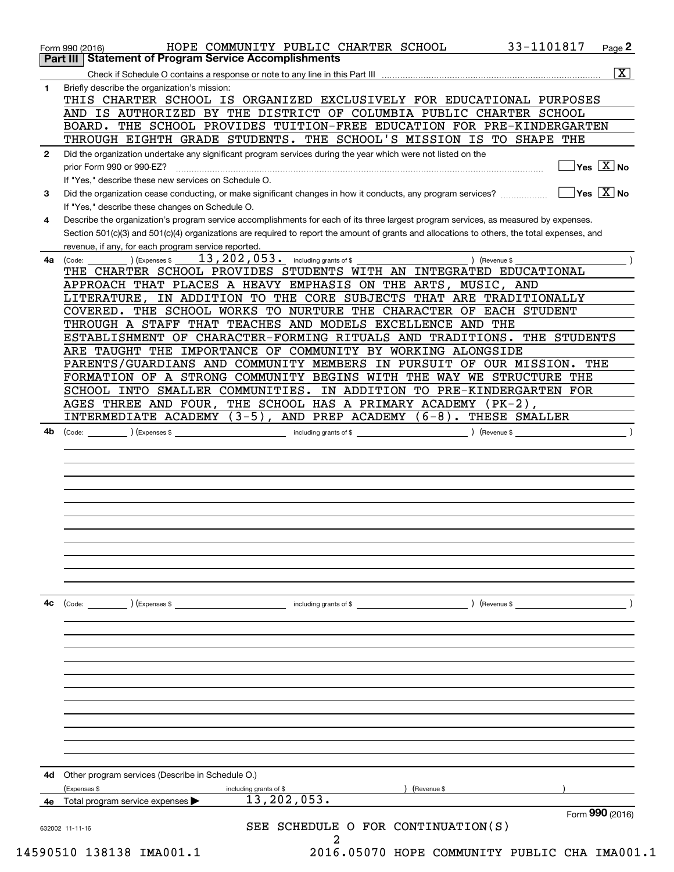|              | 33-1101817<br>HOPE COMMUNITY PUBLIC CHARTER SCHOOL<br>$Page$ <sup>2</sup><br>Form 990 (2016)<br><b>Part III Statement of Program Service Accomplishments</b>            |
|--------------|-------------------------------------------------------------------------------------------------------------------------------------------------------------------------|
|              | $\overline{\mathbf{x}}$                                                                                                                                                 |
| 1.           | Briefly describe the organization's mission:                                                                                                                            |
|              | THIS CHARTER SCHOOL IS ORGANIZED EXCLUSIVELY FOR EDUCATIONAL PURPOSES                                                                                                   |
|              | AND IS AUTHORIZED BY THE DISTRICT OF COLUMBIA PUBLIC CHARTER SCHOOL                                                                                                     |
|              | BOARD. THE SCHOOL PROVIDES TUITION-FREE EDUCATION FOR PRE-KINDERGARTEN                                                                                                  |
|              | THROUGH EIGHTH GRADE STUDENTS. THE SCHOOL'S MISSION IS TO SHAPE THE                                                                                                     |
| $\mathbf{2}$ | Did the organization undertake any significant program services during the year which were not listed on the                                                            |
|              | $\sqrt{}$ Yes $\sqrt{X}$ No<br>prior Form 990 or 990-EZ?                                                                                                                |
|              | If "Yes," describe these new services on Schedule O.                                                                                                                    |
| 3            | $\overline{\mathsf{Yes} \mathrel{\overline{X}}$ No<br>Did the organization cease conducting, or make significant changes in how it conducts, any program services?      |
|              | If "Yes," describe these changes on Schedule O.                                                                                                                         |
| 4            | Describe the organization's program service accomplishments for each of its three largest program services, as measured by expenses.                                    |
|              | Section 501(c)(3) and 501(c)(4) organizations are required to report the amount of grants and allocations to others, the total expenses, and                            |
|              | revenue, if any, for each program service reported.                                                                                                                     |
| 4a           | 13, 202, 053. including grants of \$<br>) (Expenses \$<br>) (Revenue \$<br>(Code:                                                                                       |
|              | THE CHARTER SCHOOL PROVIDES STUDENTS WITH AN INTEGRATED EDUCATIONAL                                                                                                     |
|              | APPROACH THAT PLACES A HEAVY EMPHASIS ON THE ARTS, MUSIC, AND                                                                                                           |
|              | IN ADDITION TO THE CORE SUBJECTS THAT ARE TRADITIONALLY<br>LITERATURE,                                                                                                  |
|              | COVERED. THE SCHOOL WORKS TO NURTURE THE CHARACTER OF EACH STUDENT                                                                                                      |
|              | THROUGH A STAFF THAT TEACHES AND MODELS EXCELLENCE AND THE                                                                                                              |
|              | ESTABLISHMENT OF CHARACTER-FORMING RITUALS AND TRADITIONS. THE STUDENTS                                                                                                 |
|              | ARE TAUGHT THE IMPORTANCE OF COMMUNITY BY WORKING ALONGSIDE                                                                                                             |
|              | PARENTS/GUARDIANS AND COMMUNITY MEMBERS IN PURSUIT OF OUR MISSION. THE                                                                                                  |
|              | FORMATION OF A STRONG COMMUNITY BEGINS WITH THE WAY WE STRUCTURE THE                                                                                                    |
|              | SCHOOL INTO SMALLER COMMUNITIES. IN ADDITION TO PRE-KINDERGARTEN FOR<br>AGES THREE AND FOUR, THE SCHOOL HAS A PRIMARY ACADEMY (PK-2),                                   |
|              | INTERMEDIATE ACADEMY (3-5), AND PREP ACADEMY (6-8). THESE SMALLER                                                                                                       |
|              | $\left(\text{Code:}\begin{array}{c}\text{Code:}\end{array}\right)$ $\left(\text{Expenses $}\begin{array}{c}\text{Expenses}\end{array}\right)$<br>including grants of \$ |
|              |                                                                                                                                                                         |
|              |                                                                                                                                                                         |
|              |                                                                                                                                                                         |
|              |                                                                                                                                                                         |
|              |                                                                                                                                                                         |
|              |                                                                                                                                                                         |
|              |                                                                                                                                                                         |
|              |                                                                                                                                                                         |
| 4c           | (Code: ) (Expenses \$<br>) (Revenue \$<br>including grants of \$                                                                                                        |
|              |                                                                                                                                                                         |
|              |                                                                                                                                                                         |
|              |                                                                                                                                                                         |
|              |                                                                                                                                                                         |
|              |                                                                                                                                                                         |
|              |                                                                                                                                                                         |
|              |                                                                                                                                                                         |
|              |                                                                                                                                                                         |
|              |                                                                                                                                                                         |
|              |                                                                                                                                                                         |
| 4d           | Other program services (Describe in Schedule O.)                                                                                                                        |
|              | (Revenue \$<br>(Expenses \$<br>including grants of \$                                                                                                                   |
| 4е           | 13, 202, 053.<br>Total program service expenses                                                                                                                         |
|              | Form 990 (2016)                                                                                                                                                         |
|              | SEE SCHEDULE O FOR CONTINUATION(S)<br>632002 11-11-16                                                                                                                   |
|              | 2                                                                                                                                                                       |
|              | 14590510 138138 IMA001.1<br>2016.05070 HOPE COMMUNITY PUBLIC CHA IMA001.1                                                                                               |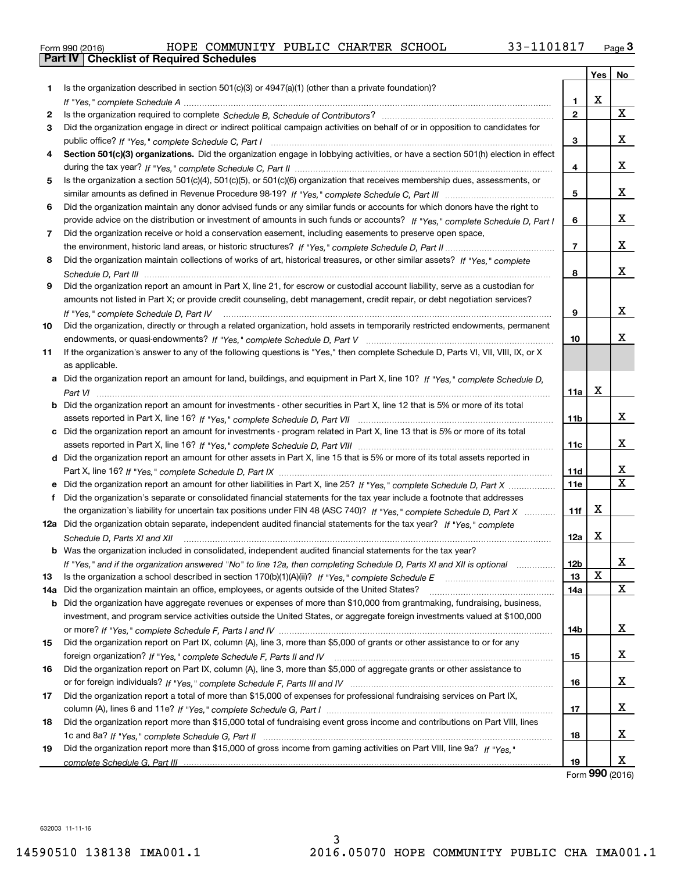|  | Form 990 (2016) |
|--|-----------------|

|     |                                                                                                                                  |                 | Yes |                              |
|-----|----------------------------------------------------------------------------------------------------------------------------------|-----------------|-----|------------------------------|
| 1.  | Is the organization described in section $501(c)(3)$ or $4947(a)(1)$ (other than a private foundation)?                          |                 |     | No                           |
|     |                                                                                                                                  | 1               | x   |                              |
| 2   |                                                                                                                                  | $\mathbf{2}$    |     | X                            |
| 3   | Did the organization engage in direct or indirect political campaign activities on behalf of or in opposition to candidates for  |                 |     |                              |
|     |                                                                                                                                  | 3               |     | X.                           |
| 4   | Section 501(c)(3) organizations. Did the organization engage in lobbying activities, or have a section 501(h) election in effect |                 |     |                              |
|     |                                                                                                                                  | 4               |     | X.                           |
| 5   | Is the organization a section 501(c)(4), 501(c)(5), or 501(c)(6) organization that receives membership dues, assessments, or     |                 |     |                              |
|     |                                                                                                                                  | 5               |     | X.                           |
| 6   | Did the organization maintain any donor advised funds or any similar funds or accounts for which donors have the right to        |                 |     |                              |
|     | provide advice on the distribution or investment of amounts in such funds or accounts? If "Yes," complete Schedule D, Part I     | 6               |     | X.                           |
|     |                                                                                                                                  |                 |     |                              |
| 7.  | Did the organization receive or hold a conservation easement, including easements to preserve open space,                        | $\overline{7}$  |     | X.                           |
|     |                                                                                                                                  |                 |     |                              |
| 8   | Did the organization maintain collections of works of art, historical treasures, or other similar assets? If "Yes," complete     | 8               |     | x                            |
|     |                                                                                                                                  |                 |     |                              |
| 9   | Did the organization report an amount in Part X, line 21, for escrow or custodial account liability, serve as a custodian for    |                 |     |                              |
|     | amounts not listed in Part X; or provide credit counseling, debt management, credit repair, or debt negotiation services?        |                 |     | X.                           |
|     | If "Yes," complete Schedule D, Part IV                                                                                           | 9               |     |                              |
| 10  | Did the organization, directly or through a related organization, hold assets in temporarily restricted endowments, permanent    |                 |     | x.                           |
|     |                                                                                                                                  | 10              |     |                              |
| 11  | If the organization's answer to any of the following questions is "Yes," then complete Schedule D, Parts VI, VII, VIII, IX, or X |                 |     |                              |
|     | as applicable.                                                                                                                   |                 |     |                              |
|     | a Did the organization report an amount for land, buildings, and equipment in Part X, line 10? If "Yes," complete Schedule D,    |                 | x   |                              |
|     |                                                                                                                                  | 11a             |     |                              |
|     | b Did the organization report an amount for investments - other securities in Part X, line 12 that is 5% or more of its total    |                 |     |                              |
|     |                                                                                                                                  | 11b             |     | x                            |
|     | c Did the organization report an amount for investments - program related in Part X, line 13 that is 5% or more of its total     |                 |     |                              |
|     |                                                                                                                                  | 11c             |     | X.                           |
|     | d Did the organization report an amount for other assets in Part X, line 15 that is 5% or more of its total assets reported in   |                 |     |                              |
|     | Part X, line 16? If "Yes," complete Schedule D, Part IX                                                                          | 11d             |     | x<br>$\overline{\mathbf{x}}$ |
|     |                                                                                                                                  | <b>11e</b>      |     |                              |
| f   | Did the organization's separate or consolidated financial statements for the tax year include a footnote that addresses          |                 |     |                              |
|     | the organization's liability for uncertain tax positions under FIN 48 (ASC 740)? If "Yes," complete Schedule D, Part X           | 11f             | X   |                              |
|     | 12a Did the organization obtain separate, independent audited financial statements for the tax year? If "Yes," complete          |                 |     |                              |
|     | Schedule D, Parts XI and XII                                                                                                     | 12a             | X   |                              |
|     | <b>b</b> Was the organization included in consolidated, independent audited financial statements for the tax year?               |                 |     |                              |
|     | If "Yes," and if the organization answered "No" to line 12a, then completing Schedule D, Parts XI and XII is optional            | 12 <sub>b</sub> | X   | х                            |
| 13  |                                                                                                                                  | 13              |     | X                            |
| 14a | Did the organization maintain an office, employees, or agents outside of the United States?                                      | 14a             |     |                              |
| b   | Did the organization have aggregate revenues or expenses of more than \$10,000 from grantmaking, fundraising, business,          |                 |     |                              |
|     | investment, and program service activities outside the United States, or aggregate foreign investments valued at \$100,000       |                 |     | x                            |
|     |                                                                                                                                  | 14b             |     |                              |
| 15  | Did the organization report on Part IX, column (A), line 3, more than \$5,000 of grants or other assistance to or for any        |                 |     | x                            |
|     |                                                                                                                                  | 15              |     |                              |
| 16  | Did the organization report on Part IX, column (A), line 3, more than \$5,000 of aggregate grants or other assistance to         |                 |     | x                            |
|     |                                                                                                                                  | 16              |     |                              |
| 17  | Did the organization report a total of more than \$15,000 of expenses for professional fundraising services on Part IX,          |                 |     |                              |
|     |                                                                                                                                  | 17              |     | X.                           |
| 18  | Did the organization report more than \$15,000 total of fundraising event gross income and contributions on Part VIII, lines     |                 |     |                              |
|     |                                                                                                                                  | 18              |     | X.                           |
| 19  | Did the organization report more than \$15,000 of gross income from gaming activities on Part VIII, line 9a? If "Yes."           |                 |     | x                            |
|     |                                                                                                                                  | 19              |     |                              |

Form (2016) **990**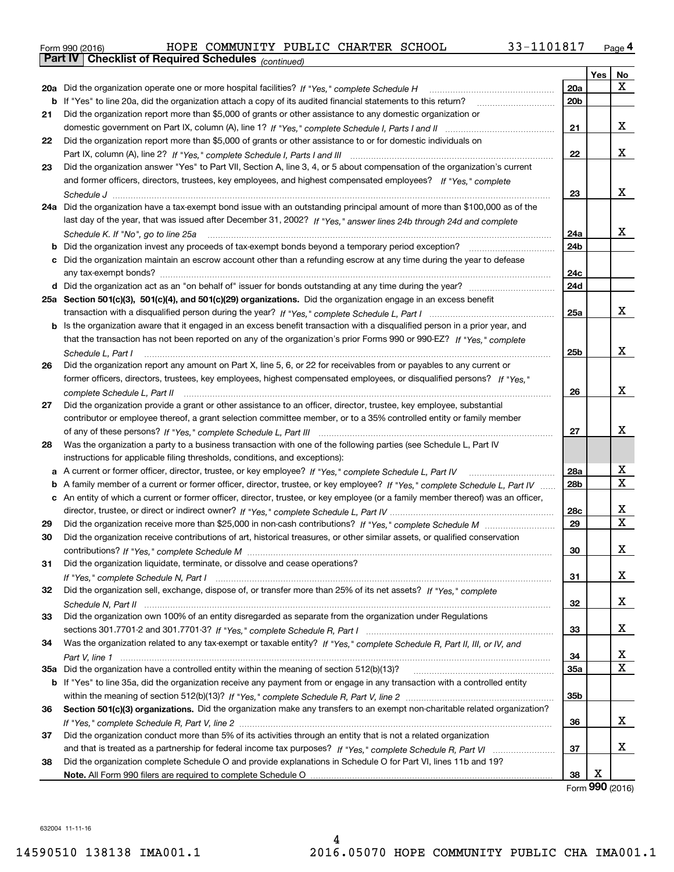| Form 990 (2016) |                                                       | HOPE COMMUNITY PUBLIC CHARTER SCHOOL |  | 33-1101817 | Page 4 |
|-----------------|-------------------------------------------------------|--------------------------------------|--|------------|--------|
|                 | Part IV   Checklist of Required Schedules (continued) |                                      |  |            |        |

| Yes<br>No<br>x<br>20a<br>20a Did the organization operate one or more hospital facilities? If "Yes," complete Schedule H<br>20 <sub>b</sub><br><b>b</b> If "Yes" to line 20a, did the organization attach a copy of its audited financial statements to this return?<br>Did the organization report more than \$5,000 of grants or other assistance to any domestic organization or<br>21<br>x<br>21<br>Did the organization report more than \$5,000 of grants or other assistance to or for domestic individuals on<br>22<br>x<br>22<br>Did the organization answer "Yes" to Part VII, Section A, line 3, 4, or 5 about compensation of the organization's current<br>23<br>and former officers, directors, trustees, key employees, and highest compensated employees? If "Yes," complete<br>x<br>23<br>24a Did the organization have a tax-exempt bond issue with an outstanding principal amount of more than \$100,000 as of the<br>last day of the year, that was issued after December 31, 2002? If "Yes," answer lines 24b through 24d and complete<br>x<br>24a<br>Schedule K. If "No", go to line 25a<br>24 <sub>b</sub><br><b>b</b> Did the organization invest any proceeds of tax-exempt bonds beyond a temporary period exception?<br>c Did the organization maintain an escrow account other than a refunding escrow at any time during the year to defease<br>24c<br>24d<br>25a Section 501(c)(3), 501(c)(4), and 501(c)(29) organizations. Did the organization engage in an excess benefit<br>x<br>25a<br><b>b</b> Is the organization aware that it engaged in an excess benefit transaction with a disqualified person in a prior year, and<br>that the transaction has not been reported on any of the organization's prior Forms 990 or 990-EZ? If "Yes," complete<br>x<br>25b<br>Schedule L. Part I<br>Did the organization report any amount on Part X, line 5, 6, or 22 for receivables from or payables to any current or<br>26<br>former officers, directors, trustees, key employees, highest compensated employees, or disqualified persons? If "Yes "<br>х<br>26<br>Did the organization provide a grant or other assistance to an officer, director, trustee, key employee, substantial<br>27<br>contributor or employee thereof, a grant selection committee member, or to a 35% controlled entity or family member<br>x<br>27<br>28<br>Was the organization a party to a business transaction with one of the following parties (see Schedule L, Part IV<br>instructions for applicable filing thresholds, conditions, and exceptions):<br>х<br>a A current or former officer, director, trustee, or key employee? If "Yes," complete Schedule L, Part IV<br>28a<br>х<br>28 <sub>b</sub><br>b A family member of a current or former officer, director, trustee, or key employee? If "Yes," complete Schedule L, Part IV<br>c An entity of which a current or former officer, director, trustee, or key employee (or a family member thereof) was an officer,<br>х<br>28c<br>X<br>29<br>29<br>Did the organization receive contributions of art, historical treasures, or other similar assets, or qualified conservation<br>30<br>х<br>30<br>31<br>Did the organization liquidate, terminate, or dissolve and cease operations?<br>x<br>31<br>Did the organization sell, exchange, dispose of, or transfer more than 25% of its net assets? If "Yes," complete<br>32<br>x<br>32<br>Did the organization own 100% of an entity disregarded as separate from the organization under Regulations<br>33<br>х<br>33<br>34<br>Was the organization related to any tax-exempt or taxable entity? If "Yes," complete Schedule R, Part II, III, or IV, and<br>х<br>34<br>х<br>35a Did the organization have a controlled entity within the meaning of section 512(b)(13)?<br><b>35a</b><br>b If "Yes" to line 35a, did the organization receive any payment from or engage in any transaction with a controlled entity<br>35b<br>Section 501(c)(3) organizations. Did the organization make any transfers to an exempt non-charitable related organization?<br>36<br>x<br>36<br>Did the organization conduct more than 5% of its activities through an entity that is not a related organization<br>37<br>x<br>37<br>Did the organization complete Schedule O and provide explanations in Schedule O for Part VI, lines 11b and 19?<br>38<br>х<br>38 | Pall IV  <br>Crieckist of Required Scriedules (continued) |  |  |
|-------------------------------------------------------------------------------------------------------------------------------------------------------------------------------------------------------------------------------------------------------------------------------------------------------------------------------------------------------------------------------------------------------------------------------------------------------------------------------------------------------------------------------------------------------------------------------------------------------------------------------------------------------------------------------------------------------------------------------------------------------------------------------------------------------------------------------------------------------------------------------------------------------------------------------------------------------------------------------------------------------------------------------------------------------------------------------------------------------------------------------------------------------------------------------------------------------------------------------------------------------------------------------------------------------------------------------------------------------------------------------------------------------------------------------------------------------------------------------------------------------------------------------------------------------------------------------------------------------------------------------------------------------------------------------------------------------------------------------------------------------------------------------------------------------------------------------------------------------------------------------------------------------------------------------------------------------------------------------------------------------------------------------------------------------------------------------------------------------------------------------------------------------------------------------------------------------------------------------------------------------------------------------------------------------------------------------------------------------------------------------------------------------------------------------------------------------------------------------------------------------------------------------------------------------------------------------------------------------------------------------------------------------------------------------------------------------------------------------------------------------------------------------------------------------------------------------------------------------------------------------------------------------------------------------------------------------------------------------------------------------------------------------------------------------------------------------------------------------------------------------------------------------------------------------------------------------------------------------------------------------------------------------------------------------------------------------------------------------------------------------------------------------------------------------------------------------------------------------------------------------------------------------------------------------------------------------------------------------------------------------------------------------------------------------------------------------------------------------------------------------------------------------------------------------------------------------------------------------------------------------------------------------------------------------------------------------------------------------------------------------------------------------------------------------------------------------------------------------------------------------------------------------------------------------------------------------------------------------------------------------------------------------------------------------------------------------------------------------------------------------|-----------------------------------------------------------|--|--|
|                                                                                                                                                                                                                                                                                                                                                                                                                                                                                                                                                                                                                                                                                                                                                                                                                                                                                                                                                                                                                                                                                                                                                                                                                                                                                                                                                                                                                                                                                                                                                                                                                                                                                                                                                                                                                                                                                                                                                                                                                                                                                                                                                                                                                                                                                                                                                                                                                                                                                                                                                                                                                                                                                                                                                                                                                                                                                                                                                                                                                                                                                                                                                                                                                                                                                                                                                                                                                                                                                                                                                                                                                                                                                                                                                                                                                                                                                                                                                                                                                                                                                                                                                                                                                                                                                                                                                                               |                                                           |  |  |
|                                                                                                                                                                                                                                                                                                                                                                                                                                                                                                                                                                                                                                                                                                                                                                                                                                                                                                                                                                                                                                                                                                                                                                                                                                                                                                                                                                                                                                                                                                                                                                                                                                                                                                                                                                                                                                                                                                                                                                                                                                                                                                                                                                                                                                                                                                                                                                                                                                                                                                                                                                                                                                                                                                                                                                                                                                                                                                                                                                                                                                                                                                                                                                                                                                                                                                                                                                                                                                                                                                                                                                                                                                                                                                                                                                                                                                                                                                                                                                                                                                                                                                                                                                                                                                                                                                                                                                               |                                                           |  |  |
|                                                                                                                                                                                                                                                                                                                                                                                                                                                                                                                                                                                                                                                                                                                                                                                                                                                                                                                                                                                                                                                                                                                                                                                                                                                                                                                                                                                                                                                                                                                                                                                                                                                                                                                                                                                                                                                                                                                                                                                                                                                                                                                                                                                                                                                                                                                                                                                                                                                                                                                                                                                                                                                                                                                                                                                                                                                                                                                                                                                                                                                                                                                                                                                                                                                                                                                                                                                                                                                                                                                                                                                                                                                                                                                                                                                                                                                                                                                                                                                                                                                                                                                                                                                                                                                                                                                                                                               |                                                           |  |  |
|                                                                                                                                                                                                                                                                                                                                                                                                                                                                                                                                                                                                                                                                                                                                                                                                                                                                                                                                                                                                                                                                                                                                                                                                                                                                                                                                                                                                                                                                                                                                                                                                                                                                                                                                                                                                                                                                                                                                                                                                                                                                                                                                                                                                                                                                                                                                                                                                                                                                                                                                                                                                                                                                                                                                                                                                                                                                                                                                                                                                                                                                                                                                                                                                                                                                                                                                                                                                                                                                                                                                                                                                                                                                                                                                                                                                                                                                                                                                                                                                                                                                                                                                                                                                                                                                                                                                                                               |                                                           |  |  |
|                                                                                                                                                                                                                                                                                                                                                                                                                                                                                                                                                                                                                                                                                                                                                                                                                                                                                                                                                                                                                                                                                                                                                                                                                                                                                                                                                                                                                                                                                                                                                                                                                                                                                                                                                                                                                                                                                                                                                                                                                                                                                                                                                                                                                                                                                                                                                                                                                                                                                                                                                                                                                                                                                                                                                                                                                                                                                                                                                                                                                                                                                                                                                                                                                                                                                                                                                                                                                                                                                                                                                                                                                                                                                                                                                                                                                                                                                                                                                                                                                                                                                                                                                                                                                                                                                                                                                                               |                                                           |  |  |
|                                                                                                                                                                                                                                                                                                                                                                                                                                                                                                                                                                                                                                                                                                                                                                                                                                                                                                                                                                                                                                                                                                                                                                                                                                                                                                                                                                                                                                                                                                                                                                                                                                                                                                                                                                                                                                                                                                                                                                                                                                                                                                                                                                                                                                                                                                                                                                                                                                                                                                                                                                                                                                                                                                                                                                                                                                                                                                                                                                                                                                                                                                                                                                                                                                                                                                                                                                                                                                                                                                                                                                                                                                                                                                                                                                                                                                                                                                                                                                                                                                                                                                                                                                                                                                                                                                                                                                               |                                                           |  |  |
|                                                                                                                                                                                                                                                                                                                                                                                                                                                                                                                                                                                                                                                                                                                                                                                                                                                                                                                                                                                                                                                                                                                                                                                                                                                                                                                                                                                                                                                                                                                                                                                                                                                                                                                                                                                                                                                                                                                                                                                                                                                                                                                                                                                                                                                                                                                                                                                                                                                                                                                                                                                                                                                                                                                                                                                                                                                                                                                                                                                                                                                                                                                                                                                                                                                                                                                                                                                                                                                                                                                                                                                                                                                                                                                                                                                                                                                                                                                                                                                                                                                                                                                                                                                                                                                                                                                                                                               |                                                           |  |  |
|                                                                                                                                                                                                                                                                                                                                                                                                                                                                                                                                                                                                                                                                                                                                                                                                                                                                                                                                                                                                                                                                                                                                                                                                                                                                                                                                                                                                                                                                                                                                                                                                                                                                                                                                                                                                                                                                                                                                                                                                                                                                                                                                                                                                                                                                                                                                                                                                                                                                                                                                                                                                                                                                                                                                                                                                                                                                                                                                                                                                                                                                                                                                                                                                                                                                                                                                                                                                                                                                                                                                                                                                                                                                                                                                                                                                                                                                                                                                                                                                                                                                                                                                                                                                                                                                                                                                                                               |                                                           |  |  |
|                                                                                                                                                                                                                                                                                                                                                                                                                                                                                                                                                                                                                                                                                                                                                                                                                                                                                                                                                                                                                                                                                                                                                                                                                                                                                                                                                                                                                                                                                                                                                                                                                                                                                                                                                                                                                                                                                                                                                                                                                                                                                                                                                                                                                                                                                                                                                                                                                                                                                                                                                                                                                                                                                                                                                                                                                                                                                                                                                                                                                                                                                                                                                                                                                                                                                                                                                                                                                                                                                                                                                                                                                                                                                                                                                                                                                                                                                                                                                                                                                                                                                                                                                                                                                                                                                                                                                                               |                                                           |  |  |
|                                                                                                                                                                                                                                                                                                                                                                                                                                                                                                                                                                                                                                                                                                                                                                                                                                                                                                                                                                                                                                                                                                                                                                                                                                                                                                                                                                                                                                                                                                                                                                                                                                                                                                                                                                                                                                                                                                                                                                                                                                                                                                                                                                                                                                                                                                                                                                                                                                                                                                                                                                                                                                                                                                                                                                                                                                                                                                                                                                                                                                                                                                                                                                                                                                                                                                                                                                                                                                                                                                                                                                                                                                                                                                                                                                                                                                                                                                                                                                                                                                                                                                                                                                                                                                                                                                                                                                               |                                                           |  |  |
|                                                                                                                                                                                                                                                                                                                                                                                                                                                                                                                                                                                                                                                                                                                                                                                                                                                                                                                                                                                                                                                                                                                                                                                                                                                                                                                                                                                                                                                                                                                                                                                                                                                                                                                                                                                                                                                                                                                                                                                                                                                                                                                                                                                                                                                                                                                                                                                                                                                                                                                                                                                                                                                                                                                                                                                                                                                                                                                                                                                                                                                                                                                                                                                                                                                                                                                                                                                                                                                                                                                                                                                                                                                                                                                                                                                                                                                                                                                                                                                                                                                                                                                                                                                                                                                                                                                                                                               |                                                           |  |  |
|                                                                                                                                                                                                                                                                                                                                                                                                                                                                                                                                                                                                                                                                                                                                                                                                                                                                                                                                                                                                                                                                                                                                                                                                                                                                                                                                                                                                                                                                                                                                                                                                                                                                                                                                                                                                                                                                                                                                                                                                                                                                                                                                                                                                                                                                                                                                                                                                                                                                                                                                                                                                                                                                                                                                                                                                                                                                                                                                                                                                                                                                                                                                                                                                                                                                                                                                                                                                                                                                                                                                                                                                                                                                                                                                                                                                                                                                                                                                                                                                                                                                                                                                                                                                                                                                                                                                                                               |                                                           |  |  |
|                                                                                                                                                                                                                                                                                                                                                                                                                                                                                                                                                                                                                                                                                                                                                                                                                                                                                                                                                                                                                                                                                                                                                                                                                                                                                                                                                                                                                                                                                                                                                                                                                                                                                                                                                                                                                                                                                                                                                                                                                                                                                                                                                                                                                                                                                                                                                                                                                                                                                                                                                                                                                                                                                                                                                                                                                                                                                                                                                                                                                                                                                                                                                                                                                                                                                                                                                                                                                                                                                                                                                                                                                                                                                                                                                                                                                                                                                                                                                                                                                                                                                                                                                                                                                                                                                                                                                                               |                                                           |  |  |
|                                                                                                                                                                                                                                                                                                                                                                                                                                                                                                                                                                                                                                                                                                                                                                                                                                                                                                                                                                                                                                                                                                                                                                                                                                                                                                                                                                                                                                                                                                                                                                                                                                                                                                                                                                                                                                                                                                                                                                                                                                                                                                                                                                                                                                                                                                                                                                                                                                                                                                                                                                                                                                                                                                                                                                                                                                                                                                                                                                                                                                                                                                                                                                                                                                                                                                                                                                                                                                                                                                                                                                                                                                                                                                                                                                                                                                                                                                                                                                                                                                                                                                                                                                                                                                                                                                                                                                               |                                                           |  |  |
|                                                                                                                                                                                                                                                                                                                                                                                                                                                                                                                                                                                                                                                                                                                                                                                                                                                                                                                                                                                                                                                                                                                                                                                                                                                                                                                                                                                                                                                                                                                                                                                                                                                                                                                                                                                                                                                                                                                                                                                                                                                                                                                                                                                                                                                                                                                                                                                                                                                                                                                                                                                                                                                                                                                                                                                                                                                                                                                                                                                                                                                                                                                                                                                                                                                                                                                                                                                                                                                                                                                                                                                                                                                                                                                                                                                                                                                                                                                                                                                                                                                                                                                                                                                                                                                                                                                                                                               |                                                           |  |  |
|                                                                                                                                                                                                                                                                                                                                                                                                                                                                                                                                                                                                                                                                                                                                                                                                                                                                                                                                                                                                                                                                                                                                                                                                                                                                                                                                                                                                                                                                                                                                                                                                                                                                                                                                                                                                                                                                                                                                                                                                                                                                                                                                                                                                                                                                                                                                                                                                                                                                                                                                                                                                                                                                                                                                                                                                                                                                                                                                                                                                                                                                                                                                                                                                                                                                                                                                                                                                                                                                                                                                                                                                                                                                                                                                                                                                                                                                                                                                                                                                                                                                                                                                                                                                                                                                                                                                                                               |                                                           |  |  |
|                                                                                                                                                                                                                                                                                                                                                                                                                                                                                                                                                                                                                                                                                                                                                                                                                                                                                                                                                                                                                                                                                                                                                                                                                                                                                                                                                                                                                                                                                                                                                                                                                                                                                                                                                                                                                                                                                                                                                                                                                                                                                                                                                                                                                                                                                                                                                                                                                                                                                                                                                                                                                                                                                                                                                                                                                                                                                                                                                                                                                                                                                                                                                                                                                                                                                                                                                                                                                                                                                                                                                                                                                                                                                                                                                                                                                                                                                                                                                                                                                                                                                                                                                                                                                                                                                                                                                                               |                                                           |  |  |
|                                                                                                                                                                                                                                                                                                                                                                                                                                                                                                                                                                                                                                                                                                                                                                                                                                                                                                                                                                                                                                                                                                                                                                                                                                                                                                                                                                                                                                                                                                                                                                                                                                                                                                                                                                                                                                                                                                                                                                                                                                                                                                                                                                                                                                                                                                                                                                                                                                                                                                                                                                                                                                                                                                                                                                                                                                                                                                                                                                                                                                                                                                                                                                                                                                                                                                                                                                                                                                                                                                                                                                                                                                                                                                                                                                                                                                                                                                                                                                                                                                                                                                                                                                                                                                                                                                                                                                               |                                                           |  |  |
|                                                                                                                                                                                                                                                                                                                                                                                                                                                                                                                                                                                                                                                                                                                                                                                                                                                                                                                                                                                                                                                                                                                                                                                                                                                                                                                                                                                                                                                                                                                                                                                                                                                                                                                                                                                                                                                                                                                                                                                                                                                                                                                                                                                                                                                                                                                                                                                                                                                                                                                                                                                                                                                                                                                                                                                                                                                                                                                                                                                                                                                                                                                                                                                                                                                                                                                                                                                                                                                                                                                                                                                                                                                                                                                                                                                                                                                                                                                                                                                                                                                                                                                                                                                                                                                                                                                                                                               |                                                           |  |  |
|                                                                                                                                                                                                                                                                                                                                                                                                                                                                                                                                                                                                                                                                                                                                                                                                                                                                                                                                                                                                                                                                                                                                                                                                                                                                                                                                                                                                                                                                                                                                                                                                                                                                                                                                                                                                                                                                                                                                                                                                                                                                                                                                                                                                                                                                                                                                                                                                                                                                                                                                                                                                                                                                                                                                                                                                                                                                                                                                                                                                                                                                                                                                                                                                                                                                                                                                                                                                                                                                                                                                                                                                                                                                                                                                                                                                                                                                                                                                                                                                                                                                                                                                                                                                                                                                                                                                                                               |                                                           |  |  |
|                                                                                                                                                                                                                                                                                                                                                                                                                                                                                                                                                                                                                                                                                                                                                                                                                                                                                                                                                                                                                                                                                                                                                                                                                                                                                                                                                                                                                                                                                                                                                                                                                                                                                                                                                                                                                                                                                                                                                                                                                                                                                                                                                                                                                                                                                                                                                                                                                                                                                                                                                                                                                                                                                                                                                                                                                                                                                                                                                                                                                                                                                                                                                                                                                                                                                                                                                                                                                                                                                                                                                                                                                                                                                                                                                                                                                                                                                                                                                                                                                                                                                                                                                                                                                                                                                                                                                                               |                                                           |  |  |
|                                                                                                                                                                                                                                                                                                                                                                                                                                                                                                                                                                                                                                                                                                                                                                                                                                                                                                                                                                                                                                                                                                                                                                                                                                                                                                                                                                                                                                                                                                                                                                                                                                                                                                                                                                                                                                                                                                                                                                                                                                                                                                                                                                                                                                                                                                                                                                                                                                                                                                                                                                                                                                                                                                                                                                                                                                                                                                                                                                                                                                                                                                                                                                                                                                                                                                                                                                                                                                                                                                                                                                                                                                                                                                                                                                                                                                                                                                                                                                                                                                                                                                                                                                                                                                                                                                                                                                               |                                                           |  |  |
|                                                                                                                                                                                                                                                                                                                                                                                                                                                                                                                                                                                                                                                                                                                                                                                                                                                                                                                                                                                                                                                                                                                                                                                                                                                                                                                                                                                                                                                                                                                                                                                                                                                                                                                                                                                                                                                                                                                                                                                                                                                                                                                                                                                                                                                                                                                                                                                                                                                                                                                                                                                                                                                                                                                                                                                                                                                                                                                                                                                                                                                                                                                                                                                                                                                                                                                                                                                                                                                                                                                                                                                                                                                                                                                                                                                                                                                                                                                                                                                                                                                                                                                                                                                                                                                                                                                                                                               |                                                           |  |  |
|                                                                                                                                                                                                                                                                                                                                                                                                                                                                                                                                                                                                                                                                                                                                                                                                                                                                                                                                                                                                                                                                                                                                                                                                                                                                                                                                                                                                                                                                                                                                                                                                                                                                                                                                                                                                                                                                                                                                                                                                                                                                                                                                                                                                                                                                                                                                                                                                                                                                                                                                                                                                                                                                                                                                                                                                                                                                                                                                                                                                                                                                                                                                                                                                                                                                                                                                                                                                                                                                                                                                                                                                                                                                                                                                                                                                                                                                                                                                                                                                                                                                                                                                                                                                                                                                                                                                                                               |                                                           |  |  |
|                                                                                                                                                                                                                                                                                                                                                                                                                                                                                                                                                                                                                                                                                                                                                                                                                                                                                                                                                                                                                                                                                                                                                                                                                                                                                                                                                                                                                                                                                                                                                                                                                                                                                                                                                                                                                                                                                                                                                                                                                                                                                                                                                                                                                                                                                                                                                                                                                                                                                                                                                                                                                                                                                                                                                                                                                                                                                                                                                                                                                                                                                                                                                                                                                                                                                                                                                                                                                                                                                                                                                                                                                                                                                                                                                                                                                                                                                                                                                                                                                                                                                                                                                                                                                                                                                                                                                                               |                                                           |  |  |
|                                                                                                                                                                                                                                                                                                                                                                                                                                                                                                                                                                                                                                                                                                                                                                                                                                                                                                                                                                                                                                                                                                                                                                                                                                                                                                                                                                                                                                                                                                                                                                                                                                                                                                                                                                                                                                                                                                                                                                                                                                                                                                                                                                                                                                                                                                                                                                                                                                                                                                                                                                                                                                                                                                                                                                                                                                                                                                                                                                                                                                                                                                                                                                                                                                                                                                                                                                                                                                                                                                                                                                                                                                                                                                                                                                                                                                                                                                                                                                                                                                                                                                                                                                                                                                                                                                                                                                               |                                                           |  |  |
|                                                                                                                                                                                                                                                                                                                                                                                                                                                                                                                                                                                                                                                                                                                                                                                                                                                                                                                                                                                                                                                                                                                                                                                                                                                                                                                                                                                                                                                                                                                                                                                                                                                                                                                                                                                                                                                                                                                                                                                                                                                                                                                                                                                                                                                                                                                                                                                                                                                                                                                                                                                                                                                                                                                                                                                                                                                                                                                                                                                                                                                                                                                                                                                                                                                                                                                                                                                                                                                                                                                                                                                                                                                                                                                                                                                                                                                                                                                                                                                                                                                                                                                                                                                                                                                                                                                                                                               |                                                           |  |  |
|                                                                                                                                                                                                                                                                                                                                                                                                                                                                                                                                                                                                                                                                                                                                                                                                                                                                                                                                                                                                                                                                                                                                                                                                                                                                                                                                                                                                                                                                                                                                                                                                                                                                                                                                                                                                                                                                                                                                                                                                                                                                                                                                                                                                                                                                                                                                                                                                                                                                                                                                                                                                                                                                                                                                                                                                                                                                                                                                                                                                                                                                                                                                                                                                                                                                                                                                                                                                                                                                                                                                                                                                                                                                                                                                                                                                                                                                                                                                                                                                                                                                                                                                                                                                                                                                                                                                                                               |                                                           |  |  |
|                                                                                                                                                                                                                                                                                                                                                                                                                                                                                                                                                                                                                                                                                                                                                                                                                                                                                                                                                                                                                                                                                                                                                                                                                                                                                                                                                                                                                                                                                                                                                                                                                                                                                                                                                                                                                                                                                                                                                                                                                                                                                                                                                                                                                                                                                                                                                                                                                                                                                                                                                                                                                                                                                                                                                                                                                                                                                                                                                                                                                                                                                                                                                                                                                                                                                                                                                                                                                                                                                                                                                                                                                                                                                                                                                                                                                                                                                                                                                                                                                                                                                                                                                                                                                                                                                                                                                                               |                                                           |  |  |
|                                                                                                                                                                                                                                                                                                                                                                                                                                                                                                                                                                                                                                                                                                                                                                                                                                                                                                                                                                                                                                                                                                                                                                                                                                                                                                                                                                                                                                                                                                                                                                                                                                                                                                                                                                                                                                                                                                                                                                                                                                                                                                                                                                                                                                                                                                                                                                                                                                                                                                                                                                                                                                                                                                                                                                                                                                                                                                                                                                                                                                                                                                                                                                                                                                                                                                                                                                                                                                                                                                                                                                                                                                                                                                                                                                                                                                                                                                                                                                                                                                                                                                                                                                                                                                                                                                                                                                               |                                                           |  |  |
|                                                                                                                                                                                                                                                                                                                                                                                                                                                                                                                                                                                                                                                                                                                                                                                                                                                                                                                                                                                                                                                                                                                                                                                                                                                                                                                                                                                                                                                                                                                                                                                                                                                                                                                                                                                                                                                                                                                                                                                                                                                                                                                                                                                                                                                                                                                                                                                                                                                                                                                                                                                                                                                                                                                                                                                                                                                                                                                                                                                                                                                                                                                                                                                                                                                                                                                                                                                                                                                                                                                                                                                                                                                                                                                                                                                                                                                                                                                                                                                                                                                                                                                                                                                                                                                                                                                                                                               |                                                           |  |  |
|                                                                                                                                                                                                                                                                                                                                                                                                                                                                                                                                                                                                                                                                                                                                                                                                                                                                                                                                                                                                                                                                                                                                                                                                                                                                                                                                                                                                                                                                                                                                                                                                                                                                                                                                                                                                                                                                                                                                                                                                                                                                                                                                                                                                                                                                                                                                                                                                                                                                                                                                                                                                                                                                                                                                                                                                                                                                                                                                                                                                                                                                                                                                                                                                                                                                                                                                                                                                                                                                                                                                                                                                                                                                                                                                                                                                                                                                                                                                                                                                                                                                                                                                                                                                                                                                                                                                                                               |                                                           |  |  |
|                                                                                                                                                                                                                                                                                                                                                                                                                                                                                                                                                                                                                                                                                                                                                                                                                                                                                                                                                                                                                                                                                                                                                                                                                                                                                                                                                                                                                                                                                                                                                                                                                                                                                                                                                                                                                                                                                                                                                                                                                                                                                                                                                                                                                                                                                                                                                                                                                                                                                                                                                                                                                                                                                                                                                                                                                                                                                                                                                                                                                                                                                                                                                                                                                                                                                                                                                                                                                                                                                                                                                                                                                                                                                                                                                                                                                                                                                                                                                                                                                                                                                                                                                                                                                                                                                                                                                                               |                                                           |  |  |
|                                                                                                                                                                                                                                                                                                                                                                                                                                                                                                                                                                                                                                                                                                                                                                                                                                                                                                                                                                                                                                                                                                                                                                                                                                                                                                                                                                                                                                                                                                                                                                                                                                                                                                                                                                                                                                                                                                                                                                                                                                                                                                                                                                                                                                                                                                                                                                                                                                                                                                                                                                                                                                                                                                                                                                                                                                                                                                                                                                                                                                                                                                                                                                                                                                                                                                                                                                                                                                                                                                                                                                                                                                                                                                                                                                                                                                                                                                                                                                                                                                                                                                                                                                                                                                                                                                                                                                               |                                                           |  |  |
|                                                                                                                                                                                                                                                                                                                                                                                                                                                                                                                                                                                                                                                                                                                                                                                                                                                                                                                                                                                                                                                                                                                                                                                                                                                                                                                                                                                                                                                                                                                                                                                                                                                                                                                                                                                                                                                                                                                                                                                                                                                                                                                                                                                                                                                                                                                                                                                                                                                                                                                                                                                                                                                                                                                                                                                                                                                                                                                                                                                                                                                                                                                                                                                                                                                                                                                                                                                                                                                                                                                                                                                                                                                                                                                                                                                                                                                                                                                                                                                                                                                                                                                                                                                                                                                                                                                                                                               |                                                           |  |  |
|                                                                                                                                                                                                                                                                                                                                                                                                                                                                                                                                                                                                                                                                                                                                                                                                                                                                                                                                                                                                                                                                                                                                                                                                                                                                                                                                                                                                                                                                                                                                                                                                                                                                                                                                                                                                                                                                                                                                                                                                                                                                                                                                                                                                                                                                                                                                                                                                                                                                                                                                                                                                                                                                                                                                                                                                                                                                                                                                                                                                                                                                                                                                                                                                                                                                                                                                                                                                                                                                                                                                                                                                                                                                                                                                                                                                                                                                                                                                                                                                                                                                                                                                                                                                                                                                                                                                                                               |                                                           |  |  |
|                                                                                                                                                                                                                                                                                                                                                                                                                                                                                                                                                                                                                                                                                                                                                                                                                                                                                                                                                                                                                                                                                                                                                                                                                                                                                                                                                                                                                                                                                                                                                                                                                                                                                                                                                                                                                                                                                                                                                                                                                                                                                                                                                                                                                                                                                                                                                                                                                                                                                                                                                                                                                                                                                                                                                                                                                                                                                                                                                                                                                                                                                                                                                                                                                                                                                                                                                                                                                                                                                                                                                                                                                                                                                                                                                                                                                                                                                                                                                                                                                                                                                                                                                                                                                                                                                                                                                                               |                                                           |  |  |
|                                                                                                                                                                                                                                                                                                                                                                                                                                                                                                                                                                                                                                                                                                                                                                                                                                                                                                                                                                                                                                                                                                                                                                                                                                                                                                                                                                                                                                                                                                                                                                                                                                                                                                                                                                                                                                                                                                                                                                                                                                                                                                                                                                                                                                                                                                                                                                                                                                                                                                                                                                                                                                                                                                                                                                                                                                                                                                                                                                                                                                                                                                                                                                                                                                                                                                                                                                                                                                                                                                                                                                                                                                                                                                                                                                                                                                                                                                                                                                                                                                                                                                                                                                                                                                                                                                                                                                               |                                                           |  |  |
|                                                                                                                                                                                                                                                                                                                                                                                                                                                                                                                                                                                                                                                                                                                                                                                                                                                                                                                                                                                                                                                                                                                                                                                                                                                                                                                                                                                                                                                                                                                                                                                                                                                                                                                                                                                                                                                                                                                                                                                                                                                                                                                                                                                                                                                                                                                                                                                                                                                                                                                                                                                                                                                                                                                                                                                                                                                                                                                                                                                                                                                                                                                                                                                                                                                                                                                                                                                                                                                                                                                                                                                                                                                                                                                                                                                                                                                                                                                                                                                                                                                                                                                                                                                                                                                                                                                                                                               |                                                           |  |  |
|                                                                                                                                                                                                                                                                                                                                                                                                                                                                                                                                                                                                                                                                                                                                                                                                                                                                                                                                                                                                                                                                                                                                                                                                                                                                                                                                                                                                                                                                                                                                                                                                                                                                                                                                                                                                                                                                                                                                                                                                                                                                                                                                                                                                                                                                                                                                                                                                                                                                                                                                                                                                                                                                                                                                                                                                                                                                                                                                                                                                                                                                                                                                                                                                                                                                                                                                                                                                                                                                                                                                                                                                                                                                                                                                                                                                                                                                                                                                                                                                                                                                                                                                                                                                                                                                                                                                                                               |                                                           |  |  |
|                                                                                                                                                                                                                                                                                                                                                                                                                                                                                                                                                                                                                                                                                                                                                                                                                                                                                                                                                                                                                                                                                                                                                                                                                                                                                                                                                                                                                                                                                                                                                                                                                                                                                                                                                                                                                                                                                                                                                                                                                                                                                                                                                                                                                                                                                                                                                                                                                                                                                                                                                                                                                                                                                                                                                                                                                                                                                                                                                                                                                                                                                                                                                                                                                                                                                                                                                                                                                                                                                                                                                                                                                                                                                                                                                                                                                                                                                                                                                                                                                                                                                                                                                                                                                                                                                                                                                                               |                                                           |  |  |
|                                                                                                                                                                                                                                                                                                                                                                                                                                                                                                                                                                                                                                                                                                                                                                                                                                                                                                                                                                                                                                                                                                                                                                                                                                                                                                                                                                                                                                                                                                                                                                                                                                                                                                                                                                                                                                                                                                                                                                                                                                                                                                                                                                                                                                                                                                                                                                                                                                                                                                                                                                                                                                                                                                                                                                                                                                                                                                                                                                                                                                                                                                                                                                                                                                                                                                                                                                                                                                                                                                                                                                                                                                                                                                                                                                                                                                                                                                                                                                                                                                                                                                                                                                                                                                                                                                                                                                               |                                                           |  |  |
|                                                                                                                                                                                                                                                                                                                                                                                                                                                                                                                                                                                                                                                                                                                                                                                                                                                                                                                                                                                                                                                                                                                                                                                                                                                                                                                                                                                                                                                                                                                                                                                                                                                                                                                                                                                                                                                                                                                                                                                                                                                                                                                                                                                                                                                                                                                                                                                                                                                                                                                                                                                                                                                                                                                                                                                                                                                                                                                                                                                                                                                                                                                                                                                                                                                                                                                                                                                                                                                                                                                                                                                                                                                                                                                                                                                                                                                                                                                                                                                                                                                                                                                                                                                                                                                                                                                                                                               |                                                           |  |  |
|                                                                                                                                                                                                                                                                                                                                                                                                                                                                                                                                                                                                                                                                                                                                                                                                                                                                                                                                                                                                                                                                                                                                                                                                                                                                                                                                                                                                                                                                                                                                                                                                                                                                                                                                                                                                                                                                                                                                                                                                                                                                                                                                                                                                                                                                                                                                                                                                                                                                                                                                                                                                                                                                                                                                                                                                                                                                                                                                                                                                                                                                                                                                                                                                                                                                                                                                                                                                                                                                                                                                                                                                                                                                                                                                                                                                                                                                                                                                                                                                                                                                                                                                                                                                                                                                                                                                                                               |                                                           |  |  |
|                                                                                                                                                                                                                                                                                                                                                                                                                                                                                                                                                                                                                                                                                                                                                                                                                                                                                                                                                                                                                                                                                                                                                                                                                                                                                                                                                                                                                                                                                                                                                                                                                                                                                                                                                                                                                                                                                                                                                                                                                                                                                                                                                                                                                                                                                                                                                                                                                                                                                                                                                                                                                                                                                                                                                                                                                                                                                                                                                                                                                                                                                                                                                                                                                                                                                                                                                                                                                                                                                                                                                                                                                                                                                                                                                                                                                                                                                                                                                                                                                                                                                                                                                                                                                                                                                                                                                                               |                                                           |  |  |
|                                                                                                                                                                                                                                                                                                                                                                                                                                                                                                                                                                                                                                                                                                                                                                                                                                                                                                                                                                                                                                                                                                                                                                                                                                                                                                                                                                                                                                                                                                                                                                                                                                                                                                                                                                                                                                                                                                                                                                                                                                                                                                                                                                                                                                                                                                                                                                                                                                                                                                                                                                                                                                                                                                                                                                                                                                                                                                                                                                                                                                                                                                                                                                                                                                                                                                                                                                                                                                                                                                                                                                                                                                                                                                                                                                                                                                                                                                                                                                                                                                                                                                                                                                                                                                                                                                                                                                               |                                                           |  |  |
|                                                                                                                                                                                                                                                                                                                                                                                                                                                                                                                                                                                                                                                                                                                                                                                                                                                                                                                                                                                                                                                                                                                                                                                                                                                                                                                                                                                                                                                                                                                                                                                                                                                                                                                                                                                                                                                                                                                                                                                                                                                                                                                                                                                                                                                                                                                                                                                                                                                                                                                                                                                                                                                                                                                                                                                                                                                                                                                                                                                                                                                                                                                                                                                                                                                                                                                                                                                                                                                                                                                                                                                                                                                                                                                                                                                                                                                                                                                                                                                                                                                                                                                                                                                                                                                                                                                                                                               |                                                           |  |  |
|                                                                                                                                                                                                                                                                                                                                                                                                                                                                                                                                                                                                                                                                                                                                                                                                                                                                                                                                                                                                                                                                                                                                                                                                                                                                                                                                                                                                                                                                                                                                                                                                                                                                                                                                                                                                                                                                                                                                                                                                                                                                                                                                                                                                                                                                                                                                                                                                                                                                                                                                                                                                                                                                                                                                                                                                                                                                                                                                                                                                                                                                                                                                                                                                                                                                                                                                                                                                                                                                                                                                                                                                                                                                                                                                                                                                                                                                                                                                                                                                                                                                                                                                                                                                                                                                                                                                                                               |                                                           |  |  |
|                                                                                                                                                                                                                                                                                                                                                                                                                                                                                                                                                                                                                                                                                                                                                                                                                                                                                                                                                                                                                                                                                                                                                                                                                                                                                                                                                                                                                                                                                                                                                                                                                                                                                                                                                                                                                                                                                                                                                                                                                                                                                                                                                                                                                                                                                                                                                                                                                                                                                                                                                                                                                                                                                                                                                                                                                                                                                                                                                                                                                                                                                                                                                                                                                                                                                                                                                                                                                                                                                                                                                                                                                                                                                                                                                                                                                                                                                                                                                                                                                                                                                                                                                                                                                                                                                                                                                                               |                                                           |  |  |
|                                                                                                                                                                                                                                                                                                                                                                                                                                                                                                                                                                                                                                                                                                                                                                                                                                                                                                                                                                                                                                                                                                                                                                                                                                                                                                                                                                                                                                                                                                                                                                                                                                                                                                                                                                                                                                                                                                                                                                                                                                                                                                                                                                                                                                                                                                                                                                                                                                                                                                                                                                                                                                                                                                                                                                                                                                                                                                                                                                                                                                                                                                                                                                                                                                                                                                                                                                                                                                                                                                                                                                                                                                                                                                                                                                                                                                                                                                                                                                                                                                                                                                                                                                                                                                                                                                                                                                               |                                                           |  |  |
|                                                                                                                                                                                                                                                                                                                                                                                                                                                                                                                                                                                                                                                                                                                                                                                                                                                                                                                                                                                                                                                                                                                                                                                                                                                                                                                                                                                                                                                                                                                                                                                                                                                                                                                                                                                                                                                                                                                                                                                                                                                                                                                                                                                                                                                                                                                                                                                                                                                                                                                                                                                                                                                                                                                                                                                                                                                                                                                                                                                                                                                                                                                                                                                                                                                                                                                                                                                                                                                                                                                                                                                                                                                                                                                                                                                                                                                                                                                                                                                                                                                                                                                                                                                                                                                                                                                                                                               |                                                           |  |  |
|                                                                                                                                                                                                                                                                                                                                                                                                                                                                                                                                                                                                                                                                                                                                                                                                                                                                                                                                                                                                                                                                                                                                                                                                                                                                                                                                                                                                                                                                                                                                                                                                                                                                                                                                                                                                                                                                                                                                                                                                                                                                                                                                                                                                                                                                                                                                                                                                                                                                                                                                                                                                                                                                                                                                                                                                                                                                                                                                                                                                                                                                                                                                                                                                                                                                                                                                                                                                                                                                                                                                                                                                                                                                                                                                                                                                                                                                                                                                                                                                                                                                                                                                                                                                                                                                                                                                                                               |                                                           |  |  |
|                                                                                                                                                                                                                                                                                                                                                                                                                                                                                                                                                                                                                                                                                                                                                                                                                                                                                                                                                                                                                                                                                                                                                                                                                                                                                                                                                                                                                                                                                                                                                                                                                                                                                                                                                                                                                                                                                                                                                                                                                                                                                                                                                                                                                                                                                                                                                                                                                                                                                                                                                                                                                                                                                                                                                                                                                                                                                                                                                                                                                                                                                                                                                                                                                                                                                                                                                                                                                                                                                                                                                                                                                                                                                                                                                                                                                                                                                                                                                                                                                                                                                                                                                                                                                                                                                                                                                                               |                                                           |  |  |
|                                                                                                                                                                                                                                                                                                                                                                                                                                                                                                                                                                                                                                                                                                                                                                                                                                                                                                                                                                                                                                                                                                                                                                                                                                                                                                                                                                                                                                                                                                                                                                                                                                                                                                                                                                                                                                                                                                                                                                                                                                                                                                                                                                                                                                                                                                                                                                                                                                                                                                                                                                                                                                                                                                                                                                                                                                                                                                                                                                                                                                                                                                                                                                                                                                                                                                                                                                                                                                                                                                                                                                                                                                                                                                                                                                                                                                                                                                                                                                                                                                                                                                                                                                                                                                                                                                                                                                               |                                                           |  |  |
|                                                                                                                                                                                                                                                                                                                                                                                                                                                                                                                                                                                                                                                                                                                                                                                                                                                                                                                                                                                                                                                                                                                                                                                                                                                                                                                                                                                                                                                                                                                                                                                                                                                                                                                                                                                                                                                                                                                                                                                                                                                                                                                                                                                                                                                                                                                                                                                                                                                                                                                                                                                                                                                                                                                                                                                                                                                                                                                                                                                                                                                                                                                                                                                                                                                                                                                                                                                                                                                                                                                                                                                                                                                                                                                                                                                                                                                                                                                                                                                                                                                                                                                                                                                                                                                                                                                                                                               |                                                           |  |  |

Form (2016) **990**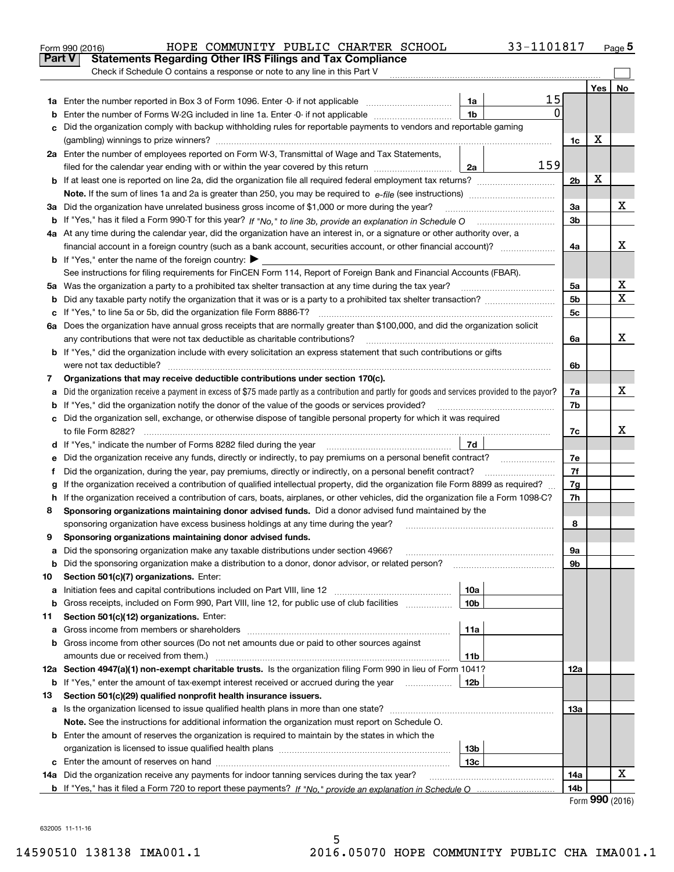|    | HOPE COMMUNITY PUBLIC CHARTER SCHOOL<br>33-1101817<br>Form 990 (2016)                                                                                                                                                                |                |     | Page 5 |  |  |  |
|----|--------------------------------------------------------------------------------------------------------------------------------------------------------------------------------------------------------------------------------------|----------------|-----|--------|--|--|--|
|    | Part V<br><b>Statements Regarding Other IRS Filings and Tax Compliance</b>                                                                                                                                                           |                |     |        |  |  |  |
|    | Check if Schedule O contains a response or note to any line in this Part V                                                                                                                                                           |                |     |        |  |  |  |
|    |                                                                                                                                                                                                                                      |                | Yes | No     |  |  |  |
|    | 15<br>1a                                                                                                                                                                                                                             |                |     |        |  |  |  |
| b  | $\Omega$<br>1 <sub>b</sub><br>Enter the number of Forms W-2G included in line 1a. Enter -0- if not applicable                                                                                                                        |                |     |        |  |  |  |
| c  | Did the organization comply with backup withholding rules for reportable payments to vendors and reportable gaming                                                                                                                   |                |     |        |  |  |  |
|    |                                                                                                                                                                                                                                      | 1c             | х   |        |  |  |  |
|    | 2a Enter the number of employees reported on Form W-3, Transmittal of Wage and Tax Statements,                                                                                                                                       |                |     |        |  |  |  |
|    | 159<br>filed for the calendar year ending with or within the year covered by this return<br>2a                                                                                                                                       |                |     |        |  |  |  |
|    |                                                                                                                                                                                                                                      | 2 <sub>b</sub> | х   |        |  |  |  |
|    |                                                                                                                                                                                                                                      |                |     |        |  |  |  |
|    | 3a Did the organization have unrelated business gross income of \$1,000 or more during the year?                                                                                                                                     | За             |     | х      |  |  |  |
|    |                                                                                                                                                                                                                                      | 3b             |     |        |  |  |  |
|    | 4a At any time during the calendar year, did the organization have an interest in, or a signature or other authority over, a                                                                                                         |                |     |        |  |  |  |
|    |                                                                                                                                                                                                                                      | 4a             |     | x      |  |  |  |
|    | <b>b</b> If "Yes," enter the name of the foreign country: $\blacktriangleright$                                                                                                                                                      |                |     |        |  |  |  |
|    | See instructions for filing requirements for FinCEN Form 114, Report of Foreign Bank and Financial Accounts (FBAR).                                                                                                                  |                |     |        |  |  |  |
|    | 5a Was the organization a party to a prohibited tax shelter transaction at any time during the tax year?                                                                                                                             | 5a             |     | х      |  |  |  |
| b  |                                                                                                                                                                                                                                      | 5 <sub>b</sub> |     | X      |  |  |  |
|    | c If "Yes," to line 5a or 5b, did the organization file Form 8886-T?                                                                                                                                                                 | 5c             |     |        |  |  |  |
|    | 6a Does the organization have annual gross receipts that are normally greater than \$100,000, and did the organization solicit                                                                                                       |                |     |        |  |  |  |
|    | any contributions that were not tax deductible as charitable contributions?                                                                                                                                                          | 6a             |     | X      |  |  |  |
|    | <b>b</b> If "Yes," did the organization include with every solicitation an express statement that such contributions or gifts                                                                                                        |                |     |        |  |  |  |
|    | were not tax deductible?                                                                                                                                                                                                             | 6b             |     |        |  |  |  |
| 7  | Organizations that may receive deductible contributions under section 170(c).                                                                                                                                                        |                |     |        |  |  |  |
| а  | Did the organization receive a payment in excess of \$75 made partly as a contribution and partly for goods and services provided to the payor?                                                                                      | 7a             |     | x      |  |  |  |
|    | If "Yes," did the organization notify the donor of the value of the goods or services provided?<br>b                                                                                                                                 |                |     |        |  |  |  |
|    | c Did the organization sell, exchange, or otherwise dispose of tangible personal property for which it was required                                                                                                                  |                |     |        |  |  |  |
|    |                                                                                                                                                                                                                                      | 7c             |     | x      |  |  |  |
|    | 7d<br>d If "Yes," indicate the number of Forms 8282 filed during the year [11] [11] The System manuscription of Forms 8282 filed during the year [11] [12] The System manuscription of the Wales of the Wales of the Wales of the Wa |                |     |        |  |  |  |
| е  |                                                                                                                                                                                                                                      | 7e             |     |        |  |  |  |
| f  | Did the organization, during the year, pay premiums, directly or indirectly, on a personal benefit contract?                                                                                                                         | 7f             |     |        |  |  |  |
| g  | If the organization received a contribution of qualified intellectual property, did the organization file Form 8899 as required?                                                                                                     | 7g             |     |        |  |  |  |
| h. | If the organization received a contribution of cars, boats, airplanes, or other vehicles, did the organization file a Form 1098-C?                                                                                                   | 7h             |     |        |  |  |  |
| 8  | Sponsoring organizations maintaining donor advised funds. Did a donor advised fund maintained by the                                                                                                                                 |                |     |        |  |  |  |
|    | sponsoring organization have excess business holdings at any time during the year?                                                                                                                                                   | 8              |     |        |  |  |  |
|    | Sponsoring organizations maintaining donor advised funds.                                                                                                                                                                            |                |     |        |  |  |  |
| а  | Did the sponsoring organization make any taxable distributions under section 4966?                                                                                                                                                   | 9а             |     |        |  |  |  |
| b  | Did the sponsoring organization make a distribution to a donor, donor advisor, or related person?                                                                                                                                    | 9b             |     |        |  |  |  |
| 10 | Section 501(c)(7) organizations. Enter:                                                                                                                                                                                              |                |     |        |  |  |  |
| а  | 10a<br>Initiation fees and capital contributions included on Part VIII, line 12 <i>manuarrouus</i> manuations of the lates                                                                                                           |                |     |        |  |  |  |
| b  | Gross receipts, included on Form 990, Part VIII, line 12, for public use of club facilities<br>10 <sub>b</sub>                                                                                                                       |                |     |        |  |  |  |
| 11 | Section 501(c)(12) organizations. Enter:                                                                                                                                                                                             |                |     |        |  |  |  |
| a  | 11a<br>Gross income from members or shareholders                                                                                                                                                                                     |                |     |        |  |  |  |
| b  | Gross income from other sources (Do not net amounts due or paid to other sources against                                                                                                                                             |                |     |        |  |  |  |
|    | amounts due or received from them.)<br>11b                                                                                                                                                                                           |                |     |        |  |  |  |
|    | 12a Section 4947(a)(1) non-exempt charitable trusts. Is the organization filing Form 990 in lieu of Form 1041?                                                                                                                       | 12a            |     |        |  |  |  |
|    | <b>b</b> If "Yes," enter the amount of tax-exempt interest received or accrued during the year <i>manument</i><br>12b                                                                                                                |                |     |        |  |  |  |
| 13 | Section 501(c)(29) qualified nonprofit health insurance issuers.                                                                                                                                                                     |                |     |        |  |  |  |
| а  | Is the organization licensed to issue qualified health plans in more than one state?                                                                                                                                                 | 13а            |     |        |  |  |  |
|    | Note. See the instructions for additional information the organization must report on Schedule O.                                                                                                                                    |                |     |        |  |  |  |
|    | <b>b</b> Enter the amount of reserves the organization is required to maintain by the states in which the                                                                                                                            |                |     |        |  |  |  |
|    | 13 <sub>b</sub>                                                                                                                                                                                                                      |                |     |        |  |  |  |
|    | 13c                                                                                                                                                                                                                                  |                |     |        |  |  |  |
|    | 14a Did the organization receive any payments for indoor tanning services during the tax year?                                                                                                                                       | 14a            |     | х      |  |  |  |
|    |                                                                                                                                                                                                                                      | 14b            | nnn |        |  |  |  |

| Form 990 (2016) |  |
|-----------------|--|
|-----------------|--|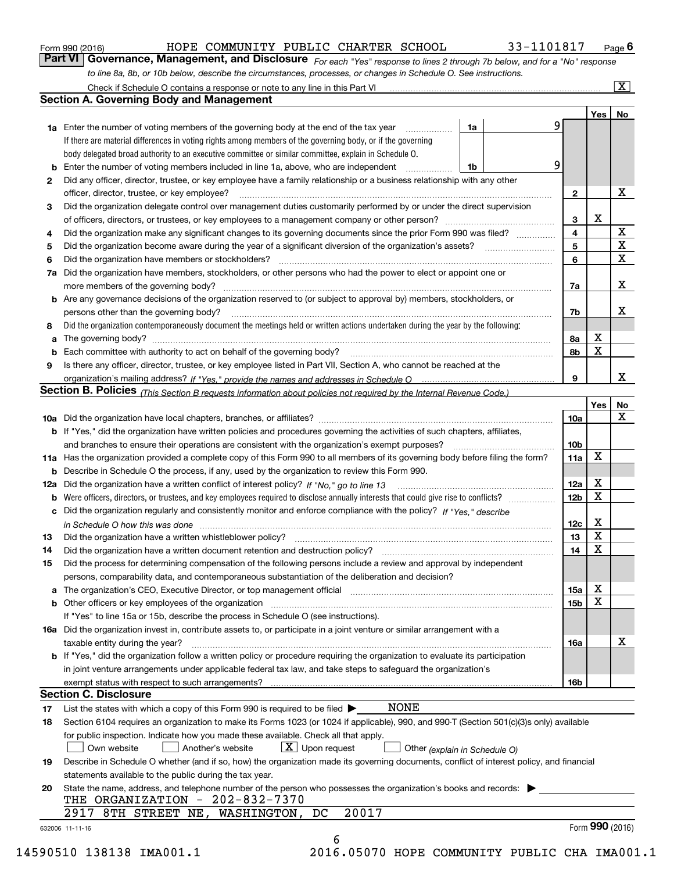|  | Form 990 (2016) |  |
|--|-----------------|--|
|  |                 |  |

# HOPE COMMUNITY PUBLIC CHARTER SCHOOL 33-1101817

*For each "Yes" response to lines 2 through 7b below, and for a "No" response to line 8a, 8b, or 10b below, describe the circumstances, processes, or changes in Schedule O. See instructions.* Form 990 (2016) **COMMONITY PUBLIC CHARTER SCHOOL** 33-1101817 Page 6<br>**Part VI Governance, Management, and Disclosure** *For each "Yes" response to lines 2 through 7b below, and for a "No" response* 

|              |                                                                                                                                                                                                                                                                                                                                                                                                                                                                                                  |                               |    |                 | Yes <sub>1</sub> | No          |
|--------------|--------------------------------------------------------------------------------------------------------------------------------------------------------------------------------------------------------------------------------------------------------------------------------------------------------------------------------------------------------------------------------------------------------------------------------------------------------------------------------------------------|-------------------------------|----|-----------------|------------------|-------------|
|              | <b>1a</b> Enter the number of voting members of the governing body at the end of the tax year <i>manumum</i>                                                                                                                                                                                                                                                                                                                                                                                     | 1a                            | 9. |                 |                  |             |
|              | If there are material differences in voting rights among members of the governing body, or if the governing                                                                                                                                                                                                                                                                                                                                                                                      |                               |    |                 |                  |             |
|              | body delegated broad authority to an executive committee or similar committee, explain in Schedule O.                                                                                                                                                                                                                                                                                                                                                                                            |                               |    |                 |                  |             |
|              | Enter the number of voting members included in line 1a, above, who are independent                                                                                                                                                                                                                                                                                                                                                                                                               | 1b                            | 9  |                 |                  |             |
| $\mathbf{2}$ | Did any officer, director, trustee, or key employee have a family relationship or a business relationship with any other                                                                                                                                                                                                                                                                                                                                                                         |                               |    |                 |                  |             |
|              | officer, director, trustee, or key employee?<br>$\begin{minipage}{0.5\textwidth} \begin{tabular}{ l l l } \hline \multicolumn{1}{ l l l } \hline \multicolumn{1}{ l l } \hline \multicolumn{1}{ l } \multicolumn{1}{ l } \hline \multicolumn{1}{ l } \multicolumn{1}{ l } \multicolumn{1}{ l } \hline \multicolumn{1}{ l } \multicolumn{1}{ l } \multicolumn{1}{ l } \hline \multicolumn{1}{ l } \multicolumn{1}{ l } \hline \multicolumn{1}{ l } \multicolumn{1}{ l } \hline \multicolumn{1}{ $ |                               |    | $\mathbf{2}$    |                  | х           |
| 3            | Did the organization delegate control over management duties customarily performed by or under the direct supervision                                                                                                                                                                                                                                                                                                                                                                            |                               |    |                 |                  |             |
|              |                                                                                                                                                                                                                                                                                                                                                                                                                                                                                                  |                               |    | 3               | x                |             |
| 4            | Did the organization make any significant changes to its governing documents since the prior Form 990 was filed?                                                                                                                                                                                                                                                                                                                                                                                 |                               |    | 4               |                  | X           |
| 5            |                                                                                                                                                                                                                                                                                                                                                                                                                                                                                                  |                               |    | 5               |                  | $\mathbf X$ |
| 6            |                                                                                                                                                                                                                                                                                                                                                                                                                                                                                                  |                               |    | 6               |                  | $\mathbf x$ |
| 7a           | Did the organization have members, stockholders, or other persons who had the power to elect or appoint one or                                                                                                                                                                                                                                                                                                                                                                                   |                               |    |                 |                  |             |
|              |                                                                                                                                                                                                                                                                                                                                                                                                                                                                                                  |                               |    | 7a              |                  | х           |
|              | <b>b</b> Are any governance decisions of the organization reserved to (or subject to approval by) members, stockholders, or                                                                                                                                                                                                                                                                                                                                                                      |                               |    |                 |                  |             |
|              | persons other than the governing body?                                                                                                                                                                                                                                                                                                                                                                                                                                                           |                               |    | 7b              |                  | х           |
| 8            | Did the organization contemporaneously document the meetings held or written actions undertaken during the year by the following:                                                                                                                                                                                                                                                                                                                                                                |                               |    |                 |                  |             |
| a            |                                                                                                                                                                                                                                                                                                                                                                                                                                                                                                  |                               |    | 8a              | х                |             |
|              |                                                                                                                                                                                                                                                                                                                                                                                                                                                                                                  |                               |    | 8b              | X                |             |
| 9            | Is there any officer, director, trustee, or key employee listed in Part VII, Section A, who cannot be reached at the                                                                                                                                                                                                                                                                                                                                                                             |                               |    |                 |                  |             |
|              |                                                                                                                                                                                                                                                                                                                                                                                                                                                                                                  |                               |    | 9               |                  | х           |
|              | Section B. Policies (This Section B requests information about policies not required by the Internal Revenue Code.)                                                                                                                                                                                                                                                                                                                                                                              |                               |    |                 |                  |             |
|              |                                                                                                                                                                                                                                                                                                                                                                                                                                                                                                  |                               |    |                 | Yes              | No          |
|              |                                                                                                                                                                                                                                                                                                                                                                                                                                                                                                  |                               |    | 10a             |                  | X           |
|              | <b>b</b> If "Yes," did the organization have written policies and procedures governing the activities of such chapters, affiliates,                                                                                                                                                                                                                                                                                                                                                              |                               |    |                 |                  |             |
|              |                                                                                                                                                                                                                                                                                                                                                                                                                                                                                                  |                               |    | 10 <sub>b</sub> |                  |             |
|              | 11a Has the organization provided a complete copy of this Form 990 to all members of its governing body before filing the form?                                                                                                                                                                                                                                                                                                                                                                  |                               |    | 11a             | X                |             |
|              | <b>b</b> Describe in Schedule O the process, if any, used by the organization to review this Form 990.                                                                                                                                                                                                                                                                                                                                                                                           |                               |    |                 |                  |             |
| 12a          |                                                                                                                                                                                                                                                                                                                                                                                                                                                                                                  |                               |    | <b>12a</b>      | х                |             |
| b            |                                                                                                                                                                                                                                                                                                                                                                                                                                                                                                  |                               |    | 12b             | X                |             |
|              | c Did the organization regularly and consistently monitor and enforce compliance with the policy? If "Yes," describe                                                                                                                                                                                                                                                                                                                                                                             |                               |    |                 |                  |             |
|              |                                                                                                                                                                                                                                                                                                                                                                                                                                                                                                  |                               |    | 12c             | х                |             |
|              | in Schedule O how this was done encourance and the control of the control of the control of the control of the                                                                                                                                                                                                                                                                                                                                                                                   |                               |    | 13              | X                |             |
| 13           | Did the organization have a written whistleblower policy?<br>The content of the content of the content of the content of the content of the content of the content of the c                                                                                                                                                                                                                                                                                                                      |                               |    | 14              | X                |             |
| 14           | Did the organization have a written document retention and destruction policy? manufactured and the organization have a written document retention and destruction policy?                                                                                                                                                                                                                                                                                                                       |                               |    |                 |                  |             |
| 15           | Did the process for determining compensation of the following persons include a review and approval by independent                                                                                                                                                                                                                                                                                                                                                                               |                               |    |                 |                  |             |
|              | persons, comparability data, and contemporaneous substantiation of the deliberation and decision?                                                                                                                                                                                                                                                                                                                                                                                                |                               |    |                 | х                |             |
|              |                                                                                                                                                                                                                                                                                                                                                                                                                                                                                                  |                               |    | 15a             | $\mathbf X$      |             |
|              | <b>b</b> Other officers or key employees of the organization entering contained and the organization of the organization                                                                                                                                                                                                                                                                                                                                                                         |                               |    | 15 <sub>b</sub> |                  |             |
|              | If "Yes" to line 15a or 15b, describe the process in Schedule O (see instructions).                                                                                                                                                                                                                                                                                                                                                                                                              |                               |    |                 |                  |             |
|              | 16a Did the organization invest in, contribute assets to, or participate in a joint venture or similar arrangement with a                                                                                                                                                                                                                                                                                                                                                                        |                               |    |                 |                  | х           |
|              | taxable entity during the year?                                                                                                                                                                                                                                                                                                                                                                                                                                                                  |                               |    | 16a             |                  |             |
|              | <b>b</b> If "Yes," did the organization follow a written policy or procedure requiring the organization to evaluate its participation                                                                                                                                                                                                                                                                                                                                                            |                               |    |                 |                  |             |
|              | in joint venture arrangements under applicable federal tax law, and take steps to safeguard the organization's                                                                                                                                                                                                                                                                                                                                                                                   |                               |    |                 |                  |             |
|              |                                                                                                                                                                                                                                                                                                                                                                                                                                                                                                  |                               |    | 16b             |                  |             |
|              | <b>Section C. Disclosure</b>                                                                                                                                                                                                                                                                                                                                                                                                                                                                     |                               |    |                 |                  |             |
| 17           | <b>NONE</b><br>List the states with which a copy of this Form 990 is required to be filed $\blacktriangleright$                                                                                                                                                                                                                                                                                                                                                                                  |                               |    |                 |                  |             |
| 18           | Section 6104 requires an organization to make its Forms 1023 (or 1024 if applicable), 990, and 990-T (Section 501(c)(3)s only) available                                                                                                                                                                                                                                                                                                                                                         |                               |    |                 |                  |             |
|              | for public inspection. Indicate how you made these available. Check all that apply.                                                                                                                                                                                                                                                                                                                                                                                                              |                               |    |                 |                  |             |
|              | $\boxed{\textbf{X}}$ Upon request<br>Own website<br>Another's website                                                                                                                                                                                                                                                                                                                                                                                                                            | Other (explain in Schedule O) |    |                 |                  |             |
| 19           | Describe in Schedule O whether (and if so, how) the organization made its governing documents, conflict of interest policy, and financial                                                                                                                                                                                                                                                                                                                                                        |                               |    |                 |                  |             |
|              | statements available to the public during the tax year.                                                                                                                                                                                                                                                                                                                                                                                                                                          |                               |    |                 |                  |             |
| 20           | State the name, address, and telephone number of the person who possesses the organization's books and records:                                                                                                                                                                                                                                                                                                                                                                                  |                               |    |                 |                  |             |
|              | THE ORGANIZATION - 202-832-7370                                                                                                                                                                                                                                                                                                                                                                                                                                                                  |                               |    |                 |                  |             |
|              | 20017<br>WASHINGTON, DC<br>2917 8TH STREET NE,                                                                                                                                                                                                                                                                                                                                                                                                                                                   |                               |    |                 |                  |             |
|              | 632006 11-11-16                                                                                                                                                                                                                                                                                                                                                                                                                                                                                  |                               |    |                 | Form 990 (2016)  |             |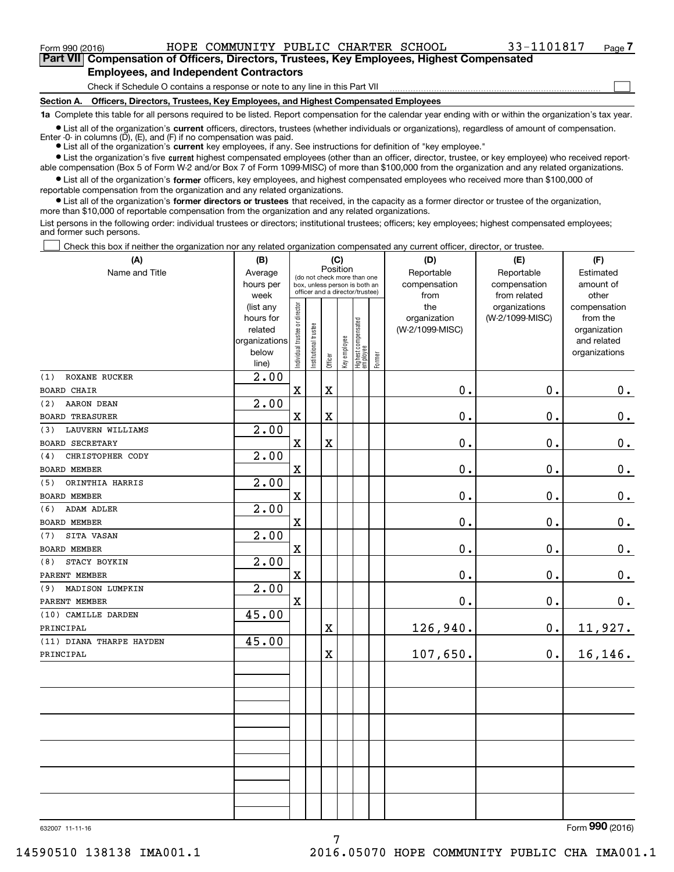**(A)**

 $_{\rm Form}$   $_{990}$  (2016) <code>BOPE COMMUNITY PUBLIC CHARTER SCHOOL</code>  $_{\rm 33-1101817}$   $_{\rm Page}$ 

 $\mathcal{L}^{\text{max}}$ 

**7Part VII Compensation of Officers, Directors, Trustees, Key Employees, Highest Compensated Employees, and Independent Contractors**

Check if Schedule O contains a response or note to any line in this Part VII

**Section A. Officers, Directors, Trustees, Key Employees, and Highest Compensated Employees**

**1a**  Complete this table for all persons required to be listed. Report compensation for the calendar year ending with or within the organization's tax year.

**•** List all of the organization's current officers, directors, trustees (whether individuals or organizations), regardless of amount of compensation. Enter -0- in columns  $(D)$ ,  $(E)$ , and  $(F)$  if no compensation was paid.

● List all of the organization's **current** key employees, if any. See instructions for definition of "key employee."

**•** List the organization's five current highest compensated employees (other than an officer, director, trustee, or key employee) who received reportable compensation (Box 5 of Form W-2 and/or Box 7 of Form 1099-MISC) of more than \$100,000 from the organization and any related organizations.

 $\bullet$  List all of the organization's **former** officers, key employees, and highest compensated employees who received more than \$100,000 of reportable compensation from the organization and any related organizations.

**•** List all of the organization's former directors or trustees that received, in the capacity as a former director or trustee of the organization, more than \$10,000 of reportable compensation from the organization and any related organizations.

List persons in the following order: individual trustees or directors; institutional trustees; officers; key employees; highest compensated employees; and former such persons.

Check this box if neither the organization nor any related organization compensated any current officer, director, or trustee.  $\mathcal{L}^{\text{max}}$ 

| (A)                      | (B)               | (C)                                     |                                                                  |                         |              |                                  |        | (D)             | (E)                           | (F)                   |
|--------------------------|-------------------|-----------------------------------------|------------------------------------------------------------------|-------------------------|--------------|----------------------------------|--------|-----------------|-------------------------------|-----------------------|
| Name and Title           | Average           | Position<br>(do not check more than one |                                                                  |                         |              |                                  |        | Reportable      | Reportable                    | Estimated             |
|                          | hours per         |                                         | box, unless person is both an<br>officer and a director/trustee) |                         |              |                                  |        | compensation    | compensation                  | amount of             |
|                          | week<br>(list any |                                         |                                                                  |                         |              |                                  |        | from<br>the     | from related<br>organizations | other<br>compensation |
|                          | hours for         |                                         |                                                                  |                         |              |                                  |        | organization    | (W-2/1099-MISC)               | from the              |
|                          | related           |                                         |                                                                  |                         |              |                                  |        | (W-2/1099-MISC) |                               | organization          |
|                          | organizations     |                                         |                                                                  |                         |              |                                  |        |                 |                               | and related           |
|                          | below             | Individual trustee or director          | Institutional trustee                                            |                         | Key employee | Highest compensated<br> employee | Former |                 |                               | organizations         |
|                          | line)             |                                         |                                                                  | Officer                 |              |                                  |        |                 |                               |                       |
| ROXANE RUCKER<br>(1)     | 2.00              |                                         |                                                                  |                         |              |                                  |        |                 |                               |                       |
| <b>BOARD CHAIR</b>       |                   | $\mathbf X$                             |                                                                  | $\mathbf X$             |              |                                  |        | 0.              | 0.                            | 0.                    |
| AARON DEAN<br>(2)        | 2.00              |                                         |                                                                  |                         |              |                                  |        |                 |                               |                       |
| <b>BOARD TREASURER</b>   |                   | $\mathbf x$                             |                                                                  | X                       |              |                                  |        | 0.              | 0.                            | $\mathbf 0$ .         |
| LAUVERN WILLIAMS<br>(3)  | 2.00              |                                         |                                                                  |                         |              |                                  |        |                 |                               |                       |
| <b>BOARD SECRETARY</b>   |                   | $\mathbf X$                             |                                                                  | $\overline{\textbf{X}}$ |              |                                  |        | 0.              | 0.                            | $\mathbf 0$ .         |
| CHRISTOPHER CODY<br>(4)  | 2.00              |                                         |                                                                  |                         |              |                                  |        |                 |                               |                       |
| BOARD MEMBER             |                   | $\mathbf x$                             |                                                                  |                         |              |                                  |        | 0.              | 0.                            | $\mathbf 0$ .         |
| ORINTHIA HARRIS<br>(5)   | 2.00              |                                         |                                                                  |                         |              |                                  |        |                 |                               |                       |
| <b>BOARD MEMBER</b>      |                   | $\mathbf X$                             |                                                                  |                         |              |                                  |        | 0.              | 0.                            | $0_{.}$               |
| <b>ADAM ADLER</b><br>(6) | 2.00              |                                         |                                                                  |                         |              |                                  |        |                 |                               |                       |
| <b>BOARD MEMBER</b>      |                   | $\mathbf X$                             |                                                                  |                         |              |                                  |        | 0.              | 0.                            | $0_{.}$               |
| SITA VASAN<br>(7)        | 2.00              |                                         |                                                                  |                         |              |                                  |        |                 |                               |                       |
| <b>BOARD MEMBER</b>      |                   | $\mathbf X$                             |                                                                  |                         |              |                                  |        | 0.              | $\mathbf 0$ .                 | $0_{.}$               |
| STACY BOYKIN<br>(8)      | 2.00              |                                         |                                                                  |                         |              |                                  |        |                 |                               |                       |
| PARENT MEMBER            |                   | $\mathbf X$                             |                                                                  |                         |              |                                  |        | 0.              | 0.                            | $\mathbf 0$ .         |
| MADISON LUMPKIN<br>(9)   | 2.00              |                                         |                                                                  |                         |              |                                  |        |                 |                               |                       |
| PARENT MEMBER            |                   | $\mathbf X$                             |                                                                  |                         |              |                                  |        | 0.              | $0$ .                         | $\mathbf 0$ .         |
| (10) CAMILLE DARDEN      | 45.00             |                                         |                                                                  |                         |              |                                  |        |                 |                               |                       |
| PRINCIPAL                |                   |                                         |                                                                  | X                       |              |                                  |        | 126,940.        | 0.                            | 11,927.               |
| (11) DIANA THARPE HAYDEN | 45.00             |                                         |                                                                  |                         |              |                                  |        |                 |                               |                       |
| PRINCIPAL                |                   |                                         |                                                                  | X                       |              |                                  |        | 107,650.        | $0$ .                         | 16, 146.              |
|                          |                   |                                         |                                                                  |                         |              |                                  |        |                 |                               |                       |
|                          |                   |                                         |                                                                  |                         |              |                                  |        |                 |                               |                       |
|                          |                   |                                         |                                                                  |                         |              |                                  |        |                 |                               |                       |
|                          |                   |                                         |                                                                  |                         |              |                                  |        |                 |                               |                       |
|                          |                   |                                         |                                                                  |                         |              |                                  |        |                 |                               |                       |
|                          |                   |                                         |                                                                  |                         |              |                                  |        |                 |                               |                       |
|                          |                   |                                         |                                                                  |                         |              |                                  |        |                 |                               |                       |
|                          |                   |                                         |                                                                  |                         |              |                                  |        |                 |                               |                       |
|                          |                   |                                         |                                                                  |                         |              |                                  |        |                 |                               |                       |
|                          |                   |                                         |                                                                  |                         |              |                                  |        |                 |                               |                       |
|                          |                   |                                         |                                                                  |                         |              |                                  |        |                 |                               |                       |
|                          |                   |                                         |                                                                  |                         |              |                                  |        |                 |                               |                       |
|                          |                   |                                         |                                                                  |                         |              |                                  |        |                 |                               | $\overline{2}$        |

632007 11-11-16

Form (2016) **990**

14590510 138138 IMA001.1 2016.05070 HOPE COMMUNITY PUBLIC CHA IMA001.1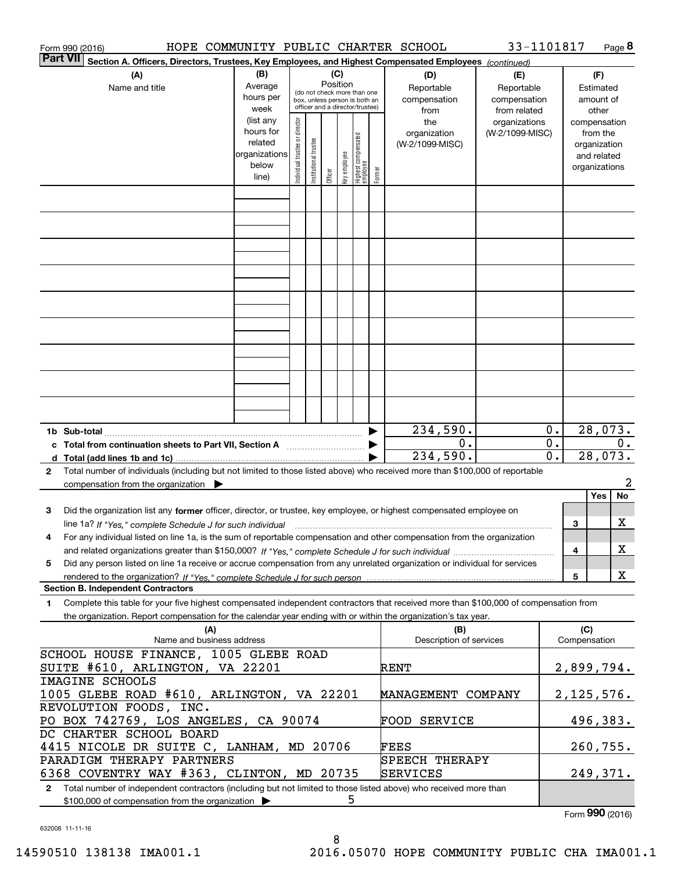| Form 990 (2016)                                                                                                                                                                         |                   |                                |                       |          |              |                                                                  |        | HOPE COMMUNITY PUBLIC CHARTER SCHOOL | 33-1101817                       |                  |              | Page 8                   |
|-----------------------------------------------------------------------------------------------------------------------------------------------------------------------------------------|-------------------|--------------------------------|-----------------------|----------|--------------|------------------------------------------------------------------|--------|--------------------------------------|----------------------------------|------------------|--------------|--------------------------|
| <b>Part VII</b><br>Section A. Officers, Directors, Trustees, Key Employees, and Highest Compensated Employees (continued)                                                               |                   |                                |                       |          |              |                                                                  |        |                                      |                                  |                  |              |                          |
| (A)                                                                                                                                                                                     | (B)               |                                |                       |          |              |                                                                  |        | (D)                                  | (E)                              |                  |              | (F)                      |
| Name and title                                                                                                                                                                          | Average           |                                |                       | Position |              | (do not check more than one                                      |        | Reportable                           | Reportable                       |                  |              | Estimated                |
|                                                                                                                                                                                         | hours per         |                                |                       |          |              | box, unless person is both an<br>officer and a director/trustee) |        | compensation                         | compensation                     |                  |              | amount of                |
|                                                                                                                                                                                         | week<br>(list any |                                |                       |          |              |                                                                  |        | from                                 | from related                     |                  |              | other                    |
|                                                                                                                                                                                         | hours for         | Individual trustee or director |                       |          |              |                                                                  |        | the<br>organization                  | organizations<br>(W-2/1099-MISC) |                  |              | compensation<br>from the |
|                                                                                                                                                                                         | related           |                                |                       |          |              |                                                                  |        | (W-2/1099-MISC)                      |                                  |                  |              | organization             |
|                                                                                                                                                                                         | organizations     |                                | Institutional trustee |          |              |                                                                  |        |                                      |                                  |                  |              | and related              |
|                                                                                                                                                                                         | below             |                                |                       |          |              |                                                                  |        |                                      |                                  | organizations    |              |                          |
|                                                                                                                                                                                         | line)             |                                |                       | Officer  | Key employee | Highest compensated<br>  employee                                | Former |                                      |                                  |                  |              |                          |
|                                                                                                                                                                                         |                   |                                |                       |          |              |                                                                  |        |                                      |                                  |                  |              |                          |
|                                                                                                                                                                                         |                   |                                |                       |          |              |                                                                  |        |                                      |                                  |                  |              |                          |
|                                                                                                                                                                                         |                   |                                |                       |          |              |                                                                  |        |                                      |                                  |                  |              |                          |
|                                                                                                                                                                                         |                   |                                |                       |          |              |                                                                  |        |                                      |                                  |                  |              |                          |
|                                                                                                                                                                                         |                   |                                |                       |          |              |                                                                  |        |                                      |                                  |                  |              |                          |
|                                                                                                                                                                                         |                   |                                |                       |          |              |                                                                  |        |                                      |                                  |                  |              |                          |
|                                                                                                                                                                                         |                   |                                |                       |          |              |                                                                  |        |                                      |                                  |                  |              |                          |
|                                                                                                                                                                                         |                   |                                |                       |          |              |                                                                  |        |                                      |                                  |                  |              |                          |
|                                                                                                                                                                                         |                   |                                |                       |          |              |                                                                  |        |                                      |                                  |                  |              |                          |
|                                                                                                                                                                                         |                   |                                |                       |          |              |                                                                  |        |                                      |                                  |                  |              |                          |
|                                                                                                                                                                                         |                   |                                |                       |          |              |                                                                  |        |                                      |                                  |                  |              |                          |
|                                                                                                                                                                                         |                   |                                |                       |          |              |                                                                  |        |                                      |                                  |                  |              |                          |
|                                                                                                                                                                                         |                   |                                |                       |          |              |                                                                  |        |                                      |                                  |                  |              |                          |
|                                                                                                                                                                                         |                   |                                |                       |          |              |                                                                  |        |                                      |                                  |                  |              |                          |
|                                                                                                                                                                                         |                   |                                |                       |          |              |                                                                  |        |                                      |                                  |                  |              |                          |
|                                                                                                                                                                                         |                   |                                |                       |          |              |                                                                  |        | 234, 590.                            |                                  | 0.               |              | 28,073.                  |
| 1b Sub-total<br>c Total from continuation sheets to Part VII, Section A <b>manual</b> Testion Section 3                                                                                 |                   |                                |                       |          |              |                                                                  |        | 0.                                   |                                  | $\overline{0}$ . |              | 0.                       |
|                                                                                                                                                                                         |                   |                                |                       |          |              |                                                                  |        | 234,590.                             |                                  | $\overline{0}$ . |              | 28,073.                  |
| Total number of individuals (including but not limited to those listed above) who received more than \$100,000 of reportable<br>$\mathbf{2}$                                            |                   |                                |                       |          |              |                                                                  |        |                                      |                                  |                  |              |                          |
| compensation from the organization $\blacktriangleright$                                                                                                                                |                   |                                |                       |          |              |                                                                  |        |                                      |                                  |                  |              | 2                        |
|                                                                                                                                                                                         |                   |                                |                       |          |              |                                                                  |        |                                      |                                  |                  |              | Yes<br>No                |
| Did the organization list any former officer, director, or trustee, key employee, or highest compensated employee on<br>3                                                               |                   |                                |                       |          |              |                                                                  |        |                                      |                                  |                  |              |                          |
| line 1a? If "Yes," complete Schedule J for such individual manufactured contained and the Yes," complete Schedule J for such individual                                                 |                   |                                |                       |          |              |                                                                  |        |                                      |                                  |                  | 3            | х                        |
| 4<br>For any individual listed on line 1a, is the sum of reportable compensation and other compensation from the organization                                                           |                   |                                |                       |          |              |                                                                  |        |                                      |                                  |                  |              |                          |
|                                                                                                                                                                                         |                   |                                |                       |          |              |                                                                  |        |                                      |                                  |                  | 4            | X                        |
| Did any person listed on line 1a receive or accrue compensation from any unrelated organization or individual for services<br>5                                                         |                   |                                |                       |          |              |                                                                  |        |                                      |                                  |                  |              |                          |
|                                                                                                                                                                                         |                   |                                |                       |          |              |                                                                  |        |                                      |                                  |                  | 5            | X                        |
| <b>Section B. Independent Contractors</b><br>Complete this table for your five highest compensated independent contractors that received more than \$100,000 of compensation from<br>1. |                   |                                |                       |          |              |                                                                  |        |                                      |                                  |                  |              |                          |
| the organization. Report compensation for the calendar year ending with or within the organization's tax year.                                                                          |                   |                                |                       |          |              |                                                                  |        |                                      |                                  |                  |              |                          |
| (A)                                                                                                                                                                                     |                   |                                |                       |          |              |                                                                  |        | (B)                                  |                                  |                  | (C)          |                          |
| Name and business address                                                                                                                                                               |                   |                                |                       |          |              |                                                                  |        | Description of services              |                                  |                  | Compensation |                          |
| SCHOOL HOUSE FINANCE, 1005 GLEBE ROAD                                                                                                                                                   |                   |                                |                       |          |              |                                                                  |        |                                      |                                  |                  |              |                          |
| SUITE #610, ARLINGTON, VA 22201                                                                                                                                                         |                   |                                |                       |          |              |                                                                  |        | RENT                                 |                                  |                  |              | 2,899,794.               |
| IMAGINE SCHOOLS                                                                                                                                                                         |                   |                                |                       |          |              |                                                                  |        |                                      |                                  |                  |              |                          |
| 1005 GLEBE ROAD #610, ARLINGTON, VA 22201<br>REVOLUTION FOODS, INC.                                                                                                                     |                   |                                |                       |          |              |                                                                  |        | MANAGEMENT COMPANY                   |                                  |                  |              | 2,125,576.               |
| PO BOX 742769, LOS ANGELES, CA 90074                                                                                                                                                    |                   |                                |                       |          |              |                                                                  |        | FOOD SERVICE                         |                                  |                  |              | 496,383.                 |
| DC CHARTER SCHOOL BOARD                                                                                                                                                                 |                   |                                |                       |          |              |                                                                  |        |                                      |                                  |                  |              |                          |
| 4415 NICOLE DR SUITE C, LANHAM, MD 20706                                                                                                                                                |                   |                                |                       |          |              |                                                                  |        | FEES                                 |                                  |                  |              | 260,755.                 |
| PARADIGM THERAPY PARTNERS                                                                                                                                                               |                   |                                |                       |          |              |                                                                  |        | SPEECH THERAPY                       |                                  |                  |              |                          |
| 6368 COVENTRY WAY #363, CLINTON, MD 20735                                                                                                                                               |                   |                                |                       |          |              |                                                                  |        | SERVICES                             |                                  |                  |              | 249,371.                 |
| Total number of independent contractors (including but not limited to those listed above) who received more than<br>$\mathbf{2}$                                                        |                   |                                |                       |          |              |                                                                  |        |                                      |                                  |                  |              |                          |
| \$100,000 of compensation from the organization >                                                                                                                                       |                   |                                |                       |          | 5            |                                                                  |        |                                      |                                  |                  |              |                          |

632008 11-11-16

Form (2016) **990**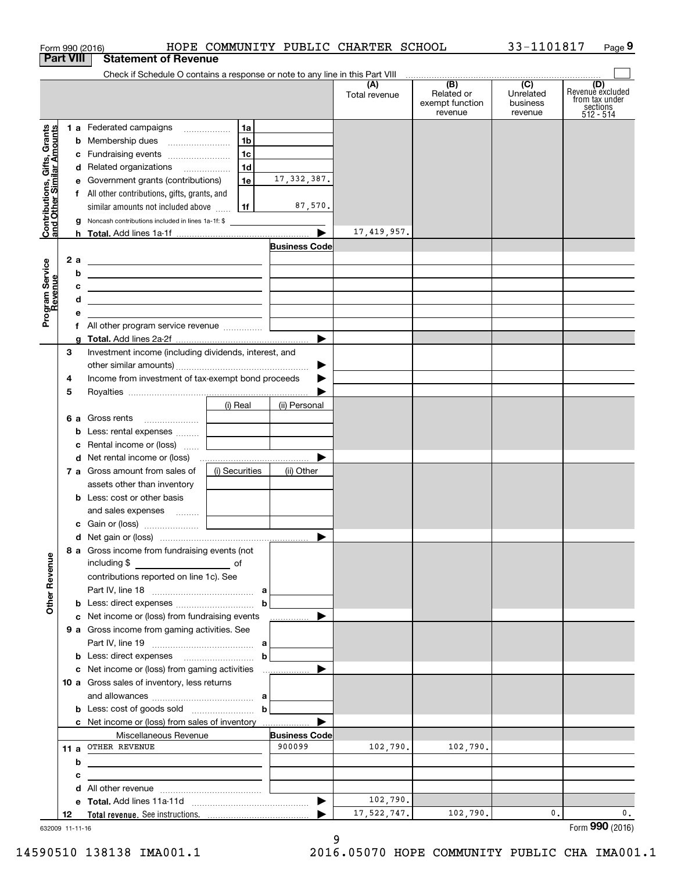| Form 990 (2016)                                           |                                                                                                                       |                                                           |                      | HOPE COMMUNITY PUBLIC CHARTER SCHOOL |                                                 | 33-1101817                                           | Page 9                                                               |
|-----------------------------------------------------------|-----------------------------------------------------------------------------------------------------------------------|-----------------------------------------------------------|----------------------|--------------------------------------|-------------------------------------------------|------------------------------------------------------|----------------------------------------------------------------------|
| <b>Part VIII</b>                                          | <b>Statement of Revenue</b>                                                                                           |                                                           |                      |                                      |                                                 |                                                      |                                                                      |
|                                                           |                                                                                                                       |                                                           |                      | (A)<br>Total revenue                 | (B)<br>Related or<br>exempt function<br>revenue | $\overline{(C)}$<br>Unrelated<br>business<br>revenue | (D)<br>Revenue excluded<br>from tax under<br>sections<br>$512 - 514$ |
|                                                           | 1 a Federated campaigns                                                                                               | 1a                                                        |                      |                                      |                                                 |                                                      |                                                                      |
|                                                           | <b>b</b> Membership dues                                                                                              | 1 <sub>b</sub>                                            |                      |                                      |                                                 |                                                      |                                                                      |
|                                                           | c Fundraising events                                                                                                  | 1c                                                        |                      |                                      |                                                 |                                                      |                                                                      |
|                                                           | d Related organizations                                                                                               | 1d                                                        |                      |                                      |                                                 |                                                      |                                                                      |
|                                                           | e Government grants (contributions)                                                                                   | 1e                                                        | 17, 332, 387.        |                                      |                                                 |                                                      |                                                                      |
|                                                           | f All other contributions, gifts, grants, and                                                                         |                                                           |                      |                                      |                                                 |                                                      |                                                                      |
|                                                           | similar amounts not included above                                                                                    | 1f                                                        | 87,570.              |                                      |                                                 |                                                      |                                                                      |
| Contributions, Gifts, Grants<br>and Other Similar Amounts | g Noncash contributions included in lines 1a-1f: \$                                                                   |                                                           |                      | 17, 419, 957.                        |                                                 |                                                      |                                                                      |
|                                                           |                                                                                                                       |                                                           | <b>Business Code</b> |                                      |                                                 |                                                      |                                                                      |
| 2 a                                                       | <u> 1989 - Johann Barn, fransk politik amerikansk politik (</u>                                                       |                                                           |                      |                                      |                                                 |                                                      |                                                                      |
| b                                                         | <u> 1989 - Johann Harry Harry Harry Harry Harry Harry Harry Harry Harry Harry Harry Harry Harry Harry Harry Harry</u> |                                                           |                      |                                      |                                                 |                                                      |                                                                      |
| c                                                         | <u> 2000 - Jan Alexander (f. 1982)</u>                                                                                |                                                           |                      |                                      |                                                 |                                                      |                                                                      |
| Program Service<br>Revenue<br>d                           |                                                                                                                       |                                                           |                      |                                      |                                                 |                                                      |                                                                      |
| е                                                         |                                                                                                                       | <u> 1980 - Andrea Station Books, amerikansk politik (</u> |                      |                                      |                                                 |                                                      |                                                                      |
|                                                           | f All other program service revenue                                                                                   |                                                           |                      |                                      |                                                 |                                                      |                                                                      |
|                                                           |                                                                                                                       |                                                           |                      |                                      |                                                 |                                                      |                                                                      |
| 3                                                         | Investment income (including dividends, interest, and                                                                 |                                                           |                      |                                      |                                                 |                                                      |                                                                      |
|                                                           |                                                                                                                       |                                                           | ▶                    |                                      |                                                 |                                                      |                                                                      |
| 4                                                         | Income from investment of tax-exempt bond proceeds                                                                    |                                                           |                      |                                      |                                                 |                                                      |                                                                      |
| 5                                                         |                                                                                                                       |                                                           |                      |                                      |                                                 |                                                      |                                                                      |
|                                                           |                                                                                                                       | (i) Real                                                  | (ii) Personal        |                                      |                                                 |                                                      |                                                                      |
|                                                           | 6 a Gross rents                                                                                                       | the control of the control of the                         |                      |                                      |                                                 |                                                      |                                                                      |
|                                                           | <b>b</b> Less: rental expenses                                                                                        |                                                           |                      |                                      |                                                 |                                                      |                                                                      |
|                                                           | c Rental income or (loss)                                                                                             | and the control of the control of                         |                      |                                      |                                                 |                                                      |                                                                      |
|                                                           |                                                                                                                       |                                                           |                      |                                      |                                                 |                                                      |                                                                      |
|                                                           | 7 a Gross amount from sales of                                                                                        | (i) Securities                                            | (ii) Other           |                                      |                                                 |                                                      |                                                                      |
|                                                           | assets other than inventory                                                                                           |                                                           |                      |                                      |                                                 |                                                      |                                                                      |
|                                                           | <b>b</b> Less: cost or other basis                                                                                    |                                                           |                      |                                      |                                                 |                                                      |                                                                      |
|                                                           | and sales expenses                                                                                                    |                                                           |                      |                                      |                                                 |                                                      |                                                                      |
|                                                           |                                                                                                                       |                                                           |                      |                                      |                                                 |                                                      |                                                                      |
|                                                           | 8 a Gross income from fundraising events (not                                                                         |                                                           |                      |                                      |                                                 |                                                      |                                                                      |
|                                                           | including \$<br>and the contract of the contract of                                                                   |                                                           |                      |                                      |                                                 |                                                      |                                                                      |
| <b>Other Revenue</b>                                      | contributions reported on line 1c). See                                                                               |                                                           |                      |                                      |                                                 |                                                      |                                                                      |
|                                                           |                                                                                                                       |                                                           |                      |                                      |                                                 |                                                      |                                                                      |
|                                                           |                                                                                                                       | b                                                         |                      |                                      |                                                 |                                                      |                                                                      |
|                                                           | c Net income or (loss) from fundraising events<br>9 a Gross income from gaming activities. See                        |                                                           | .                    |                                      |                                                 |                                                      |                                                                      |
|                                                           |                                                                                                                       |                                                           |                      |                                      |                                                 |                                                      |                                                                      |
|                                                           |                                                                                                                       | $\mathbf b$                                               |                      |                                      |                                                 |                                                      |                                                                      |
|                                                           |                                                                                                                       |                                                           |                      |                                      |                                                 |                                                      |                                                                      |
|                                                           | 10 a Gross sales of inventory, less returns                                                                           |                                                           |                      |                                      |                                                 |                                                      |                                                                      |
|                                                           |                                                                                                                       |                                                           |                      |                                      |                                                 |                                                      |                                                                      |
|                                                           | <b>b</b> Less: cost of goods sold $\begin{bmatrix} b & b \end{bmatrix}$                                               |                                                           |                      |                                      |                                                 |                                                      |                                                                      |
|                                                           | c Net income or (loss) from sales of inventory                                                                        |                                                           |                      |                                      |                                                 |                                                      |                                                                      |
|                                                           | Miscellaneous Revenue                                                                                                 |                                                           | <b>Business Code</b> |                                      |                                                 |                                                      |                                                                      |
|                                                           | 11 a OTHER REVENUE                                                                                                    |                                                           | 900099               | 102,790.                             | 102,790.                                        |                                                      |                                                                      |
| b                                                         | <u> 1989 - Johann Stein, marwolaethau a bhann an t-Amhainn an t-Amhainn an t-Amhainn an t-Amhainn an t-Amhainn an</u> |                                                           |                      |                                      |                                                 |                                                      |                                                                      |
| с                                                         |                                                                                                                       |                                                           |                      |                                      |                                                 |                                                      |                                                                      |
|                                                           |                                                                                                                       |                                                           |                      |                                      |                                                 |                                                      |                                                                      |
|                                                           |                                                                                                                       |                                                           |                      | 102,790.                             |                                                 |                                                      |                                                                      |
|                                                           |                                                                                                                       |                                                           |                      |                                      | 102,790.                                        |                                                      |                                                                      |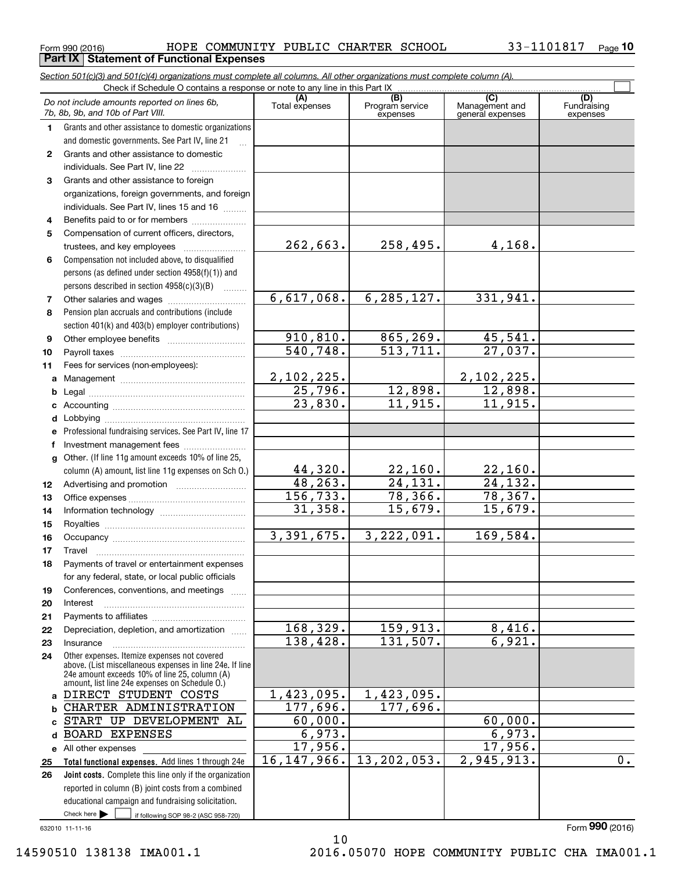$_{\rm Form}$   $_{990}$  (2016) <code>BOPE COMMUNITY PUBLIC CHARTER SCHOOL</code>  $_{\rm 33-1101817}$   $_{\rm Page}$ **Part IX | Statement of Functional Expenses** 

**10**

|                  | Section 501(c)(3) and 501(c)(4) organizations must complete all columns. All other organizations must complete column (A).<br>Check if Schedule O contains a response or note to any line in this Part IX |                              |                                    |                                           |                                |
|------------------|-----------------------------------------------------------------------------------------------------------------------------------------------------------------------------------------------------------|------------------------------|------------------------------------|-------------------------------------------|--------------------------------|
|                  | Do not include amounts reported on lines 6b,<br>7b, 8b, 9b, and 10b of Part VIII.                                                                                                                         | (A)<br>Total expenses        | (B)<br>Program service<br>expenses | (C)<br>Management and<br>general expenses | (D)<br>Fundraising<br>expenses |
| 1.               | Grants and other assistance to domestic organizations                                                                                                                                                     |                              |                                    |                                           |                                |
|                  | and domestic governments. See Part IV, line 21                                                                                                                                                            |                              |                                    |                                           |                                |
| $\mathbf{2}$     | Grants and other assistance to domestic                                                                                                                                                                   |                              |                                    |                                           |                                |
|                  | individuals. See Part IV, line 22                                                                                                                                                                         |                              |                                    |                                           |                                |
| 3                | Grants and other assistance to foreign                                                                                                                                                                    |                              |                                    |                                           |                                |
|                  | organizations, foreign governments, and foreign                                                                                                                                                           |                              |                                    |                                           |                                |
|                  | individuals. See Part IV, lines 15 and 16                                                                                                                                                                 |                              |                                    |                                           |                                |
| 4                | Benefits paid to or for members                                                                                                                                                                           |                              |                                    |                                           |                                |
| 5                | Compensation of current officers, directors,                                                                                                                                                              |                              |                                    |                                           |                                |
|                  | trustees, and key employees                                                                                                                                                                               | 262,663.                     | 258,495.                           | 4,168.                                    |                                |
| 6                | Compensation not included above, to disqualified                                                                                                                                                          |                              |                                    |                                           |                                |
|                  | persons (as defined under section 4958(f)(1)) and                                                                                                                                                         |                              |                                    |                                           |                                |
|                  | persons described in section 4958(c)(3)(B)<br>1.1.1.1.1.1.1                                                                                                                                               |                              |                                    |                                           |                                |
| 7                |                                                                                                                                                                                                           | 6,617,068.                   | 6, 285, 127.                       | 331,941.                                  |                                |
| 8                | Pension plan accruals and contributions (include                                                                                                                                                          |                              |                                    |                                           |                                |
|                  | section 401(k) and 403(b) employer contributions)                                                                                                                                                         | $\overline{910, 810}$ .      | 865,269.                           | 45,541.                                   |                                |
| 9<br>10          |                                                                                                                                                                                                           | 540, 748.                    | 513, 711.                          | 27,037.                                   |                                |
| 11               | Fees for services (non-employees):                                                                                                                                                                        |                              |                                    |                                           |                                |
| a                |                                                                                                                                                                                                           |                              |                                    | 2,102,225.                                |                                |
| b                |                                                                                                                                                                                                           | $\frac{2,102,225.}{25,796.}$ | 12,898.                            | 12,898.                                   |                                |
| c                |                                                                                                                                                                                                           | 23,830.                      | 11,915.                            | 11,915.                                   |                                |
| d                |                                                                                                                                                                                                           |                              |                                    |                                           |                                |
| е                | Professional fundraising services. See Part IV, line 17                                                                                                                                                   |                              |                                    |                                           |                                |
| f                | Investment management fees                                                                                                                                                                                |                              |                                    |                                           |                                |
| g                | Other. (If line 11g amount exceeds 10% of line 25,                                                                                                                                                        |                              |                                    |                                           |                                |
|                  | column (A) amount, list line 11g expenses on Sch O.)                                                                                                                                                      | 44,320.                      | 22,160.                            | 22,160.                                   |                                |
| 12 <sup>12</sup> |                                                                                                                                                                                                           | 48, 263.                     | 24,131.                            | 24, 132.                                  |                                |
| 13               |                                                                                                                                                                                                           | 156, 733.                    | 78, 366.                           | 78,367.                                   |                                |
| 14               |                                                                                                                                                                                                           | 31,358.                      | 15,679.                            | 15,679.                                   |                                |
| 15               |                                                                                                                                                                                                           |                              |                                    |                                           |                                |
| 16               |                                                                                                                                                                                                           | 3,391,675.                   | 3,222,091.                         | 169,584.                                  |                                |
| 17               |                                                                                                                                                                                                           |                              |                                    |                                           |                                |
|                  | Payments of travel or entertainment expenses                                                                                                                                                              |                              |                                    |                                           |                                |
|                  | for any federal, state, or local public officials                                                                                                                                                         |                              |                                    |                                           |                                |
| 19               | Conferences, conventions, and meetings                                                                                                                                                                    |                              |                                    |                                           |                                |
| 20<br>21         | Interest                                                                                                                                                                                                  |                              |                                    |                                           |                                |
| 22               | Depreciation, depletion, and amortization                                                                                                                                                                 | 168,329.                     | 159,913.                           | 8,416.                                    |                                |
| 23               | Insurance                                                                                                                                                                                                 | 138,428.                     | 131,507.                           | 6,921.                                    |                                |
| 24               | Other expenses. Itemize expenses not covered                                                                                                                                                              |                              |                                    |                                           |                                |
|                  | above. (List miscellaneous expenses in line 24e. If line                                                                                                                                                  |                              |                                    |                                           |                                |
|                  | 24e amount exceeds 10% of line 25, column (A)<br>amount, list line 24e expenses on Schedule O.)                                                                                                           |                              |                                    |                                           |                                |
| a                | DIRECT STUDENT COSTS                                                                                                                                                                                      | 1,423,095.                   | 1,423,095.                         |                                           |                                |
| b                | CHARTER ADMINISTRATION                                                                                                                                                                                    | 177,696.                     | 177,696.                           |                                           |                                |
|                  | START UP DEVELOPMENT AL                                                                                                                                                                                   | 60,000.                      |                                    | 60,000.                                   |                                |
| d                | <b>BOARD EXPENSES</b>                                                                                                                                                                                     | 6,973.                       |                                    | 6,973.                                    |                                |
|                  | e All other expenses                                                                                                                                                                                      | 17,956.                      |                                    | 17,956.                                   |                                |
| 25               | Total functional expenses. Add lines 1 through 24e                                                                                                                                                        | 16, 147, 966.                | 13, 202, 053.                      | 2,945,913.                                | 0.                             |
| 26               | Joint costs. Complete this line only if the organization                                                                                                                                                  |                              |                                    |                                           |                                |
|                  | reported in column (B) joint costs from a combined                                                                                                                                                        |                              |                                    |                                           |                                |
|                  | educational campaign and fundraising solicitation.                                                                                                                                                        |                              |                                    |                                           |                                |
|                  | Check here $\blacktriangleright$<br>if following SOP 98-2 (ASC 958-720)                                                                                                                                   |                              |                                    |                                           |                                |

10

632010 11-11-16

Form (2016) **990**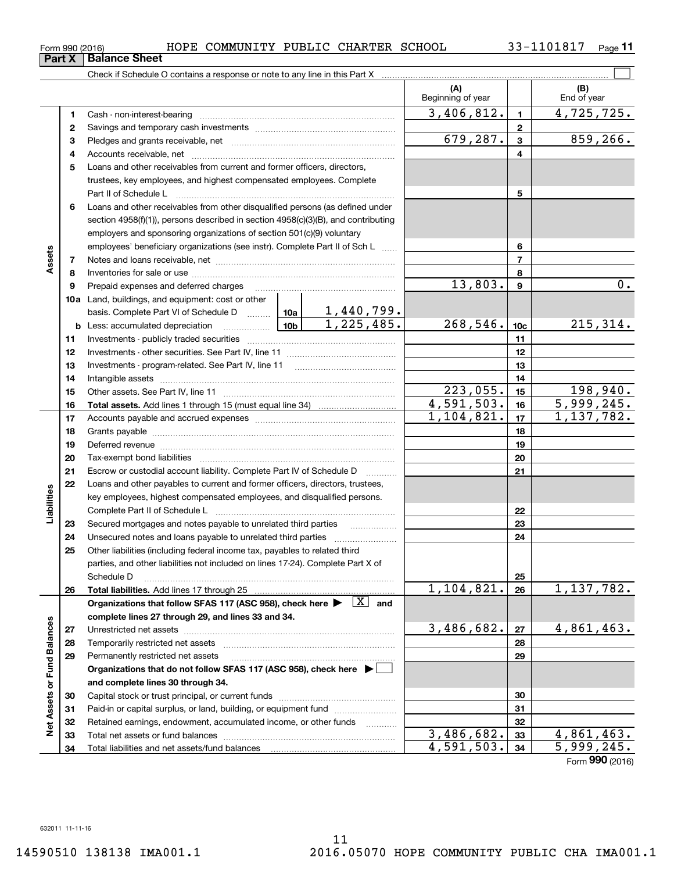**(A) (B) 123** Pledges and grants receivable, net  $\ldots$  **multimes contained and grants receivable**, net **multimes contained and grants receivable**, net **multimes contained and grants receivable 45**Loans and other receivables from current and former officers, directors, **6**Loans and other receivables from other disqualified persons (as defined under **78912345678910c11121314151617181920212223b** Less: accumulated depreciation \_\_\_\_\_\_\_\_\_\_\_\_\_\_\_ Lub basis. Complete Part VI of Schedule D will aller **Total assets.**  Add lines 1 through 15 (must equal line 34)  $_{\rm Form}$   $_{990}$  (2016) <code>BOPE COMMUNITY PUBLIC CHARTER SCHOOL</code>  $_{\rm 33-1101817}$   $_{\rm Page}$ Check if Schedule O contains a response or note to any line in this Part X Beginning of year | | End of year Cash - non-interest-bearing ~~~~~~~~~~~~~~~~~~~~~~~~~ Savings and temporary cash investments ~~~~~~~~~~~~~~~~~~Accounts receivable, net ~~~~~~~~~~~~~~~~~~~~~~~~~~ trustees, key employees, and highest compensated employees. Complete Part II of Schedule L ~~~~~~~~~~~~~~~~~~~~~~~~~~~~ section 4958(f)(1)), persons described in section 4958(c)(3)(B), and contributing employers and sponsoring organizations of section 501(c)(9) voluntary employees' beneficiary organizations (see instr). Complete Part II of Sch L ...... Notes and loans receivable, net ~~~~~~~~~~~~~~~~~~~~~~~ Inventories for sale or use ~~~~~~~~~~~~~~~~~~~~~~~~~~ Prepaid expenses and deferred charges Investments - publicly traded securities ~~~~~~~~~~~~~~~~~~~ Investments - other securities. See Part IV, line 11 ~~~~~~~~~~~~~~Investments - program-related. See Part IV, line 11 Intangible assets ~~~~~~~~~~~~~~~~~~~~~~~~~~~~~~ Other assets. See Part IV, line 11 ~~~~~~~~~~~~~~~~~~~~~~ Accounts payable and accrued expenses ~~~~~~~~~~~~~~~~~~Grants payable ~~~~~~~~~~~~~~~~~~~~~~~~~~~~~~~ Deferred revenue et al. and the state of the state of the state of the state of the state of the state of the state of the state of the state of the state of the state of the state of the state of the state of the state of Tax-exempt bond liabilities …………………………………………………………… Escrow or custodial account liability. Complete Part IV of Schedule D  $\quad \, \ldots \ldots \ldots \,$ Loans and other payables to current and former officers, directors, trustees, key employees, highest compensated employees, and disqualified persons. Complete Part II of Schedule L <sub>…………………………………………………………</sub> Secured mortgages and notes payable to unrelated third parties 33-1101817 <sub>Page</sub> 11 **Part X** Balance Sheet  $3,406,812.$   $1 \mid 4,725,725.$  $679,287.$  3 859,266.  $13,803.$  | 9 | 0. 1,440,799.

**10a**Land, buildings, and equipment: cost or other  $1,225,485.$  268,546. 10c 215,314. **11121314** $223,055.$  15 198,940. **15** $4,591,503.$   $16$  5,999,245. **16** $1,104,821.$  1, 1, 137, 782. **171819202122**Liabilities **23**Unsecured notes and loans payable to unrelated third parties ~~~~~~~~~~~~~~~~~~~~ **242425**Other liabilities (including federal income tax, payables to related third parties, and other liabilities not included on lines 17-24). Complete Part X of Schedule D ~~~~~~~~~~~~~~~~~~~~~~~~~~~~~~~~ **25** $1,104,821. |z_6| 1,137,782.$ **2626Total liabilities.**  Add lines 17 through 25 Organizations that follow SFAS 117 (ASC 958), check here  $\blacktriangleright$   $\boxed{\text{X}}$  and **complete lines 27 through 29, and lines 33 and 34. Net Assets or Fund Balances Net Assets or Fund Balances**  $3,486,682. |z_7| 4,861,463.$ **2727**Unrestricted net assets ~~~~~~~~~~~~~~~~~~~~~~~~~~~ **2828**Temporarily restricted net assets ~~~~~~~~~~~~~~~~~~~~~~ **2929**Permanently restricted net assets …………………………………………………… **Organizations that do not follow SFAS 117 (ASC 958), check here** | **and complete lines 30 through 34. 3030**Capital stock or trust principal, or current funds ~~~~~~~~~~~~~~~ **3131**Paid-in or capital surplus, or land, building, or equipment fund will concurred. **3232**Retained earnings, endowment, accumulated income, or other funds www.com  $3,486,682.$   $33$  4,861,463. Total net assets or fund balances ~~~~~~~~~~~~~~~~~~~~~~ **3333** $4,591,503.$   $34$  | 5,999,245. **34**Total liabilities and net assets/fund balances **34**

Form (2016) **990**

 $\mathcal{L}^{\text{max}}$ 

| Form 990 (2016) |  |  |
|-----------------|--|--|
|                 |  |  |

**Assets**

**Liabilities**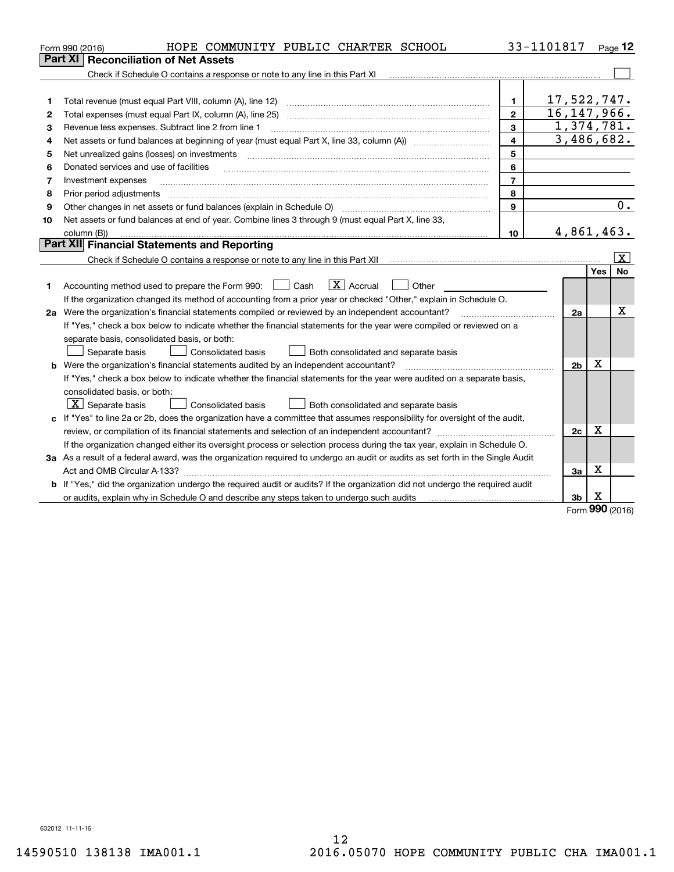|    | HOPE COMMUNITY PUBLIC CHARTER SCHOOL<br>Form 990 (2016)                                                                         |                | 33-1101817     |            | Page $12$               |
|----|---------------------------------------------------------------------------------------------------------------------------------|----------------|----------------|------------|-------------------------|
|    | <b>Reconciliation of Net Assets</b><br>Part XI                                                                                  |                |                |            |                         |
|    |                                                                                                                                 |                |                |            |                         |
|    |                                                                                                                                 |                |                |            |                         |
| 1  | Total revenue (must equal Part VIII, column (A), line 12)                                                                       | $\mathbf{1}$   | 17,522,747.    |            |                         |
| 2  |                                                                                                                                 | $\mathbf{2}$   | 16, 147, 966.  |            |                         |
| 3  | Revenue less expenses. Subtract line 2 from line 1                                                                              | 3              | 1,374,781.     |            |                         |
| 4  | Net assets or fund balances at beginning of year (must equal Part X, line 33, column (A)) manured manu-                         | 4              | 3,486,682.     |            |                         |
| 5  | Net unrealized gains (losses) on investments                                                                                    | 5              |                |            |                         |
| 6  | Donated services and use of facilities                                                                                          | 6              |                |            |                         |
| 7  | Investment expenses                                                                                                             | $\overline{7}$ |                |            |                         |
| 8  | Prior period adjustments                                                                                                        | 8              |                |            |                         |
| 9  |                                                                                                                                 | 9              |                |            | 0.                      |
| 10 | Net assets or fund balances at end of year. Combine lines 3 through 9 (must equal Part X, line 33,                              |                |                |            |                         |
|    | column (B))                                                                                                                     | 10             | 4,861,463.     |            |                         |
|    | Part XII Financial Statements and Reporting                                                                                     |                |                |            |                         |
|    |                                                                                                                                 |                |                |            | $\overline{\mathbf{x}}$ |
|    |                                                                                                                                 |                |                | <b>Yes</b> | <b>No</b>               |
| 1  | $\boxed{\mathbf{X}}$ Accrual<br>Accounting method used to prepare the Form 990: <u>June</u> Cash<br>$\vert$ $\vert$ Other       |                |                |            |                         |
|    | If the organization changed its method of accounting from a prior year or checked "Other," explain in Schedule O.               |                |                |            |                         |
|    | 2a Were the organization's financial statements compiled or reviewed by an independent accountant?                              |                | 2a             |            | x                       |
|    | If "Yes," check a box below to indicate whether the financial statements for the year were compiled or reviewed on a            |                |                |            |                         |
|    | separate basis, consolidated basis, or both:                                                                                    |                |                |            |                         |
|    | <b>Consolidated basis</b><br>Both consolidated and separate basis<br>Separate basis                                             |                |                |            |                         |
|    | <b>b</b> Were the organization's financial statements audited by an independent accountant?                                     |                | 2 <sub>b</sub> | Х          |                         |
|    | If "Yes," check a box below to indicate whether the financial statements for the year were audited on a separate basis,         |                |                |            |                         |
|    | consolidated basis, or both:                                                                                                    |                |                |            |                         |
|    | $\lfloor x \rfloor$ Separate basis<br><b>Consolidated basis</b><br>Both consolidated and separate basis                         |                |                |            |                         |
|    | c If "Yes" to line 2a or 2b, does the organization have a committee that assumes responsibility for oversight of the audit,     |                |                |            |                         |
|    |                                                                                                                                 |                | 2c             | х          |                         |
|    | If the organization changed either its oversight process or selection process during the tax year, explain in Schedule O.       |                |                |            |                         |
|    | 3a As a result of a federal award, was the organization required to undergo an audit or audits as set forth in the Single Audit |                |                |            |                         |
|    |                                                                                                                                 |                | Зa             | Х          |                         |
|    | b If "Yes," did the organization undergo the required audit or audits? If the organization did not undergo the required audit   |                |                |            |                         |
|    | or audits, explain why in Schedule O and describe any steps taken to undergo such audits                                        |                | 3b             | х<br>nnn   |                         |

Form (2016) **990**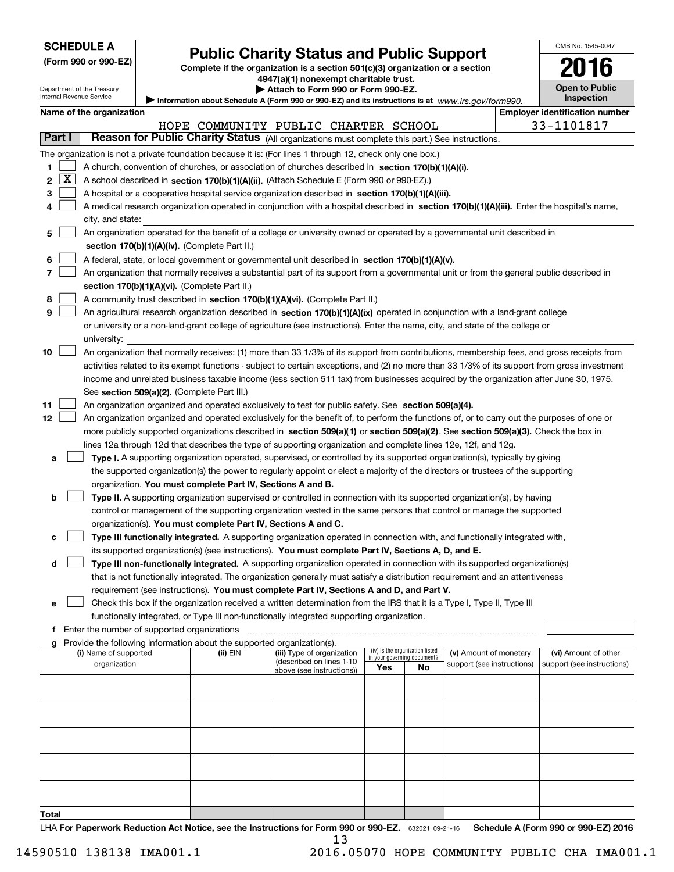| <b>SCHEDULE A</b> |
|-------------------|
|-------------------|

Department of the Treasury Internal Revenue Service

|  | (Form 990 or 990-EZ) |
|--|----------------------|
|--|----------------------|

# **Public Charity Status and Public Support**

**Complete if the organization is a section 501(c)(3) organization or a section 4947(a)(1) nonexempt charitable trust.**

| Attach to Form 990 or Form 990-EZ. |  |  |  |
|------------------------------------|--|--|--|
|------------------------------------|--|--|--|

OMB No. 1545-0047

**Open to Public**

**2016**

|    | nternal Revenue Service<br><b>Inspection</b><br>Information about Schedule A (Form 990 or 990-EZ) and its instructions is at $www.irs.gov/form990.$ |                          |                                               |                                                                        |                                                                                                                                               |                             |                                 |                            |                                       |
|----|-----------------------------------------------------------------------------------------------------------------------------------------------------|--------------------------|-----------------------------------------------|------------------------------------------------------------------------|-----------------------------------------------------------------------------------------------------------------------------------------------|-----------------------------|---------------------------------|----------------------------|---------------------------------------|
|    |                                                                                                                                                     | Name of the organization |                                               |                                                                        |                                                                                                                                               |                             |                                 |                            | <b>Employer identification number</b> |
|    |                                                                                                                                                     |                          |                                               |                                                                        | HOPE COMMUNITY PUBLIC CHARTER SCHOOL                                                                                                          |                             |                                 |                            | 33-1101817                            |
|    | Part I                                                                                                                                              |                          |                                               |                                                                        | Reason for Public Charity Status (All organizations must complete this part.) See instructions.                                               |                             |                                 |                            |                                       |
|    |                                                                                                                                                     |                          |                                               |                                                                        | The organization is not a private foundation because it is: (For lines 1 through 12, check only one box.)                                     |                             |                                 |                            |                                       |
| 1. |                                                                                                                                                     |                          |                                               |                                                                        | A church, convention of churches, or association of churches described in section 170(b)(1)(A)(i).                                            |                             |                                 |                            |                                       |
| 2  | X                                                                                                                                                   |                          |                                               |                                                                        | A school described in section 170(b)(1)(A)(ii). (Attach Schedule E (Form 990 or 990-EZ).)                                                     |                             |                                 |                            |                                       |
| 3  |                                                                                                                                                     |                          |                                               |                                                                        | A hospital or a cooperative hospital service organization described in section 170(b)(1)(A)(iii).                                             |                             |                                 |                            |                                       |
| 4  |                                                                                                                                                     |                          |                                               |                                                                        | A medical research organization operated in conjunction with a hospital described in section 170(b)(1)(A)(iii). Enter the hospital's name,    |                             |                                 |                            |                                       |
|    |                                                                                                                                                     | city, and state:         |                                               |                                                                        |                                                                                                                                               |                             |                                 |                            |                                       |
| 5. |                                                                                                                                                     |                          |                                               |                                                                        | An organization operated for the benefit of a college or university owned or operated by a governmental unit described in                     |                             |                                 |                            |                                       |
|    |                                                                                                                                                     |                          |                                               | section 170(b)(1)(A)(iv). (Complete Part II.)                          |                                                                                                                                               |                             |                                 |                            |                                       |
|    |                                                                                                                                                     |                          |                                               |                                                                        |                                                                                                                                               |                             |                                 |                            |                                       |
| 6  |                                                                                                                                                     |                          |                                               |                                                                        | A federal, state, or local government or governmental unit described in section 170(b)(1)(A)(v).                                              |                             |                                 |                            |                                       |
| 7  |                                                                                                                                                     |                          |                                               |                                                                        | An organization that normally receives a substantial part of its support from a governmental unit or from the general public described in     |                             |                                 |                            |                                       |
|    |                                                                                                                                                     |                          |                                               | section 170(b)(1)(A)(vi). (Complete Part II.)                          |                                                                                                                                               |                             |                                 |                            |                                       |
| 8  |                                                                                                                                                     |                          |                                               |                                                                        | A community trust described in section 170(b)(1)(A)(vi). (Complete Part II.)                                                                  |                             |                                 |                            |                                       |
| 9  |                                                                                                                                                     |                          |                                               |                                                                        | An agricultural research organization described in section 170(b)(1)(A)(ix) operated in conjunction with a land-grant college                 |                             |                                 |                            |                                       |
|    |                                                                                                                                                     |                          |                                               |                                                                        | or university or a non-land-grant college of agriculture (see instructions). Enter the name, city, and state of the college or                |                             |                                 |                            |                                       |
|    |                                                                                                                                                     | university:              |                                               |                                                                        |                                                                                                                                               |                             |                                 |                            |                                       |
| 10 |                                                                                                                                                     |                          |                                               |                                                                        | An organization that normally receives: (1) more than 33 1/3% of its support from contributions, membership fees, and gross receipts from     |                             |                                 |                            |                                       |
|    |                                                                                                                                                     |                          |                                               |                                                                        | activities related to its exempt functions - subject to certain exceptions, and (2) no more than 33 1/3% of its support from gross investment |                             |                                 |                            |                                       |
|    |                                                                                                                                                     |                          |                                               |                                                                        | income and unrelated business taxable income (less section 511 tax) from businesses acquired by the organization after June 30, 1975.         |                             |                                 |                            |                                       |
|    |                                                                                                                                                     |                          |                                               | See section 509(a)(2). (Complete Part III.)                            |                                                                                                                                               |                             |                                 |                            |                                       |
| 11 |                                                                                                                                                     |                          |                                               |                                                                        | An organization organized and operated exclusively to test for public safety. See section 509(a)(4).                                          |                             |                                 |                            |                                       |
| 12 |                                                                                                                                                     |                          |                                               |                                                                        | An organization organized and operated exclusively for the benefit of, to perform the functions of, or to carry out the purposes of one or    |                             |                                 |                            |                                       |
|    |                                                                                                                                                     |                          |                                               |                                                                        | more publicly supported organizations described in section 509(a)(1) or section 509(a)(2). See section 509(a)(3). Check the box in            |                             |                                 |                            |                                       |
|    |                                                                                                                                                     |                          |                                               |                                                                        | lines 12a through 12d that describes the type of supporting organization and complete lines 12e, 12f, and 12g.                                |                             |                                 |                            |                                       |
| а  |                                                                                                                                                     |                          |                                               |                                                                        | Type I. A supporting organization operated, supervised, or controlled by its supported organization(s), typically by giving                   |                             |                                 |                            |                                       |
|    |                                                                                                                                                     |                          |                                               |                                                                        | the supported organization(s) the power to regularly appoint or elect a majority of the directors or trustees of the supporting               |                             |                                 |                            |                                       |
|    |                                                                                                                                                     |                          |                                               | organization. You must complete Part IV, Sections A and B.             |                                                                                                                                               |                             |                                 |                            |                                       |
| b  |                                                                                                                                                     |                          |                                               |                                                                        | Type II. A supporting organization supervised or controlled in connection with its supported organization(s), by having                       |                             |                                 |                            |                                       |
|    |                                                                                                                                                     |                          |                                               |                                                                        | control or management of the supporting organization vested in the same persons that control or manage the supported                          |                             |                                 |                            |                                       |
|    |                                                                                                                                                     |                          |                                               | organization(s). You must complete Part IV, Sections A and C.          |                                                                                                                                               |                             |                                 |                            |                                       |
| с  |                                                                                                                                                     |                          |                                               |                                                                        | Type III functionally integrated. A supporting organization operated in connection with, and functionally integrated with,                    |                             |                                 |                            |                                       |
|    |                                                                                                                                                     |                          |                                               |                                                                        | its supported organization(s) (see instructions). You must complete Part IV, Sections A, D, and E.                                            |                             |                                 |                            |                                       |
| d  |                                                                                                                                                     |                          |                                               |                                                                        | Type III non-functionally integrated. A supporting organization operated in connection with its supported organization(s)                     |                             |                                 |                            |                                       |
|    |                                                                                                                                                     |                          |                                               |                                                                        | that is not functionally integrated. The organization generally must satisfy a distribution requirement and an attentiveness                  |                             |                                 |                            |                                       |
|    |                                                                                                                                                     |                          |                                               |                                                                        | requirement (see instructions). You must complete Part IV, Sections A and D, and Part V.                                                      |                             |                                 |                            |                                       |
| е  |                                                                                                                                                     |                          |                                               |                                                                        | Check this box if the organization received a written determination from the IRS that it is a Type I, Type II, Type III                       |                             |                                 |                            |                                       |
|    |                                                                                                                                                     |                          |                                               |                                                                        | functionally integrated, or Type III non-functionally integrated supporting organization.                                                     |                             |                                 |                            |                                       |
|    |                                                                                                                                                     |                          | f Enter the number of supported organizations |                                                                        |                                                                                                                                               |                             |                                 |                            |                                       |
|    |                                                                                                                                                     |                          |                                               | Provide the following information about the supported organization(s). |                                                                                                                                               |                             |                                 |                            |                                       |
|    |                                                                                                                                                     | (i) Name of supported    |                                               | (ii) EIN                                                               | (iii) Type of organization                                                                                                                    | in your governing document? | (iv) Is the organization listed | (v) Amount of monetary     | (vi) Amount of other                  |
|    |                                                                                                                                                     | organization             |                                               |                                                                        | (described on lines 1-10<br>above (see instructions))                                                                                         | Yes                         | <b>No</b>                       | support (see instructions) | support (see instructions)            |
|    |                                                                                                                                                     |                          |                                               |                                                                        |                                                                                                                                               |                             |                                 |                            |                                       |
|    |                                                                                                                                                     |                          |                                               |                                                                        |                                                                                                                                               |                             |                                 |                            |                                       |
|    |                                                                                                                                                     |                          |                                               |                                                                        |                                                                                                                                               |                             |                                 |                            |                                       |
|    |                                                                                                                                                     |                          |                                               |                                                                        |                                                                                                                                               |                             |                                 |                            |                                       |
|    |                                                                                                                                                     |                          |                                               |                                                                        |                                                                                                                                               |                             |                                 |                            |                                       |
|    |                                                                                                                                                     |                          |                                               |                                                                        |                                                                                                                                               |                             |                                 |                            |                                       |
|    |                                                                                                                                                     |                          |                                               |                                                                        |                                                                                                                                               |                             |                                 |                            |                                       |
|    |                                                                                                                                                     |                          |                                               |                                                                        |                                                                                                                                               |                             |                                 |                            |                                       |
|    |                                                                                                                                                     |                          |                                               |                                                                        |                                                                                                                                               |                             |                                 |                            |                                       |
|    |                                                                                                                                                     |                          |                                               |                                                                        |                                                                                                                                               |                             |                                 |                            |                                       |
|    |                                                                                                                                                     |                          |                                               |                                                                        |                                                                                                                                               |                             |                                 |                            |                                       |

**Total**

632021 09-21-16 LHA For Paperwork Reduction Act Notice, see the Instructions for Form 990 or 990-EZ. 632021 09-21-16 Schedule A (Form 990 or 990-EZ) 2016 13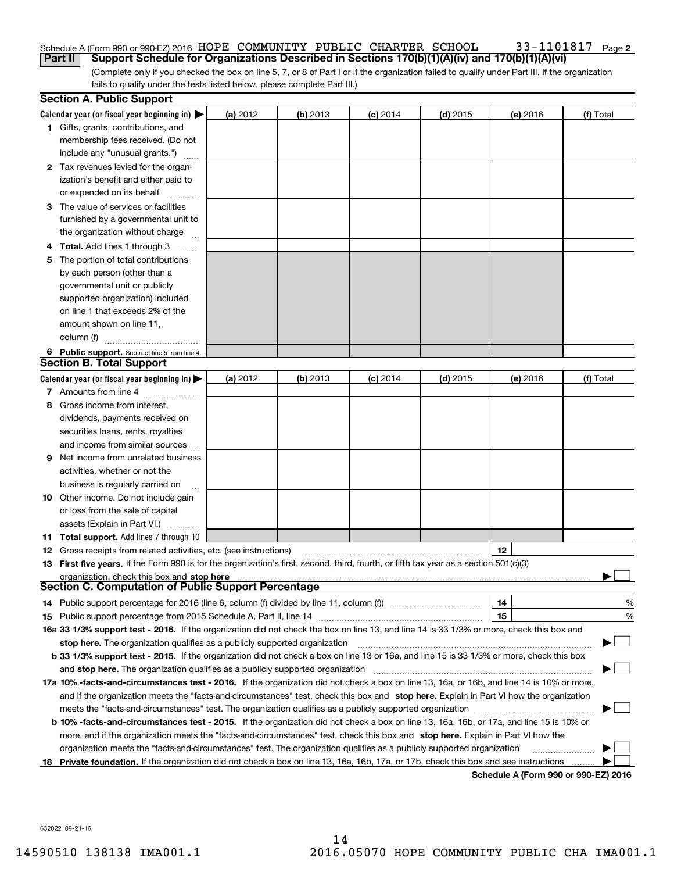#### 33-1101817 Page 2 Schedule A (Form 990 or 990-EZ) 2016  $\,$  HOPE  $\,$  COMMUNITY <code>PUBLIC</code>  $\,$  CHARTER  $\,$  SCHOOL  $\,$   $\,$   $\,$   $\,$  33  $1101817$   $\,$   $\,$   $\,$  Page **Part II Support Schedule for Organizations Described in Sections 170(b)(1)(A)(iv) and 170(b)(1)(A)(vi)**

(Complete only if you checked the box on line 5, 7, or 8 of Part I or if the organization failed to qualify under Part III. If the organization fails to qualify under the tests listed below, please complete Part III.)

|    | <b>Section A. Public Support</b>                                                                                                               |          |            |            |            |          |           |
|----|------------------------------------------------------------------------------------------------------------------------------------------------|----------|------------|------------|------------|----------|-----------|
|    | Calendar year (or fiscal year beginning in) $\blacktriangleright$                                                                              | (a) 2012 | $(b)$ 2013 | $(c)$ 2014 | $(d)$ 2015 | (e) 2016 | (f) Total |
|    | <b>1</b> Gifts, grants, contributions, and                                                                                                     |          |            |            |            |          |           |
|    | membership fees received. (Do not                                                                                                              |          |            |            |            |          |           |
|    | include any "unusual grants.")                                                                                                                 |          |            |            |            |          |           |
|    | 2 Tax revenues levied for the organ-                                                                                                           |          |            |            |            |          |           |
|    | ization's benefit and either paid to                                                                                                           |          |            |            |            |          |           |
|    | or expended on its behalf                                                                                                                      |          |            |            |            |          |           |
|    | 3 The value of services or facilities                                                                                                          |          |            |            |            |          |           |
|    | furnished by a governmental unit to                                                                                                            |          |            |            |            |          |           |
|    | the organization without charge                                                                                                                |          |            |            |            |          |           |
|    | <b>4 Total.</b> Add lines 1 through 3                                                                                                          |          |            |            |            |          |           |
| 5. | The portion of total contributions                                                                                                             |          |            |            |            |          |           |
|    | by each person (other than a                                                                                                                   |          |            |            |            |          |           |
|    | governmental unit or publicly                                                                                                                  |          |            |            |            |          |           |
|    | supported organization) included                                                                                                               |          |            |            |            |          |           |
|    | on line 1 that exceeds 2% of the                                                                                                               |          |            |            |            |          |           |
|    | amount shown on line 11,                                                                                                                       |          |            |            |            |          |           |
|    | column (f)                                                                                                                                     |          |            |            |            |          |           |
|    | 6 Public support. Subtract line 5 from line 4.                                                                                                 |          |            |            |            |          |           |
|    | <b>Section B. Total Support</b>                                                                                                                |          |            |            |            |          |           |
|    | Calendar year (or fiscal year beginning in) $\blacktriangleright$                                                                              | (a) 2012 | $(b)$ 2013 | $(c)$ 2014 | $(d)$ 2015 | (e) 2016 | (f) Total |
|    | 7 Amounts from line 4                                                                                                                          |          |            |            |            |          |           |
| 8  | Gross income from interest,                                                                                                                    |          |            |            |            |          |           |
|    | dividends, payments received on                                                                                                                |          |            |            |            |          |           |
|    | securities loans, rents, royalties                                                                                                             |          |            |            |            |          |           |
|    | and income from similar sources                                                                                                                |          |            |            |            |          |           |
| 9  | Net income from unrelated business                                                                                                             |          |            |            |            |          |           |
|    | activities, whether or not the                                                                                                                 |          |            |            |            |          |           |
|    | business is regularly carried on                                                                                                               |          |            |            |            |          |           |
|    | <b>10</b> Other income. Do not include gain                                                                                                    |          |            |            |            |          |           |
|    | or loss from the sale of capital                                                                                                               |          |            |            |            |          |           |
|    | assets (Explain in Part VI.)                                                                                                                   |          |            |            |            |          |           |
|    | 11 Total support. Add lines 7 through 10                                                                                                       |          |            |            |            |          |           |
|    | <b>12</b> Gross receipts from related activities, etc. (see instructions)                                                                      |          |            |            |            | 12       |           |
|    | 13 First five years. If the Form 990 is for the organization's first, second, third, fourth, or fifth tax year as a section 501(c)(3)          |          |            |            |            |          |           |
|    | organization, check this box and stop here                                                                                                     |          |            |            |            |          |           |
|    | Section C. Computation of Public Support Percentage                                                                                            |          |            |            |            |          |           |
|    | 14 Public support percentage for 2016 (line 6, column (f) divided by line 11, column (f) <i>mummumumumum</i>                                   |          |            |            |            | 14       | %         |
|    |                                                                                                                                                |          |            |            |            | 15       | %         |
|    | 16a 33 1/3% support test - 2016. If the organization did not check the box on line 13, and line 14 is 33 1/3% or more, check this box and      |          |            |            |            |          |           |
|    | stop here. The organization qualifies as a publicly supported organization                                                                     |          |            |            |            |          |           |
|    | b 33 1/3% support test - 2015. If the organization did not check a box on line 13 or 16a, and line 15 is 33 1/3% or more, check this box       |          |            |            |            |          |           |
|    | and stop here. The organization qualifies as a publicly supported organization                                                                 |          |            |            |            |          |           |
|    | 17a 10% -facts-and-circumstances test - 2016. If the organization did not check a box on line 13, 16a, or 16b, and line 14 is 10% or more,     |          |            |            |            |          |           |
|    | and if the organization meets the "facts-and-circumstances" test, check this box and stop here. Explain in Part VI how the organization        |          |            |            |            |          |           |
|    | meets the "facts-and-circumstances" test. The organization qualifies as a publicly supported organization                                      |          |            |            |            |          |           |
|    | <b>b 10% -facts-and-circumstances test - 2015.</b> If the organization did not check a box on line 13, 16a, 16b, or 17a, and line 15 is 10% or |          |            |            |            |          |           |
|    | more, and if the organization meets the "facts-and-circumstances" test, check this box and stop here. Explain in Part VI how the               |          |            |            |            |          |           |
|    | organization meets the "facts-and-circumstances" test. The organization qualifies as a publicly supported organization                         |          |            |            |            |          |           |
|    | 18 Private foundation. If the organization did not check a box on line 13, 16a, 16b, 17a, or 17b, check this box and see instructions          |          |            |            |            |          |           |
|    |                                                                                                                                                |          |            |            |            |          |           |

**Schedule A (Form 990 or 990-EZ) 2016**

632022 09-21-16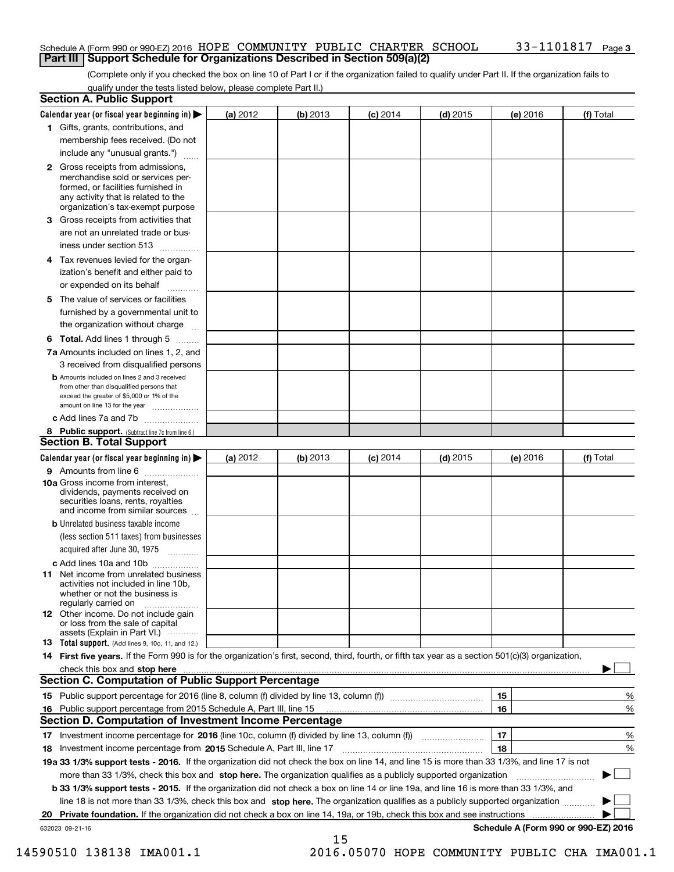### Schedule A (Form 990 or 990-EZ) 2016  $\,$  HOPE  $\,$  COMMUNITY <code>PUBLIC</code>  $\,$  CHARTER  $\,$  SCHOOL  $\,$   $\,$   $\,$   $\,$  33  $1101817$   $\,$   $\,$   $\,$  Page **Part III Support Schedule for Organizations Described in Section 509(a)(2)**

(Complete only if you checked the box on line 10 of Part I or if the organization failed to qualify under Part II. If the organization fails to qualify under the tests listed below, please complete Part II.)

| <b>Section A. Public Support</b>                                                                                                                                                                                                                                                             |          |          |            |            |          |                                      |
|----------------------------------------------------------------------------------------------------------------------------------------------------------------------------------------------------------------------------------------------------------------------------------------------|----------|----------|------------|------------|----------|--------------------------------------|
| Calendar year (or fiscal year beginning in) $\blacktriangleright$                                                                                                                                                                                                                            | (a) 2012 | (b) 2013 | $(c)$ 2014 | $(d)$ 2015 | (e) 2016 | (f) Total                            |
| 1 Gifts, grants, contributions, and                                                                                                                                                                                                                                                          |          |          |            |            |          |                                      |
| membership fees received. (Do not                                                                                                                                                                                                                                                            |          |          |            |            |          |                                      |
| include any "unusual grants.")                                                                                                                                                                                                                                                               |          |          |            |            |          |                                      |
| 2 Gross receipts from admissions,<br>merchandise sold or services per-<br>formed, or facilities furnished in<br>any activity that is related to the<br>organization's tax-exempt purpose                                                                                                     |          |          |            |            |          |                                      |
| 3 Gross receipts from activities that<br>are not an unrelated trade or bus-                                                                                                                                                                                                                  |          |          |            |            |          |                                      |
| iness under section 513                                                                                                                                                                                                                                                                      |          |          |            |            |          |                                      |
| 4 Tax revenues levied for the organ-<br>ization's benefit and either paid to                                                                                                                                                                                                                 |          |          |            |            |          |                                      |
| or expended on its behalf<br>.                                                                                                                                                                                                                                                               |          |          |            |            |          |                                      |
| 5 The value of services or facilities<br>furnished by a governmental unit to<br>the organization without charge                                                                                                                                                                              |          |          |            |            |          |                                      |
| <b>6 Total.</b> Add lines 1 through 5                                                                                                                                                                                                                                                        |          |          |            |            |          |                                      |
| 7a Amounts included on lines 1, 2, and<br>3 received from disqualified persons                                                                                                                                                                                                               |          |          |            |            |          |                                      |
| <b>b</b> Amounts included on lines 2 and 3 received<br>from other than disqualified persons that<br>exceed the greater of \$5,000 or 1% of the<br>amount on line 13 for the year                                                                                                             |          |          |            |            |          |                                      |
| c Add lines 7a and 7b                                                                                                                                                                                                                                                                        |          |          |            |            |          |                                      |
| 8 Public support. (Subtract line 7c from line 6.)<br><b>Section B. Total Support</b>                                                                                                                                                                                                         |          |          |            |            |          |                                      |
| Calendar year (or fiscal year beginning in)                                                                                                                                                                                                                                                  | (a) 2012 | (b) 2013 | $(c)$ 2014 | $(d)$ 2015 | (e) 2016 | (f) Total                            |
| 9 Amounts from line 6                                                                                                                                                                                                                                                                        |          |          |            |            |          |                                      |
| <b>10a</b> Gross income from interest,<br>dividends, payments received on<br>securities loans, rents, royalties<br>and income from similar sources                                                                                                                                           |          |          |            |            |          |                                      |
| <b>b</b> Unrelated business taxable income<br>(less section 511 taxes) from businesses<br>acquired after June 30, 1975                                                                                                                                                                       |          |          |            |            |          |                                      |
| c Add lines 10a and 10b                                                                                                                                                                                                                                                                      |          |          |            |            |          |                                      |
| <b>11</b> Net income from unrelated business<br>activities not included in line 10b.<br>whether or not the business is<br>regularly carried on                                                                                                                                               |          |          |            |            |          |                                      |
| <b>12</b> Other income. Do not include gain<br>or loss from the sale of capital<br>assets (Explain in Part VI.)                                                                                                                                                                              |          |          |            |            |          |                                      |
| <b>13 Total support.</b> (Add lines 9, 10c, 11, and 12.)                                                                                                                                                                                                                                     |          |          |            |            |          |                                      |
| 14 First five years. If the Form 990 is for the organization's first, second, third, fourth, or fifth tax year as a section 501(c)(3) organization,                                                                                                                                          |          |          |            |            |          |                                      |
| check this box and stop here with the continuum control to the control of the control of the control of the control of the control of the control of the control of the control of the control of the control of the control o<br><b>Section C. Computation of Public Support Percentage</b> |          |          |            |            |          |                                      |
|                                                                                                                                                                                                                                                                                              |          |          |            |            | 15       | %                                    |
| 16 Public support percentage from 2015 Schedule A, Part III, line 15                                                                                                                                                                                                                         |          |          |            |            | 16       | %                                    |
| <b>Section D. Computation of Investment Income Percentage</b>                                                                                                                                                                                                                                |          |          |            |            |          |                                      |
| 17 Investment income percentage for 2016 (line 10c, column (f) divided by line 13, column (f))                                                                                                                                                                                               |          |          |            |            | 17       | %                                    |
| 18 Investment income percentage from 2015 Schedule A, Part III, line 17                                                                                                                                                                                                                      |          |          |            |            | 18       | %                                    |
| 19a 33 1/3% support tests - 2016. If the organization did not check the box on line 14, and line 15 is more than 33 1/3%, and line 17 is not                                                                                                                                                 |          |          |            |            |          |                                      |
| more than 33 1/3%, check this box and stop here. The organization qualifies as a publicly supported organization                                                                                                                                                                             |          |          |            |            |          | ▶                                    |
| b 33 1/3% support tests - 2015. If the organization did not check a box on line 14 or line 19a, and line 16 is more than 33 1/3%, and                                                                                                                                                        |          |          |            |            |          |                                      |
| line 18 is not more than 33 1/3%, check this box and stop here. The organization qualifies as a publicly supported organization                                                                                                                                                              |          |          |            |            |          |                                      |
| 20 Private foundation. If the organization did not check a box on line 14, 19a, or 19b, check this box and see instructions                                                                                                                                                                  |          |          |            |            |          |                                      |
| 632023 09-21-16                                                                                                                                                                                                                                                                              |          |          |            |            |          | Schedule A (Form 990 or 990-EZ) 2016 |
|                                                                                                                                                                                                                                                                                              |          | 15       |            |            |          |                                      |

 <sup>14590510 138138</sup> IMA001.1 2016.05070 HOPE COMMUNITY PUBLIC CHA IMA001.1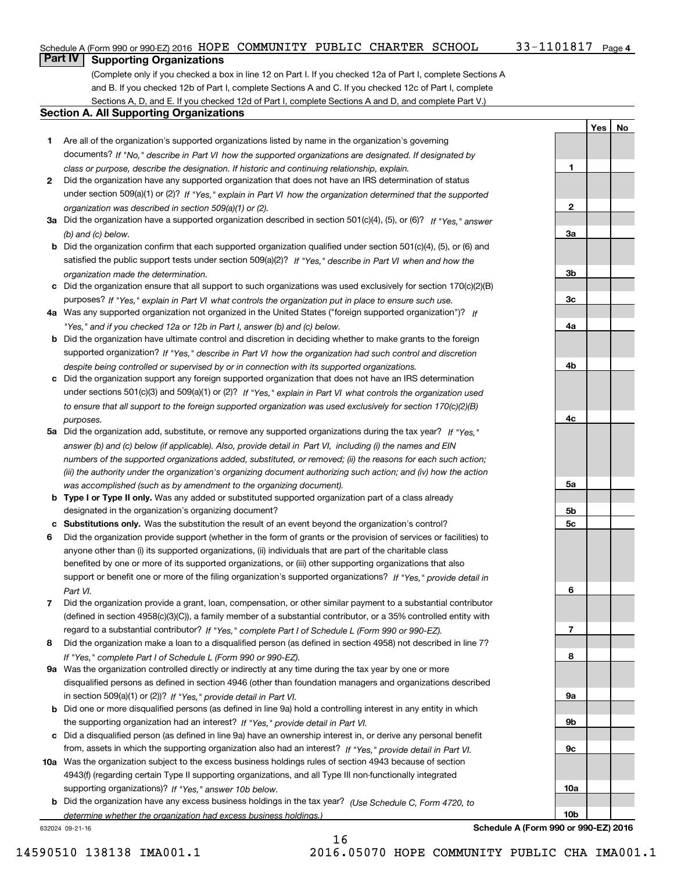**1**

**2**

**3a**

**3b**

**3c**

**4a**

**4b**

**4c**

**5a**

**5b5c**

**6**

**7**

**8**

**9a**

**9b**

**9c**

**10a**

**10b**

**YesNo**

# **Part IV Supporting Organizations**

(Complete only if you checked a box in line 12 on Part I. If you checked 12a of Part I, complete Sections A and B. If you checked 12b of Part I, complete Sections A and C. If you checked 12c of Part I, complete Sections A, D, and E. If you checked 12d of Part I, complete Sections A and D, and complete Part V.)

## **Section A. All Supporting Organizations**

- **1** Are all of the organization's supported organizations listed by name in the organization's governing documents? If "No," describe in Part VI how the supported organizations are designated. If designated by *class or purpose, describe the designation. If historic and continuing relationship, explain.*
- **2** Did the organization have any supported organization that does not have an IRS determination of status under section 509(a)(1) or (2)? If "Yes," explain in Part VI how the organization determined that the supported *organization was described in section 509(a)(1) or (2).*
- **3a** Did the organization have a supported organization described in section 501(c)(4), (5), or (6)? If "Yes," answer *(b) and (c) below.*
- **b** Did the organization confirm that each supported organization qualified under section 501(c)(4), (5), or (6) and satisfied the public support tests under section 509(a)(2)? If "Yes," describe in Part VI when and how the *organization made the determination.*
- **c**Did the organization ensure that all support to such organizations was used exclusively for section 170(c)(2)(B) purposes? If "Yes," explain in Part VI what controls the organization put in place to ensure such use.
- **4a***If* Was any supported organization not organized in the United States ("foreign supported organization")? *"Yes," and if you checked 12a or 12b in Part I, answer (b) and (c) below.*
- **b** Did the organization have ultimate control and discretion in deciding whether to make grants to the foreign supported organization? If "Yes," describe in Part VI how the organization had such control and discretion *despite being controlled or supervised by or in connection with its supported organizations.*
- **c** Did the organization support any foreign supported organization that does not have an IRS determination under sections 501(c)(3) and 509(a)(1) or (2)? If "Yes," explain in Part VI what controls the organization used *to ensure that all support to the foreign supported organization was used exclusively for section 170(c)(2)(B) purposes.*
- **5a** Did the organization add, substitute, or remove any supported organizations during the tax year? If "Yes," answer (b) and (c) below (if applicable). Also, provide detail in Part VI, including (i) the names and EIN *numbers of the supported organizations added, substituted, or removed; (ii) the reasons for each such action; (iii) the authority under the organization's organizing document authorizing such action; and (iv) how the action was accomplished (such as by amendment to the organizing document).*
- **b** Type I or Type II only. Was any added or substituted supported organization part of a class already designated in the organization's organizing document?
- **cSubstitutions only.**  Was the substitution the result of an event beyond the organization's control?
- **6** Did the organization provide support (whether in the form of grants or the provision of services or facilities) to *If "Yes," provide detail in* support or benefit one or more of the filing organization's supported organizations? anyone other than (i) its supported organizations, (ii) individuals that are part of the charitable class benefited by one or more of its supported organizations, or (iii) other supporting organizations that also *Part VI.*
- **7**Did the organization provide a grant, loan, compensation, or other similar payment to a substantial contributor *If "Yes," complete Part I of Schedule L (Form 990 or 990-EZ).* regard to a substantial contributor? (defined in section 4958(c)(3)(C)), a family member of a substantial contributor, or a 35% controlled entity with
- **8** Did the organization make a loan to a disqualified person (as defined in section 4958) not described in line 7? *If "Yes," complete Part I of Schedule L (Form 990 or 990-EZ).*
- **9a** Was the organization controlled directly or indirectly at any time during the tax year by one or more in section 509(a)(1) or (2))? If "Yes," *provide detail in Part VI.* disqualified persons as defined in section 4946 (other than foundation managers and organizations described
- **b** Did one or more disqualified persons (as defined in line 9a) hold a controlling interest in any entity in which the supporting organization had an interest? If "Yes," provide detail in Part VI.
- **c**Did a disqualified person (as defined in line 9a) have an ownership interest in, or derive any personal benefit from, assets in which the supporting organization also had an interest? If "Yes," provide detail in Part VI.
- **10a** Was the organization subject to the excess business holdings rules of section 4943 because of section supporting organizations)? If "Yes," answer 10b below. 4943(f) (regarding certain Type II supporting organizations, and all Type III non-functionally integrated
- **b** Did the organization have any excess business holdings in the tax year? (Use Schedule C, Form 4720, to *determine whether the organization had excess business holdings.)*

16

632024 09-21-16

**Schedule A (Form 990 or 990-EZ) 2016**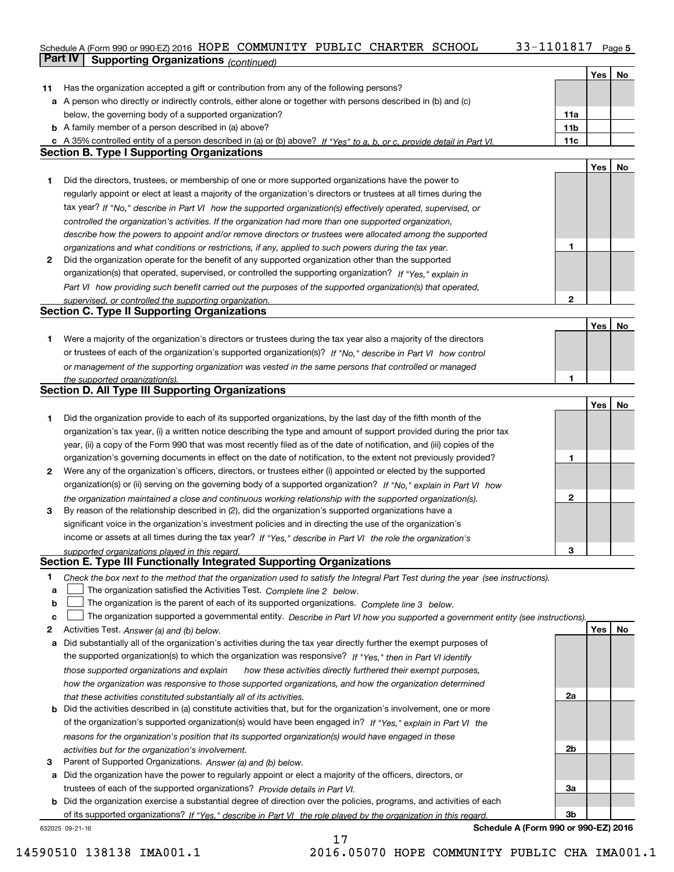# Schedule A (Form 990 or 990-EZ) 2016  $\,$  HOPE  $\,$  COMMUNITY <code>PUBLIC</code>  $\,$  CHARTER  $\,$  SCHOOL  $\,$   $\,$   $\,$   $\,$  33  $1101817$   $\,$   $\,$   $\,$  Page **Part IV Supporting Organizations** *(continued)*

|    |                                                                                                                                   |                 | Yes | No |
|----|-----------------------------------------------------------------------------------------------------------------------------------|-----------------|-----|----|
| 11 | Has the organization accepted a gift or contribution from any of the following persons?                                           |                 |     |    |
|    | a A person who directly or indirectly controls, either alone or together with persons described in (b) and (c)                    |                 |     |    |
|    | below, the governing body of a supported organization?                                                                            | 11a             |     |    |
|    | <b>b</b> A family member of a person described in (a) above?                                                                      | 11 <sub>b</sub> |     |    |
|    | c A 35% controlled entity of a person described in (a) or (b) above? If "Yes" to a, b, or c, provide detail in Part VI.           | 11c             |     |    |
|    | <b>Section B. Type I Supporting Organizations</b>                                                                                 |                 |     |    |
|    |                                                                                                                                   |                 | Yes | No |
| 1  | Did the directors, trustees, or membership of one or more supported organizations have the power to                               |                 |     |    |
|    | regularly appoint or elect at least a majority of the organization's directors or trustees at all times during the                |                 |     |    |
|    |                                                                                                                                   |                 |     |    |
|    | tax year? If "No," describe in Part VI how the supported organization(s) effectively operated, supervised, or                     |                 |     |    |
|    | controlled the organization's activities. If the organization had more than one supported organization,                           |                 |     |    |
|    | describe how the powers to appoint and/or remove directors or trustees were allocated among the supported                         |                 |     |    |
|    | organizations and what conditions or restrictions, if any, applied to such powers during the tax year.                            | 1               |     |    |
| 2  | Did the organization operate for the benefit of any supported organization other than the supported                               |                 |     |    |
|    | organization(s) that operated, supervised, or controlled the supporting organization? If "Yes," explain in                        |                 |     |    |
|    | Part VI how providing such benefit carried out the purposes of the supported organization(s) that operated,                       |                 |     |    |
|    | supervised, or controlled the supporting organization.                                                                            | 2               |     |    |
|    | <b>Section C. Type II Supporting Organizations</b>                                                                                |                 |     |    |
|    |                                                                                                                                   |                 | Yes | No |
| 1  | Were a majority of the organization's directors or trustees during the tax year also a majority of the directors                  |                 |     |    |
|    | or trustees of each of the organization's supported organization(s)? If "No," describe in Part VI how control                     |                 |     |    |
|    | or management of the supporting organization was vested in the same persons that controlled or managed                            |                 |     |    |
|    | the supported organization(s).                                                                                                    | 1               |     |    |
|    | <b>Section D. All Type III Supporting Organizations</b>                                                                           |                 |     |    |
|    |                                                                                                                                   |                 | Yes | No |
| 1  | Did the organization provide to each of its supported organizations, by the last day of the fifth month of the                    |                 |     |    |
|    | organization's tax year, (i) a written notice describing the type and amount of support provided during the prior tax             |                 |     |    |
|    | year, (ii) a copy of the Form 990 that was most recently filed as of the date of notification, and (iii) copies of the            |                 |     |    |
|    | organization's governing documents in effect on the date of notification, to the extent not previously provided?                  | 1               |     |    |
| 2  | Were any of the organization's officers, directors, or trustees either (i) appointed or elected by the supported                  |                 |     |    |
|    | organization(s) or (ii) serving on the governing body of a supported organization? If "No," explain in Part VI how                |                 |     |    |
|    | the organization maintained a close and continuous working relationship with the supported organization(s).                       | 2               |     |    |
| з  | By reason of the relationship described in (2), did the organization's supported organizations have a                             |                 |     |    |
|    | significant voice in the organization's investment policies and in directing the use of the organization's                        |                 |     |    |
|    | income or assets at all times during the tax year? If "Yes," describe in Part VI the role the organization's                      |                 |     |    |
|    | supported organizations played in this regard.                                                                                    | 3               |     |    |
|    | Section E. Type III Functionally Integrated Supporting Organizations                                                              |                 |     |    |
| 1  | Check the box next to the method that the organization used to satisfy the Integral Part Test during the year (see instructions). |                 |     |    |
| a  | The organization satisfied the Activities Test. Complete line 2 below.                                                            |                 |     |    |
| b  | The organization is the parent of each of its supported organizations. Complete line 3 below.                                     |                 |     |    |
| c  | The organization supported a governmental entity. Describe in Part VI how you supported a government entity (see instructions).   |                 |     |    |
| 2  | Activities Test. Answer (a) and (b) below.                                                                                        |                 | Yes | No |
| a  | Did substantially all of the organization's activities during the tax year directly further the exempt purposes of                |                 |     |    |
|    | the supported organization(s) to which the organization was responsive? If "Yes," then in Part VI identify                        |                 |     |    |
|    | those supported organizations and explain<br>how these activities directly furthered their exempt purposes,                       |                 |     |    |
|    | how the organization was responsive to those supported organizations, and how the organization determined                         |                 |     |    |
|    | that these activities constituted substantially all of its activities.                                                            | 2a              |     |    |
| b  | Did the activities described in (a) constitute activities that, but for the organization's involvement, one or more               |                 |     |    |
|    | of the organization's supported organization(s) would have been engaged in? If "Yes," explain in Part VI the                      |                 |     |    |
|    | reasons for the organization's position that its supported organization(s) would have engaged in these                            |                 |     |    |
|    | activities but for the organization's involvement.                                                                                | 2b              |     |    |
| з  | Parent of Supported Organizations. Answer (a) and (b) below.                                                                      |                 |     |    |
| а  | Did the organization have the power to regularly appoint or elect a majority of the officers, directors, or                       |                 |     |    |
|    | trustees of each of the supported organizations? Provide details in Part VI.                                                      | За              |     |    |
| b  | Did the organization exercise a substantial degree of direction over the policies, programs, and activities of each               |                 |     |    |
|    | of its supported organizations? If "Yes." describe in Part VI the role played by the organization in this regard                  | 3b              |     |    |
|    | Schedule A (Form 990 or 990-EZ) 2016<br>632025 09-21-16                                                                           |                 |     |    |

17

14590510 138138 IMA001.1 2016.05070 HOPE COMMUNITY PUBLIC CHA IMA001.1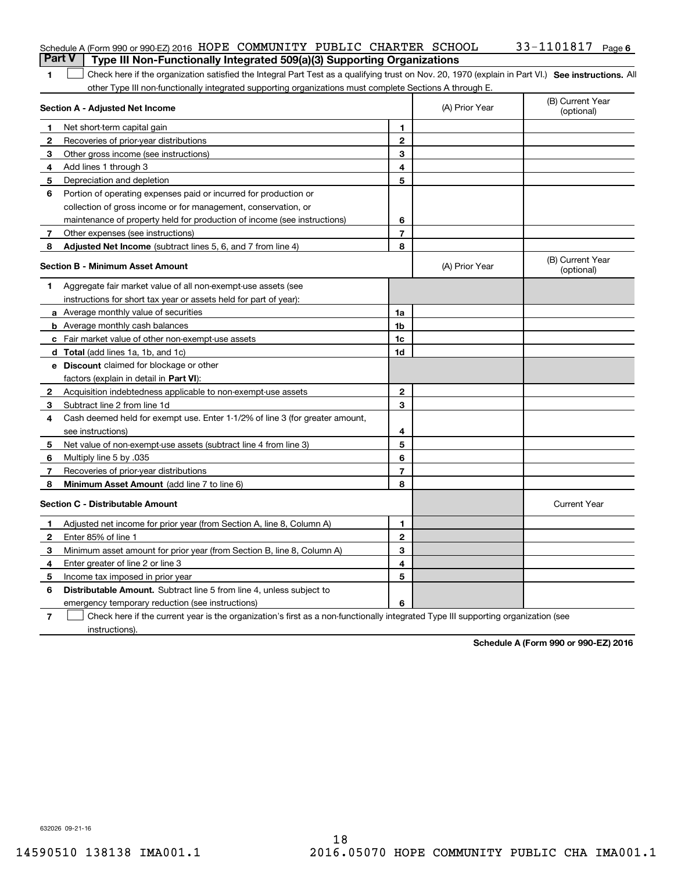|                | Schedule A (Form 990 or 990-EZ) 2016 HOPE COMMUNITY PUBLIC CHARTER SCHOOL<br>Type III Non-Functionally Integrated 509(a)(3) Supporting Organizations<br><b>Part V</b> |                |                | 33-1101817 Page 6              |
|----------------|-----------------------------------------------------------------------------------------------------------------------------------------------------------------------|----------------|----------------|--------------------------------|
|                |                                                                                                                                                                       |                |                |                                |
| 1              | Check here if the organization satisfied the Integral Part Test as a qualifying trust on Nov. 20, 1970 (explain in Part VI.) See instructions. All                    |                |                |                                |
|                | other Type III non-functionally integrated supporting organizations must complete Sections A through E.<br>Section A - Adjusted Net Income                            |                | (A) Prior Year | (B) Current Year<br>(optional) |
| 1              | Net short-term capital gain                                                                                                                                           | 1              |                |                                |
| 2              | Recoveries of prior-year distributions                                                                                                                                | $\mathbf{2}$   |                |                                |
| З              | Other gross income (see instructions)                                                                                                                                 | 3              |                |                                |
| 4              | Add lines 1 through 3                                                                                                                                                 | 4              |                |                                |
| 5              | Depreciation and depletion                                                                                                                                            | 5              |                |                                |
| 6              | Portion of operating expenses paid or incurred for production or                                                                                                      |                |                |                                |
|                | collection of gross income or for management, conservation, or                                                                                                        |                |                |                                |
|                | maintenance of property held for production of income (see instructions)                                                                                              | 6              |                |                                |
| 7              | Other expenses (see instructions)                                                                                                                                     | $\overline{7}$ |                |                                |
| 8              | <b>Adjusted Net Income</b> (subtract lines 5, 6, and 7 from line 4)                                                                                                   | 8              |                |                                |
|                | <b>Section B - Minimum Asset Amount</b>                                                                                                                               |                | (A) Prior Year | (B) Current Year<br>(optional) |
| 1.             | Aggregate fair market value of all non-exempt-use assets (see                                                                                                         |                |                |                                |
|                | instructions for short tax year or assets held for part of year):                                                                                                     |                |                |                                |
|                | <b>a</b> Average monthly value of securities                                                                                                                          | 1a             |                |                                |
|                | <b>b</b> Average monthly cash balances                                                                                                                                | 1b             |                |                                |
|                | c Fair market value of other non-exempt-use assets                                                                                                                    | 1c             |                |                                |
|                | d Total (add lines 1a, 1b, and 1c)                                                                                                                                    | 1d             |                |                                |
|                | <b>e</b> Discount claimed for blockage or other                                                                                                                       |                |                |                                |
|                | factors (explain in detail in <b>Part VI</b> ):                                                                                                                       |                |                |                                |
| 2              | Acquisition indebtedness applicable to non-exempt-use assets                                                                                                          | $\mathbf{2}$   |                |                                |
| 3              | Subtract line 2 from line 1d                                                                                                                                          | 3              |                |                                |
| 4              | Cash deemed held for exempt use. Enter 1-1/2% of line 3 (for greater amount,                                                                                          |                |                |                                |
|                | see instructions)                                                                                                                                                     | 4              |                |                                |
| 5              | Net value of non-exempt-use assets (subtract line 4 from line 3)                                                                                                      | 5              |                |                                |
| 6              | Multiply line 5 by .035                                                                                                                                               | 6              |                |                                |
| 7              | Recoveries of prior-year distributions                                                                                                                                | $\overline{7}$ |                |                                |
| 8              | <b>Minimum Asset Amount</b> (add line 7 to line 6)                                                                                                                    | 8              |                |                                |
|                | <b>Section C - Distributable Amount</b>                                                                                                                               |                |                | <b>Current Year</b>            |
| 1.             | Adjusted net income for prior year (from Section A, line 8, Column A)                                                                                                 | 1              |                |                                |
| 2              | Enter 85% of line 1                                                                                                                                                   | 2              |                |                                |
| 3              | Minimum asset amount for prior year (from Section B, line 8, Column A)                                                                                                | 3              |                |                                |
| 4              | Enter greater of line 2 or line 3                                                                                                                                     | 4              |                |                                |
| 5              | Income tax imposed in prior year                                                                                                                                      | 5              |                |                                |
| 6              | Distributable Amount. Subtract line 5 from line 4, unless subject to                                                                                                  |                |                |                                |
|                | emergency temporary reduction (see instructions)                                                                                                                      | 6              |                |                                |
| $\overline{7}$ | Check here if the current year is the organization's first as a non-functionally integrated Type III supporting organization (see                                     |                |                |                                |

instructions).

**Schedule A (Form 990 or 990-EZ) 2016**

632026 09-21-16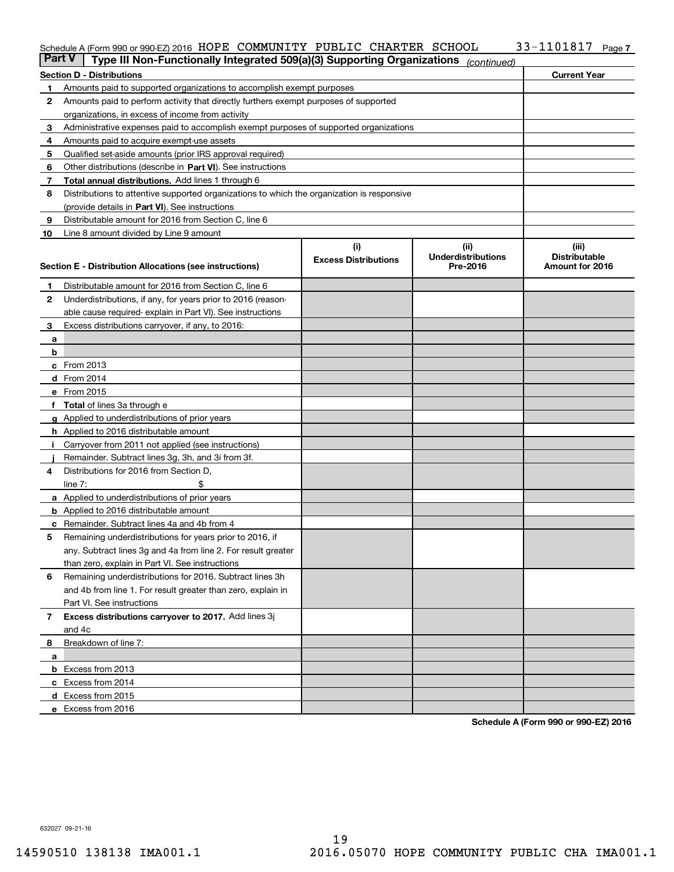#### Schedule A (Form 990 or 990-EZ) 2016 HOPE(COMMUNITY(PUBLIC(CHARTER)SCHOOL)(1)33-110181)(Page) HOPE COMMUNITY PUBLIC CHARTER SCHOOL 33-1101817

| Part V | Type III Non-Functionally Integrated 509(a)(3) Supporting Organizations                    |                             | (continued)               |                      |  |  |  |  |  |
|--------|--------------------------------------------------------------------------------------------|-----------------------------|---------------------------|----------------------|--|--|--|--|--|
|        | <b>Current Year</b><br><b>Section D - Distributions</b>                                    |                             |                           |                      |  |  |  |  |  |
| 1      | Amounts paid to supported organizations to accomplish exempt purposes                      |                             |                           |                      |  |  |  |  |  |
| 2      | Amounts paid to perform activity that directly furthers exempt purposes of supported       |                             |                           |                      |  |  |  |  |  |
|        | organizations, in excess of income from activity                                           |                             |                           |                      |  |  |  |  |  |
| 3      | Administrative expenses paid to accomplish exempt purposes of supported organizations      |                             |                           |                      |  |  |  |  |  |
| 4      | Amounts paid to acquire exempt-use assets                                                  |                             |                           |                      |  |  |  |  |  |
| 5      | Qualified set-aside amounts (prior IRS approval required)                                  |                             |                           |                      |  |  |  |  |  |
| 6      | Other distributions (describe in Part VI). See instructions                                |                             |                           |                      |  |  |  |  |  |
| 7      | <b>Total annual distributions.</b> Add lines 1 through 6                                   |                             |                           |                      |  |  |  |  |  |
| 8      | Distributions to attentive supported organizations to which the organization is responsive |                             |                           |                      |  |  |  |  |  |
|        | (provide details in Part VI). See instructions                                             |                             |                           |                      |  |  |  |  |  |
| 9      | Distributable amount for 2016 from Section C, line 6                                       |                             |                           |                      |  |  |  |  |  |
| 10     | Line 8 amount divided by Line 9 amount                                                     |                             |                           |                      |  |  |  |  |  |
|        |                                                                                            | (i)                         | (ii)                      | (iii)                |  |  |  |  |  |
|        |                                                                                            | <b>Excess Distributions</b> | <b>Underdistributions</b> | <b>Distributable</b> |  |  |  |  |  |
|        | <b>Section E - Distribution Allocations (see instructions)</b>                             |                             | Pre-2016                  | Amount for 2016      |  |  |  |  |  |
| 1      | Distributable amount for 2016 from Section C, line 6                                       |                             |                           |                      |  |  |  |  |  |
| 2      | Underdistributions, if any, for years prior to 2016 (reason-                               |                             |                           |                      |  |  |  |  |  |
|        | able cause required-explain in Part VI). See instructions                                  |                             |                           |                      |  |  |  |  |  |
| 3      | Excess distributions carryover, if any, to 2016:                                           |                             |                           |                      |  |  |  |  |  |
|        |                                                                                            |                             |                           |                      |  |  |  |  |  |
| а<br>b |                                                                                            |                             |                           |                      |  |  |  |  |  |
|        |                                                                                            |                             |                           |                      |  |  |  |  |  |
|        | c From 2013                                                                                |                             |                           |                      |  |  |  |  |  |
|        | d From 2014                                                                                |                             |                           |                      |  |  |  |  |  |
|        | e From 2015                                                                                |                             |                           |                      |  |  |  |  |  |
|        | Total of lines 3a through e                                                                |                             |                           |                      |  |  |  |  |  |
| g      | Applied to underdistributions of prior years                                               |                             |                           |                      |  |  |  |  |  |
|        | h Applied to 2016 distributable amount                                                     |                             |                           |                      |  |  |  |  |  |
|        | Carryover from 2011 not applied (see instructions)                                         |                             |                           |                      |  |  |  |  |  |
|        | Remainder. Subtract lines 3g, 3h, and 3i from 3f.                                          |                             |                           |                      |  |  |  |  |  |
| 4      | Distributions for 2016 from Section D,                                                     |                             |                           |                      |  |  |  |  |  |
|        | line $7:$                                                                                  |                             |                           |                      |  |  |  |  |  |
|        | <b>a</b> Applied to underdistributions of prior years                                      |                             |                           |                      |  |  |  |  |  |
|        | <b>b</b> Applied to 2016 distributable amount                                              |                             |                           |                      |  |  |  |  |  |
|        | c Remainder. Subtract lines 4a and 4b from 4                                               |                             |                           |                      |  |  |  |  |  |
| 5      | Remaining underdistributions for years prior to 2016, if                                   |                             |                           |                      |  |  |  |  |  |
|        | any. Subtract lines 3g and 4a from line 2. For result greater                              |                             |                           |                      |  |  |  |  |  |
|        | than zero, explain in Part VI. See instructions                                            |                             |                           |                      |  |  |  |  |  |
| 6      | Remaining underdistributions for 2016. Subtract lines 3h                                   |                             |                           |                      |  |  |  |  |  |
|        | and 4b from line 1. For result greater than zero, explain in                               |                             |                           |                      |  |  |  |  |  |
|        | Part VI. See instructions                                                                  |                             |                           |                      |  |  |  |  |  |
| 7      | Excess distributions carryover to 2017. Add lines 3j                                       |                             |                           |                      |  |  |  |  |  |
|        | and 4c                                                                                     |                             |                           |                      |  |  |  |  |  |
| 8      | Breakdown of line 7:                                                                       |                             |                           |                      |  |  |  |  |  |
| a      |                                                                                            |                             |                           |                      |  |  |  |  |  |
|        | <b>b</b> Excess from 2013                                                                  |                             |                           |                      |  |  |  |  |  |
|        | c Excess from 2014                                                                         |                             |                           |                      |  |  |  |  |  |
|        | d Excess from 2015                                                                         |                             |                           |                      |  |  |  |  |  |
|        | e Excess from 2016                                                                         |                             |                           |                      |  |  |  |  |  |

**Schedule A (Form 990 or 990-EZ) 2016**

632027 09-21-16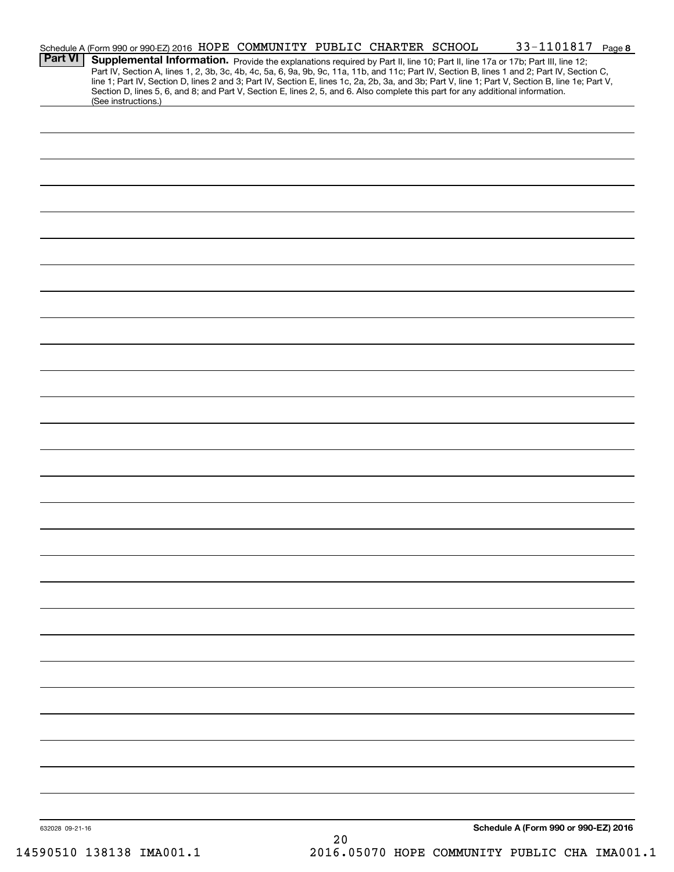| <b>Part VI</b>  | Schedule A (Form 990 or 990-EZ) 2016 HOPE COMMUNITY PUBLIC CHARTER SCHOOL<br>Supplemental Information. Provide the explanations required by Part II, line 10; Part II, line 17a or 17b; Part III, line 12;                                                                                                                                                                                                                                                 |  |    |  | 33-1101817 Page 8                    |  |
|-----------------|------------------------------------------------------------------------------------------------------------------------------------------------------------------------------------------------------------------------------------------------------------------------------------------------------------------------------------------------------------------------------------------------------------------------------------------------------------|--|----|--|--------------------------------------|--|
|                 | Part IV, Section A, lines 1, 2, 3b, 3c, 4b, 4c, 5a, 6, 9a, 9b, 9c, 11a, 11b, and 11c; Part IV, Section B, lines 1 and 2; Part IV, Section C,<br>line 1; Part IV, Section D, lines 2 and 3; Part IV, Section E, lines 1c, 2a, 2b, 3a, and 3b; Part V, line 1; Part V, Section B, line 1e; Part V,<br>Section D, lines 5, 6, and 8; and Part V, Section E, lines 2, 5, and 6. Also complete this part for any additional information.<br>(See instructions.) |  |    |  |                                      |  |
|                 |                                                                                                                                                                                                                                                                                                                                                                                                                                                            |  |    |  |                                      |  |
|                 |                                                                                                                                                                                                                                                                                                                                                                                                                                                            |  |    |  |                                      |  |
|                 |                                                                                                                                                                                                                                                                                                                                                                                                                                                            |  |    |  |                                      |  |
|                 |                                                                                                                                                                                                                                                                                                                                                                                                                                                            |  |    |  |                                      |  |
|                 |                                                                                                                                                                                                                                                                                                                                                                                                                                                            |  |    |  |                                      |  |
|                 |                                                                                                                                                                                                                                                                                                                                                                                                                                                            |  |    |  |                                      |  |
|                 |                                                                                                                                                                                                                                                                                                                                                                                                                                                            |  |    |  |                                      |  |
|                 |                                                                                                                                                                                                                                                                                                                                                                                                                                                            |  |    |  |                                      |  |
|                 |                                                                                                                                                                                                                                                                                                                                                                                                                                                            |  |    |  |                                      |  |
|                 |                                                                                                                                                                                                                                                                                                                                                                                                                                                            |  |    |  |                                      |  |
|                 |                                                                                                                                                                                                                                                                                                                                                                                                                                                            |  |    |  |                                      |  |
|                 |                                                                                                                                                                                                                                                                                                                                                                                                                                                            |  |    |  |                                      |  |
|                 |                                                                                                                                                                                                                                                                                                                                                                                                                                                            |  |    |  |                                      |  |
|                 |                                                                                                                                                                                                                                                                                                                                                                                                                                                            |  |    |  |                                      |  |
|                 |                                                                                                                                                                                                                                                                                                                                                                                                                                                            |  |    |  |                                      |  |
|                 |                                                                                                                                                                                                                                                                                                                                                                                                                                                            |  |    |  |                                      |  |
|                 |                                                                                                                                                                                                                                                                                                                                                                                                                                                            |  |    |  |                                      |  |
|                 |                                                                                                                                                                                                                                                                                                                                                                                                                                                            |  |    |  |                                      |  |
|                 |                                                                                                                                                                                                                                                                                                                                                                                                                                                            |  |    |  |                                      |  |
|                 |                                                                                                                                                                                                                                                                                                                                                                                                                                                            |  |    |  |                                      |  |
|                 |                                                                                                                                                                                                                                                                                                                                                                                                                                                            |  |    |  |                                      |  |
|                 |                                                                                                                                                                                                                                                                                                                                                                                                                                                            |  |    |  |                                      |  |
|                 |                                                                                                                                                                                                                                                                                                                                                                                                                                                            |  |    |  |                                      |  |
|                 |                                                                                                                                                                                                                                                                                                                                                                                                                                                            |  |    |  |                                      |  |
|                 |                                                                                                                                                                                                                                                                                                                                                                                                                                                            |  |    |  |                                      |  |
|                 |                                                                                                                                                                                                                                                                                                                                                                                                                                                            |  |    |  |                                      |  |
|                 |                                                                                                                                                                                                                                                                                                                                                                                                                                                            |  |    |  |                                      |  |
| 632028 09-21-16 |                                                                                                                                                                                                                                                                                                                                                                                                                                                            |  | 20 |  | Schedule A (Form 990 or 990-EZ) 2016 |  |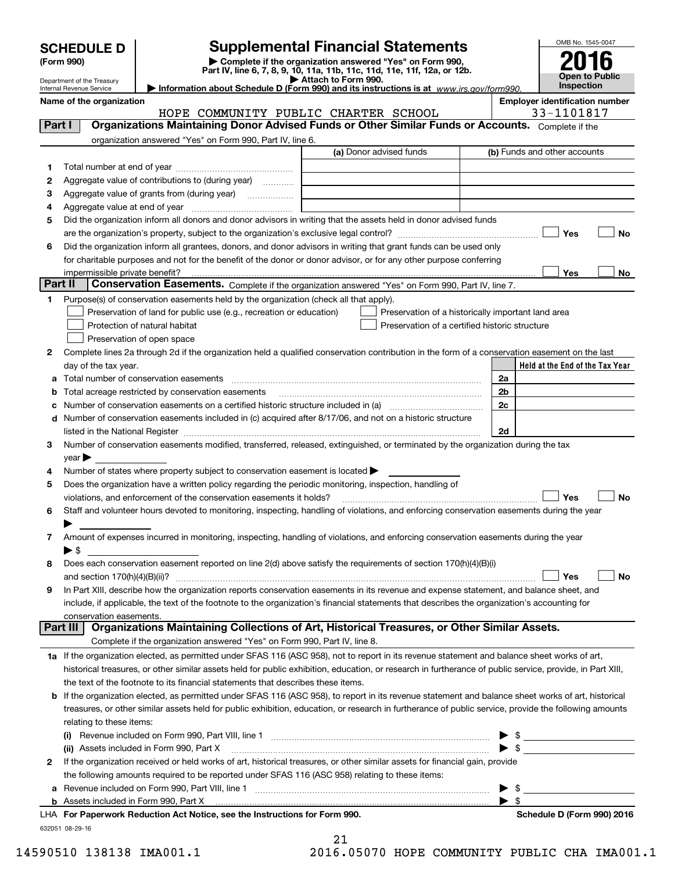| <b>SCHEDULE D</b> |  |
|-------------------|--|
|-------------------|--|

# **SCHEDULE D Supplemental Financial Statements**

(Form 990)<br>
Pepartment of the Treasury<br>
Department of the Treasury<br> **Exerce Pepartment of the Treasury**<br> **Exerce Pepartment Of the Treasury**<br> **Exerce Pepartment Of the Treasury**<br> **Exerce Pepartment Of the Treasury**<br> **Exer** 



|         |          | Department of the Treasury<br>Internal Revenue Service |                                                                                                                                                                                                                               |  | Attach to Form 990. |                                      | Information about Schedule D (Form 990) and its instructions is at www.irs.gov/form990.                                                                   |                          |           | Inspection                            | Open to Public                  |
|---------|----------|--------------------------------------------------------|-------------------------------------------------------------------------------------------------------------------------------------------------------------------------------------------------------------------------------|--|---------------------|--------------------------------------|-----------------------------------------------------------------------------------------------------------------------------------------------------------|--------------------------|-----------|---------------------------------------|---------------------------------|
|         |          | Name of the organization                               |                                                                                                                                                                                                                               |  |                     |                                      |                                                                                                                                                           |                          |           | <b>Employer identification number</b> |                                 |
|         |          |                                                        |                                                                                                                                                                                                                               |  |                     | HOPE COMMUNITY PUBLIC CHARTER SCHOOL |                                                                                                                                                           |                          |           | 33-1101817                            |                                 |
| Part I  |          |                                                        |                                                                                                                                                                                                                               |  |                     |                                      | Organizations Maintaining Donor Advised Funds or Other Similar Funds or Accounts. Complete if the                                                         |                          |           |                                       |                                 |
|         |          |                                                        | organization answered "Yes" on Form 990, Part IV, line 6.                                                                                                                                                                     |  |                     |                                      |                                                                                                                                                           |                          |           |                                       |                                 |
|         |          |                                                        |                                                                                                                                                                                                                               |  |                     | (a) Donor advised funds              |                                                                                                                                                           |                          |           | (b) Funds and other accounts          |                                 |
| 1.      |          |                                                        |                                                                                                                                                                                                                               |  |                     |                                      |                                                                                                                                                           |                          |           |                                       |                                 |
| 2       |          |                                                        | Aggregate value of contributions to (during year)                                                                                                                                                                             |  |                     |                                      |                                                                                                                                                           |                          |           |                                       |                                 |
| з       |          |                                                        | Aggregate value of grants from (during year)                                                                                                                                                                                  |  |                     |                                      |                                                                                                                                                           |                          |           |                                       |                                 |
| 4       |          |                                                        |                                                                                                                                                                                                                               |  |                     |                                      |                                                                                                                                                           |                          |           |                                       |                                 |
| 5       |          |                                                        |                                                                                                                                                                                                                               |  |                     |                                      | Did the organization inform all donors and donor advisors in writing that the assets held in donor advised funds                                          |                          |           |                                       |                                 |
|         |          |                                                        |                                                                                                                                                                                                                               |  |                     |                                      |                                                                                                                                                           |                          |           | Yes                                   | No                              |
| 6       |          |                                                        |                                                                                                                                                                                                                               |  |                     |                                      | Did the organization inform all grantees, donors, and donor advisors in writing that grant funds can be used only                                         |                          |           |                                       |                                 |
|         |          |                                                        |                                                                                                                                                                                                                               |  |                     |                                      | for charitable purposes and not for the benefit of the donor or donor advisor, or for any other purpose conferring                                        |                          |           |                                       |                                 |
|         |          | impermissible private benefit?                         |                                                                                                                                                                                                                               |  |                     |                                      |                                                                                                                                                           |                          |           | Yes                                   | No                              |
| Part II |          |                                                        |                                                                                                                                                                                                                               |  |                     |                                      | Conservation Easements. Complete if the organization answered "Yes" on Form 990, Part IV, line 7.                                                         |                          |           |                                       |                                 |
| 1.      |          |                                                        | Purpose(s) of conservation easements held by the organization (check all that apply).                                                                                                                                         |  |                     |                                      |                                                                                                                                                           |                          |           |                                       |                                 |
|         |          |                                                        | Preservation of land for public use (e.g., recreation or education)                                                                                                                                                           |  |                     |                                      | Preservation of a historically important land area                                                                                                        |                          |           |                                       |                                 |
|         |          |                                                        | Protection of natural habitat                                                                                                                                                                                                 |  |                     |                                      | Preservation of a certified historic structure                                                                                                            |                          |           |                                       |                                 |
|         |          |                                                        | Preservation of open space                                                                                                                                                                                                    |  |                     |                                      |                                                                                                                                                           |                          |           |                                       |                                 |
| 2       |          |                                                        |                                                                                                                                                                                                                               |  |                     |                                      | Complete lines 2a through 2d if the organization held a qualified conservation contribution in the form of a conservation easement on the last            |                          |           |                                       |                                 |
|         |          | day of the tax year.                                   |                                                                                                                                                                                                                               |  |                     |                                      |                                                                                                                                                           |                          |           |                                       | Held at the End of the Tax Year |
| а       |          |                                                        | Total number of conservation easements                                                                                                                                                                                        |  |                     |                                      |                                                                                                                                                           | 2a                       |           |                                       |                                 |
| b       |          |                                                        | Total acreage restricted by conservation easements                                                                                                                                                                            |  |                     |                                      |                                                                                                                                                           | 2b                       |           |                                       |                                 |
| c       |          |                                                        |                                                                                                                                                                                                                               |  |                     |                                      |                                                                                                                                                           | 2c                       |           |                                       |                                 |
| d       |          |                                                        | Number of conservation easements included in (c) acquired after 8/17/06, and not on a historic structure                                                                                                                      |  |                     |                                      |                                                                                                                                                           |                          |           |                                       |                                 |
|         |          |                                                        | listed in the National Register [111] Marshall Register [11] Marshall Register [11] Marshall Register [11] Marshall Register [11] Marshall Register [11] Marshall Register [11] Marshall Register [11] Marshall Register [11] |  |                     |                                      |                                                                                                                                                           | 2d                       |           |                                       |                                 |
| 3       |          |                                                        |                                                                                                                                                                                                                               |  |                     |                                      | Number of conservation easements modified, transferred, released, extinguished, or terminated by the organization during the tax                          |                          |           |                                       |                                 |
|         | year     |                                                        |                                                                                                                                                                                                                               |  |                     |                                      |                                                                                                                                                           |                          |           |                                       |                                 |
| 4       |          |                                                        | Number of states where property subject to conservation easement is located                                                                                                                                                   |  |                     |                                      |                                                                                                                                                           |                          |           |                                       |                                 |
| 5       |          |                                                        | Does the organization have a written policy regarding the periodic monitoring, inspection, handling of                                                                                                                        |  |                     |                                      |                                                                                                                                                           |                          |           |                                       |                                 |
|         |          |                                                        | violations, and enforcement of the conservation easements it holds?                                                                                                                                                           |  |                     |                                      |                                                                                                                                                           |                          |           | Yes                                   | No                              |
| 6       |          |                                                        |                                                                                                                                                                                                                               |  |                     |                                      | Staff and volunteer hours devoted to monitoring, inspecting, handling of violations, and enforcing conservation easements during the year                 |                          |           |                                       |                                 |
|         |          |                                                        |                                                                                                                                                                                                                               |  |                     |                                      |                                                                                                                                                           |                          |           |                                       |                                 |
| 7       |          |                                                        |                                                                                                                                                                                                                               |  |                     |                                      | Amount of expenses incurred in monitoring, inspecting, handling of violations, and enforcing conservation easements during the year                       |                          |           |                                       |                                 |
|         | ► \$     |                                                        |                                                                                                                                                                                                                               |  |                     |                                      |                                                                                                                                                           |                          |           |                                       |                                 |
| 8       |          |                                                        |                                                                                                                                                                                                                               |  |                     |                                      | Does each conservation easement reported on line 2(d) above satisfy the requirements of section 170(h)(4)(B)(i)                                           |                          |           |                                       |                                 |
|         |          | and section 170(h)(4)(B)(ii)?                          |                                                                                                                                                                                                                               |  |                     |                                      |                                                                                                                                                           |                          |           | Yes                                   | No                              |
| 9       |          |                                                        |                                                                                                                                                                                                                               |  |                     |                                      | In Part XIII, describe how the organization reports conservation easements in its revenue and expense statement, and balance sheet, and                   |                          |           |                                       |                                 |
|         |          |                                                        |                                                                                                                                                                                                                               |  |                     |                                      | include, if applicable, the text of the footnote to the organization's financial statements that describes the organization's accounting for              |                          |           |                                       |                                 |
|         |          | conservation easements.                                |                                                                                                                                                                                                                               |  |                     |                                      | Organizations Maintaining Collections of Art, Historical Treasures, or Other Similar Assets.                                                              |                          |           |                                       |                                 |
|         | Part III |                                                        | Complete if the organization answered "Yes" on Form 990, Part IV, line 8.                                                                                                                                                     |  |                     |                                      |                                                                                                                                                           |                          |           |                                       |                                 |
|         |          |                                                        |                                                                                                                                                                                                                               |  |                     |                                      |                                                                                                                                                           |                          |           |                                       |                                 |
|         |          |                                                        |                                                                                                                                                                                                                               |  |                     |                                      | 1a If the organization elected, as permitted under SFAS 116 (ASC 958), not to report in its revenue statement and balance sheet works of art,             |                          |           |                                       |                                 |
|         |          |                                                        |                                                                                                                                                                                                                               |  |                     |                                      | historical treasures, or other similar assets held for public exhibition, education, or research in furtherance of public service, provide, in Part XIII, |                          |           |                                       |                                 |
|         |          |                                                        | the text of the footnote to its financial statements that describes these items.                                                                                                                                              |  |                     |                                      |                                                                                                                                                           |                          |           |                                       |                                 |
| b       |          |                                                        |                                                                                                                                                                                                                               |  |                     |                                      | If the organization elected, as permitted under SFAS 116 (ASC 958), to report in its revenue statement and balance sheet works of art, historical         |                          |           |                                       |                                 |
|         |          |                                                        |                                                                                                                                                                                                                               |  |                     |                                      | treasures, or other similar assets held for public exhibition, education, or research in furtherance of public service, provide the following amounts     |                          |           |                                       |                                 |
|         |          | relating to these items:                               |                                                                                                                                                                                                                               |  |                     |                                      |                                                                                                                                                           |                          |           |                                       |                                 |
|         | (i)      |                                                        |                                                                                                                                                                                                                               |  |                     |                                      |                                                                                                                                                           |                          | \$<br>-\$ |                                       |                                 |
|         |          |                                                        | (ii) Assets included in Form 990, Part X                                                                                                                                                                                      |  |                     |                                      | If the organization received or held works of art, historical treasures, or other similar assets for financial gain, provide                              |                          |           |                                       |                                 |
| 2       |          |                                                        | the following amounts required to be reported under SFAS 116 (ASC 958) relating to these items:                                                                                                                               |  |                     |                                      |                                                                                                                                                           |                          |           |                                       |                                 |
|         |          |                                                        |                                                                                                                                                                                                                               |  |                     |                                      |                                                                                                                                                           |                          | - \$      |                                       |                                 |
|         |          |                                                        |                                                                                                                                                                                                                               |  |                     |                                      |                                                                                                                                                           | $\blacktriangleright$ \$ |           |                                       |                                 |
|         |          |                                                        |                                                                                                                                                                                                                               |  |                     |                                      |                                                                                                                                                           |                          |           |                                       |                                 |

**b** Assets included in Form 990, Part X

632051 08-29-16 **For Paperwork Reduction Act Notice, see the Instructions for Form 990. Schedule D (Form 990) 2016** LHA

21

14590510 138138 IMA001.1 2016.05070 HOPE COMMUNITY PUBLIC CHA IMA001.1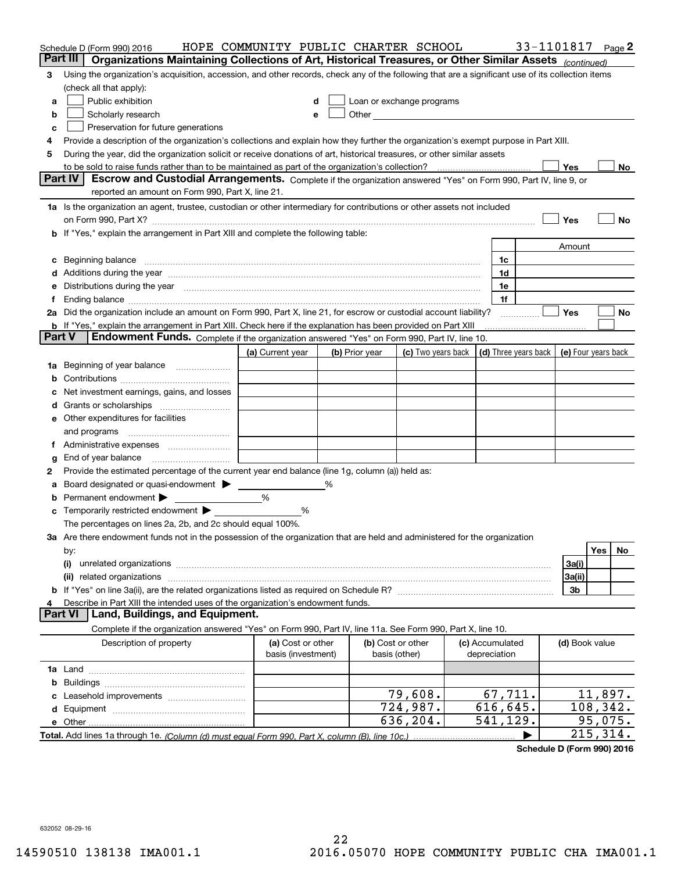|               | Schedule D (Form 990) 2016                                                                                                                                                                                                     | HOPE COMMUNITY PUBLIC CHARTER SCHOOL    |                                                                                                                                                                                                                                |                                                         |                                 | 33-1101817 |                     |                        | Page 2 |
|---------------|--------------------------------------------------------------------------------------------------------------------------------------------------------------------------------------------------------------------------------|-----------------------------------------|--------------------------------------------------------------------------------------------------------------------------------------------------------------------------------------------------------------------------------|---------------------------------------------------------|---------------------------------|------------|---------------------|------------------------|--------|
| Part III      | Organizations Maintaining Collections of Art, Historical Treasures, or Other Similar Assets (continued)                                                                                                                        |                                         |                                                                                                                                                                                                                                |                                                         |                                 |            |                     |                        |        |
| 3             | Using the organization's acquisition, accession, and other records, check any of the following that are a significant use of its collection items                                                                              |                                         |                                                                                                                                                                                                                                |                                                         |                                 |            |                     |                        |        |
|               | (check all that apply):                                                                                                                                                                                                        |                                         |                                                                                                                                                                                                                                |                                                         |                                 |            |                     |                        |        |
| a             | Public exhibition                                                                                                                                                                                                              | d                                       | Loan or exchange programs                                                                                                                                                                                                      |                                                         |                                 |            |                     |                        |        |
| b             | Scholarly research                                                                                                                                                                                                             | e                                       | Other the contract of the contract of the contract of the contract of the contract of the contract of the contract of the contract of the contract of the contract of the contract of the contract of the contract of the cont |                                                         |                                 |            |                     |                        |        |
| с             | Preservation for future generations                                                                                                                                                                                            |                                         |                                                                                                                                                                                                                                |                                                         |                                 |            |                     |                        |        |
| 4             | Provide a description of the organization's collections and explain how they further the organization's exempt purpose in Part XIII.                                                                                           |                                         |                                                                                                                                                                                                                                |                                                         |                                 |            |                     |                        |        |
| 5             | During the year, did the organization solicit or receive donations of art, historical treasures, or other similar assets                                                                                                       |                                         |                                                                                                                                                                                                                                |                                                         |                                 |            |                     |                        |        |
|               |                                                                                                                                                                                                                                |                                         |                                                                                                                                                                                                                                |                                                         |                                 |            | Yes                 |                        | No     |
|               | <b>Part IV</b><br>Escrow and Custodial Arrangements. Complete if the organization answered "Yes" on Form 990, Part IV, line 9, or                                                                                              |                                         |                                                                                                                                                                                                                                |                                                         |                                 |            |                     |                        |        |
|               | reported an amount on Form 990, Part X, line 21.                                                                                                                                                                               |                                         |                                                                                                                                                                                                                                |                                                         |                                 |            |                     |                        |        |
|               | 1a Is the organization an agent, trustee, custodian or other intermediary for contributions or other assets not included                                                                                                       |                                         |                                                                                                                                                                                                                                |                                                         |                                 |            |                     |                        |        |
|               |                                                                                                                                                                                                                                |                                         |                                                                                                                                                                                                                                |                                                         |                                 |            | Yes                 |                        | No     |
| b             | If "Yes," explain the arrangement in Part XIII and complete the following table:                                                                                                                                               |                                         |                                                                                                                                                                                                                                |                                                         |                                 |            |                     |                        |        |
|               |                                                                                                                                                                                                                                |                                         |                                                                                                                                                                                                                                |                                                         |                                 |            | Amount              |                        |        |
| c             | Beginning balance material continuum contracts and a series of the contracts of the contracts of the contracts of the contracts of the contracts of the contracts of the contracts of the contracts of the contracts of the co |                                         |                                                                                                                                                                                                                                |                                                         | 1c                              |            |                     |                        |        |
| d             | Additions during the year manufactured and an account of the year manufactured and account of the year manufactured and account of the state of the state of the state of the state of the state of the state of the state of  |                                         |                                                                                                                                                                                                                                |                                                         | 1d                              |            |                     |                        |        |
| е             | Distributions during the year manufactured and continuum and contact the year manufactured and contact the year                                                                                                                |                                         |                                                                                                                                                                                                                                |                                                         | 1e                              |            |                     |                        |        |
| f             |                                                                                                                                                                                                                                |                                         |                                                                                                                                                                                                                                |                                                         | 1f                              |            |                     |                        |        |
|               | 2a Did the organization include an amount on Form 990, Part X, line 21, for escrow or custodial account liability?                                                                                                             |                                         |                                                                                                                                                                                                                                |                                                         |                                 |            | Yes                 |                        | No     |
| <b>Part V</b> | <b>b</b> If "Yes," explain the arrangement in Part XIII. Check here if the explanation has been provided on Part XIII<br>Endowment Funds. Complete if the organization answered "Yes" on Form 990, Part IV, line 10.           |                                         |                                                                                                                                                                                                                                |                                                         |                                 |            |                     |                        |        |
|               |                                                                                                                                                                                                                                | (a) Current year                        | (b) Prior year                                                                                                                                                                                                                 | (c) Two years back $\vert$ (d) Three years back $\vert$ |                                 |            |                     |                        |        |
|               |                                                                                                                                                                                                                                |                                         |                                                                                                                                                                                                                                |                                                         |                                 |            | (e) Four years back |                        |        |
| 1a            | Beginning of year balance                                                                                                                                                                                                      |                                         |                                                                                                                                                                                                                                |                                                         |                                 |            |                     |                        |        |
| b             | Net investment earnings, gains, and losses                                                                                                                                                                                     |                                         |                                                                                                                                                                                                                                |                                                         |                                 |            |                     |                        |        |
|               |                                                                                                                                                                                                                                |                                         |                                                                                                                                                                                                                                |                                                         |                                 |            |                     |                        |        |
| d             | e Other expenditures for facilities                                                                                                                                                                                            |                                         |                                                                                                                                                                                                                                |                                                         |                                 |            |                     |                        |        |
|               | and programs                                                                                                                                                                                                                   |                                         |                                                                                                                                                                                                                                |                                                         |                                 |            |                     |                        |        |
| 1.            | Administrative expenses <i>manually communication</i>                                                                                                                                                                          |                                         |                                                                                                                                                                                                                                |                                                         |                                 |            |                     |                        |        |
| g             | End of year balance                                                                                                                                                                                                            |                                         |                                                                                                                                                                                                                                |                                                         |                                 |            |                     |                        |        |
| 2             | Provide the estimated percentage of the current year end balance (line 1g, column (a)) held as:                                                                                                                                |                                         |                                                                                                                                                                                                                                |                                                         |                                 |            |                     |                        |        |
| а             | Board designated or quasi-endowment > _____                                                                                                                                                                                    |                                         |                                                                                                                                                                                                                                |                                                         |                                 |            |                     |                        |        |
| b             | Permanent endowment                                                                                                                                                                                                            | %                                       |                                                                                                                                                                                                                                |                                                         |                                 |            |                     |                        |        |
| c             | Temporarily restricted endowment > ________                                                                                                                                                                                    | %                                       |                                                                                                                                                                                                                                |                                                         |                                 |            |                     |                        |        |
|               | The percentages on lines 2a, 2b, and 2c should equal 100%.                                                                                                                                                                     |                                         |                                                                                                                                                                                                                                |                                                         |                                 |            |                     |                        |        |
|               | 3a Are there endowment funds not in the possession of the organization that are held and administered for the organization                                                                                                     |                                         |                                                                                                                                                                                                                                |                                                         |                                 |            |                     |                        |        |
|               | by:                                                                                                                                                                                                                            |                                         |                                                                                                                                                                                                                                |                                                         |                                 |            |                     | Yes                    | No     |
|               | (i)                                                                                                                                                                                                                            |                                         |                                                                                                                                                                                                                                |                                                         |                                 |            | 3a(i)               |                        |        |
|               | (ii) related organizations                                                                                                                                                                                                     |                                         |                                                                                                                                                                                                                                |                                                         |                                 |            | 3a(ii)              |                        |        |
|               |                                                                                                                                                                                                                                |                                         |                                                                                                                                                                                                                                |                                                         |                                 |            | 3b                  |                        |        |
|               | Describe in Part XIII the intended uses of the organization's endowment funds.                                                                                                                                                 |                                         |                                                                                                                                                                                                                                |                                                         |                                 |            |                     |                        |        |
|               | <b>Part VI</b><br>Land, Buildings, and Equipment.                                                                                                                                                                              |                                         |                                                                                                                                                                                                                                |                                                         |                                 |            |                     |                        |        |
|               | Complete if the organization answered "Yes" on Form 990, Part IV, line 11a. See Form 990, Part X, line 10.                                                                                                                     |                                         |                                                                                                                                                                                                                                |                                                         |                                 |            |                     |                        |        |
|               | Description of property                                                                                                                                                                                                        | (a) Cost or other<br>basis (investment) | (b) Cost or other<br>basis (other)                                                                                                                                                                                             |                                                         | (c) Accumulated<br>depreciation |            | (d) Book value      |                        |        |
|               |                                                                                                                                                                                                                                |                                         |                                                                                                                                                                                                                                |                                                         |                                 |            |                     |                        |        |
| b             |                                                                                                                                                                                                                                |                                         |                                                                                                                                                                                                                                |                                                         |                                 |            |                     |                        |        |
|               |                                                                                                                                                                                                                                |                                         |                                                                                                                                                                                                                                | 79,608.                                                 | 67,711.                         |            |                     | 11,897.                |        |
|               |                                                                                                                                                                                                                                |                                         |                                                                                                                                                                                                                                | 724,987.                                                | 616,645.                        |            |                     | 108, 342.              |        |
|               |                                                                                                                                                                                                                                |                                         |                                                                                                                                                                                                                                | 636,204.                                                | 541,129.                        |            |                     | 95,075.                |        |
|               |                                                                                                                                                                                                                                |                                         |                                                                                                                                                                                                                                |                                                         |                                 |            |                     | $\overline{215,314}$ . |        |

**Schedule D (Form 990) 2016**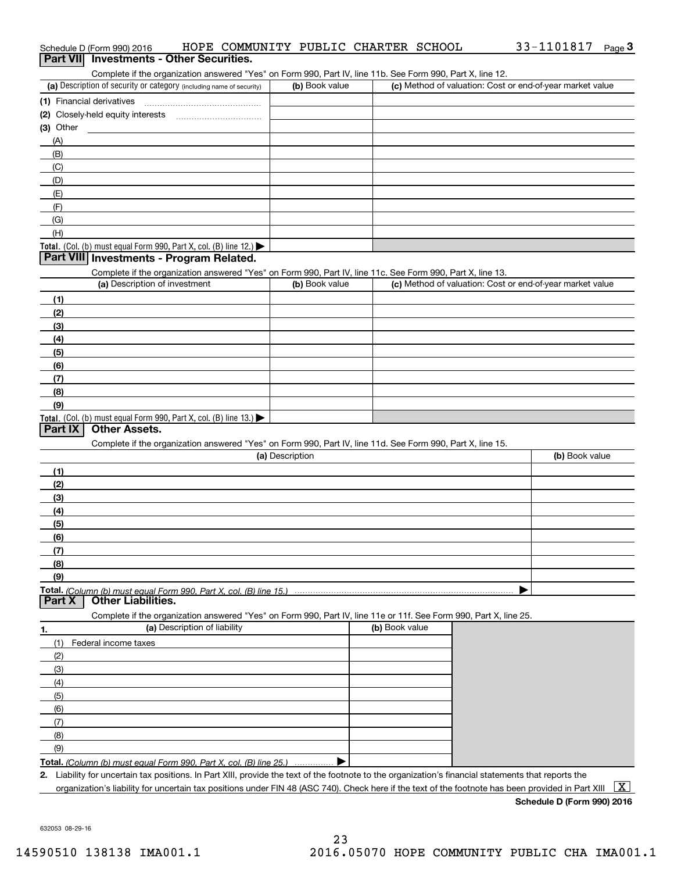|                  | Schedule D (Form 990) 2016                                                                                                                           |                              |                 |                | HOPE COMMUNITY PUBLIC CHARTER SCHOOL | 33-1101817 Page 3                                         |   |
|------------------|------------------------------------------------------------------------------------------------------------------------------------------------------|------------------------------|-----------------|----------------|--------------------------------------|-----------------------------------------------------------|---|
| <b>Part VIII</b> | <b>Investments - Other Securities.</b>                                                                                                               |                              |                 |                |                                      |                                                           |   |
|                  | Complete if the organization answered "Yes" on Form 990, Part IV, line 11b. See Form 990, Part X, line 12.                                           |                              |                 |                |                                      |                                                           |   |
|                  | (a) Description of security or category (including name of security)                                                                                 |                              |                 | (b) Book value |                                      | (c) Method of valuation: Cost or end-of-year market value |   |
|                  | (1) Financial derivatives                                                                                                                            |                              |                 |                |                                      |                                                           |   |
|                  |                                                                                                                                                      |                              |                 |                |                                      |                                                           |   |
| (3) Other        |                                                                                                                                                      |                              |                 |                |                                      |                                                           |   |
|                  |                                                                                                                                                      |                              |                 |                |                                      |                                                           |   |
| (A)              |                                                                                                                                                      |                              |                 |                |                                      |                                                           |   |
| (B)              |                                                                                                                                                      |                              |                 |                |                                      |                                                           |   |
| (C)              |                                                                                                                                                      |                              |                 |                |                                      |                                                           |   |
| (D)              |                                                                                                                                                      |                              |                 |                |                                      |                                                           |   |
| (E)              |                                                                                                                                                      |                              |                 |                |                                      |                                                           |   |
| (F)              |                                                                                                                                                      |                              |                 |                |                                      |                                                           |   |
| (G)              |                                                                                                                                                      |                              |                 |                |                                      |                                                           |   |
| (H)              |                                                                                                                                                      |                              |                 |                |                                      |                                                           |   |
|                  | Total. (Col. (b) must equal Form 990, Part X, col. (B) line 12.)                                                                                     |                              |                 |                |                                      |                                                           |   |
|                  | Part VIII Investments - Program Related.                                                                                                             |                              |                 |                |                                      |                                                           |   |
|                  | Complete if the organization answered "Yes" on Form 990, Part IV, line 11c. See Form 990, Part X, line 13.                                           |                              |                 |                |                                      |                                                           |   |
|                  | (a) Description of investment                                                                                                                        |                              |                 | (b) Book value |                                      | (c) Method of valuation: Cost or end-of-year market value |   |
| (1)              |                                                                                                                                                      |                              |                 |                |                                      |                                                           |   |
| (2)              |                                                                                                                                                      |                              |                 |                |                                      |                                                           |   |
| (3)              |                                                                                                                                                      |                              |                 |                |                                      |                                                           |   |
| (4)              |                                                                                                                                                      |                              |                 |                |                                      |                                                           |   |
| (5)              |                                                                                                                                                      |                              |                 |                |                                      |                                                           |   |
| (6)              |                                                                                                                                                      |                              |                 |                |                                      |                                                           |   |
| (7)              |                                                                                                                                                      |                              |                 |                |                                      |                                                           |   |
|                  |                                                                                                                                                      |                              |                 |                |                                      |                                                           |   |
| (8)              |                                                                                                                                                      |                              |                 |                |                                      |                                                           |   |
| (9)              |                                                                                                                                                      |                              |                 |                |                                      |                                                           |   |
| Part $ X $       | Total. (Col. (b) must equal Form 990, Part X, col. (B) line 13.)<br><b>Other Assets.</b>                                                             |                              |                 |                |                                      |                                                           |   |
|                  |                                                                                                                                                      |                              |                 |                |                                      |                                                           |   |
|                  | Complete if the organization answered "Yes" on Form 990, Part IV, line 11d. See Form 990, Part X, line 15.                                           |                              |                 |                |                                      |                                                           |   |
|                  |                                                                                                                                                      |                              | (a) Description |                |                                      | (b) Book value                                            |   |
| (1)              |                                                                                                                                                      |                              |                 |                |                                      |                                                           |   |
| (2)              |                                                                                                                                                      |                              |                 |                |                                      |                                                           |   |
| (3)              |                                                                                                                                                      |                              |                 |                |                                      |                                                           |   |
| (4)              |                                                                                                                                                      |                              |                 |                |                                      |                                                           |   |
| (5)              |                                                                                                                                                      |                              |                 |                |                                      |                                                           |   |
| (6)              |                                                                                                                                                      |                              |                 |                |                                      |                                                           |   |
| (7)              |                                                                                                                                                      |                              |                 |                |                                      |                                                           |   |
| (8)              |                                                                                                                                                      |                              |                 |                |                                      |                                                           |   |
| (9)              |                                                                                                                                                      |                              |                 |                |                                      |                                                           |   |
|                  |                                                                                                                                                      |                              |                 |                |                                      |                                                           |   |
| Part X           | <b>Other Liabilities.</b>                                                                                                                            |                              |                 |                |                                      |                                                           |   |
|                  | Complete if the organization answered "Yes" on Form 990, Part IV, line 11e or 11f. See Form 990, Part X, line 25.                                    |                              |                 |                |                                      |                                                           |   |
|                  |                                                                                                                                                      | (a) Description of liability |                 |                | (b) Book value                       |                                                           |   |
| 1.               |                                                                                                                                                      |                              |                 |                |                                      |                                                           |   |
| (1)              | Federal income taxes                                                                                                                                 |                              |                 |                |                                      |                                                           |   |
| (2)              |                                                                                                                                                      |                              |                 |                |                                      |                                                           |   |
| (3)              |                                                                                                                                                      |                              |                 |                |                                      |                                                           |   |
| (4)              |                                                                                                                                                      |                              |                 |                |                                      |                                                           |   |
| (5)              |                                                                                                                                                      |                              |                 |                |                                      |                                                           |   |
| (6)              |                                                                                                                                                      |                              |                 |                |                                      |                                                           |   |
| (7)              |                                                                                                                                                      |                              |                 |                |                                      |                                                           |   |
| (8)              |                                                                                                                                                      |                              |                 |                |                                      |                                                           |   |
| (9)              |                                                                                                                                                      |                              |                 |                |                                      |                                                           |   |
|                  | Total. (Column (b) must equal Form 990. Part X, col. (B) line 25.)                                                                                   |                              |                 |                |                                      |                                                           |   |
|                  | 2. Liability for uncertain tax positions. In Part XIII, provide the text of the footnote to the organization's financial statements that reports the |                              |                 |                |                                      |                                                           |   |
|                  | organization's liability for uncertain tax positions under FIN 48 (ASC 740). Check here if the text of the footnote has been provided in Part XIII   |                              |                 |                |                                      |                                                           | X |

**Schedule D (Form 990) 2016**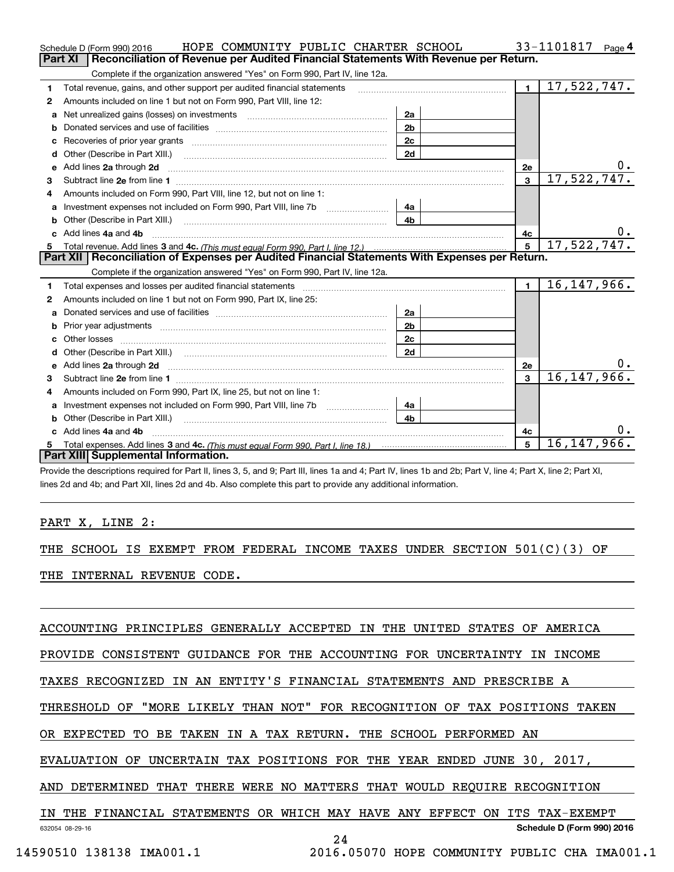|    | HOPE COMMUNITY PUBLIC CHARTER SCHOOL<br>Schedule D (Form 990) 2016                                                                                                                                                             |                |                | 33-1101817<br>Page 4 |
|----|--------------------------------------------------------------------------------------------------------------------------------------------------------------------------------------------------------------------------------|----------------|----------------|----------------------|
|    | Reconciliation of Revenue per Audited Financial Statements With Revenue per Return.<br>Part XI                                                                                                                                 |                |                |                      |
|    | Complete if the organization answered "Yes" on Form 990, Part IV, line 12a.                                                                                                                                                    |                |                |                      |
| 1  | Total revenue, gains, and other support per audited financial statements                                                                                                                                                       |                | $\blacksquare$ | 17,522,747.          |
| 2  | Amounts included on line 1 but not on Form 990, Part VIII, line 12:                                                                                                                                                            |                |                |                      |
| a  |                                                                                                                                                                                                                                | 2a             |                |                      |
|    |                                                                                                                                                                                                                                | 2 <sub>b</sub> |                |                      |
|    | Recoveries of prior year grants [11] matter contracts and prior year grants [11] matter contracts and prior year grants and all the contracts and all the contracts of prior year grants and all the contracts of the contract | 2c             |                |                      |
| d  | Other (Describe in Part XIII.) <b>Construction Contract Construction</b> Chern Construction Construction Construction                                                                                                          | 2d             |                |                      |
| е  | Add lines 2a through 2d                                                                                                                                                                                                        |                | <b>2e</b>      | $0$ .                |
| з  |                                                                                                                                                                                                                                |                | $\mathbf{3}$   | 17,522,747.          |
| 4  | Amounts included on Form 990, Part VIII, line 12, but not on line 1:                                                                                                                                                           |                |                |                      |
|    |                                                                                                                                                                                                                                | 4a             |                |                      |
| b  |                                                                                                                                                                                                                                | 4 <sub>b</sub> |                |                      |
| c. | Add lines 4a and 4b                                                                                                                                                                                                            |                | 4с             | 0.                   |
|    |                                                                                                                                                                                                                                |                | 5              | 17,522,747.          |
|    |                                                                                                                                                                                                                                |                |                |                      |
|    | Part XII   Reconciliation of Expenses per Audited Financial Statements With Expenses per Return.                                                                                                                               |                |                |                      |
|    | Complete if the organization answered "Yes" on Form 990, Part IV, line 12a.                                                                                                                                                    |                |                |                      |
| 1  |                                                                                                                                                                                                                                |                | $\blacksquare$ | 16, 147, 966.        |
| 2  | Amounts included on line 1 but not on Form 990, Part IX, line 25:                                                                                                                                                              |                |                |                      |
| a  |                                                                                                                                                                                                                                | 2a             |                |                      |
| b  |                                                                                                                                                                                                                                | 2 <sub>b</sub> |                |                      |
| c  |                                                                                                                                                                                                                                | 2c             |                |                      |
| d  |                                                                                                                                                                                                                                | 2d             |                |                      |
|    |                                                                                                                                                                                                                                |                | 2e             | О.                   |
| з  |                                                                                                                                                                                                                                |                | 3              | 16, 147, 966.        |
| 4  | Amounts included on Form 990, Part IX, line 25, but not on line 1:                                                                                                                                                             |                |                |                      |
| a  |                                                                                                                                                                                                                                | 4a             |                |                      |
| b  | Other (Describe in Part XIII.)                                                                                                                                                                                                 | 4 <sub>b</sub> |                |                      |
| c. | Add lines 4a and 4b                                                                                                                                                                                                            |                | 4c             |                      |
|    | Part XIII Supplemental Information.                                                                                                                                                                                            |                | 5              | 16, 147, 966.        |

Provide the descriptions required for Part II, lines 3, 5, and 9; Part III, lines 1a and 4; Part IV, lines 1b and 2b; Part V, line 4; Part X, line 2; Part XI, lines 2d and 4b; and Part XII, lines 2d and 4b. Also complete this part to provide any additional information.

## PART X, LINE 2:

THE SCHOOL IS EXEMPT FROM FEDERAL INCOME TAXES UNDER SECTION 501(C)(3) OF

THE INTERNAL REVENUE CODE.

ACCOUNTING PRINCIPLES GENERALLY ACCEPTED IN THE UNITED STATES OF AMERICA

PROVIDE CONSISTENT GUIDANCE FOR THE ACCOUNTING FOR UNCERTAINTY IN INCOME

TAXES RECOGNIZED IN AN ENTITY'S FINANCIAL STATEMENTS AND PRESCRIBE A

THRESHOLD OF "MORE LIKELY THAN NOT" FOR RECOGNITION OF TAX POSITIONS TAKEN

OR EXPECTED TO BE TAKEN IN A TAX RETURN. THE SCHOOL PERFORMED AN

EVALUATION OF UNCERTAIN TAX POSITIONS FOR THE YEAR ENDED JUNE 30, 2017,

AND DETERMINED THAT THERE WERE NO MATTERS THAT WOULD REQUIRE RECOGNITION

632054 08-29-16 **Schedule D (Form 990) 2016** IN THE FINANCIAL STATEMENTS OR WHICH MAY HAVE ANY EFFECT ON ITS TAX-EXEMPT

24

14590510 138138 IMA001.1 2016.05070 HOPE COMMUNITY PUBLIC CHA IMA001.1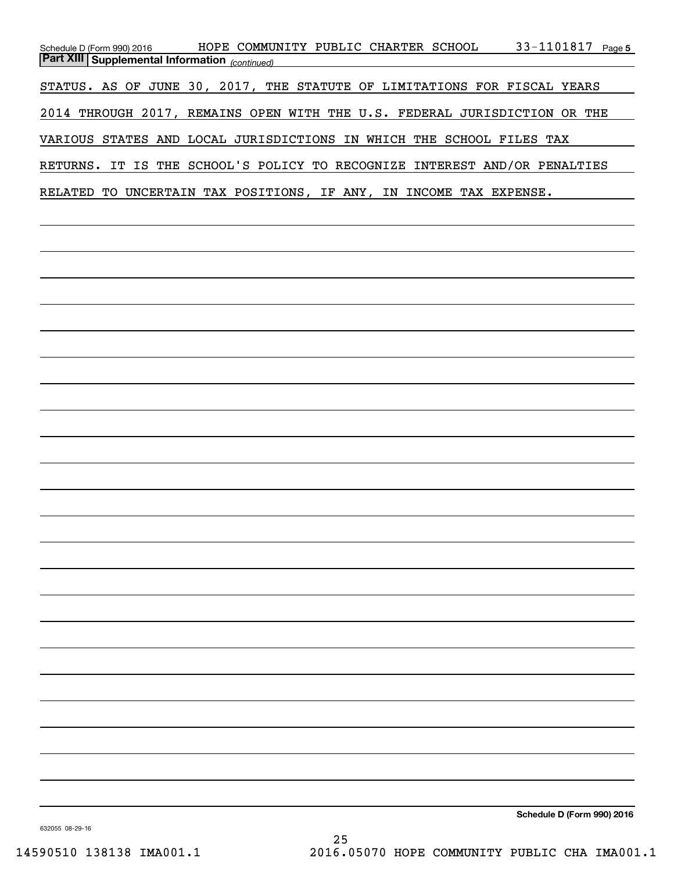| Schedule D (Form 990) 2016<br><b>Part XIII Supplemental Information</b> (continued) | HOPE COMMUNITY PUBLIC CHARTER SCHOOL |  | 33-1101817 Page 5          |
|-------------------------------------------------------------------------------------|--------------------------------------|--|----------------------------|
|                                                                                     |                                      |  |                            |
| STATUS. AS OF JUNE 30, 2017, THE STATUTE OF LIMITATIONS FOR FISCAL YEARS            |                                      |  |                            |
| 2014 THROUGH 2017, REMAINS OPEN WITH THE U.S. FEDERAL JURISDICTION OR THE           |                                      |  |                            |
| VARIOUS STATES AND LOCAL JURISDICTIONS IN WHICH THE SCHOOL FILES TAX                |                                      |  |                            |
| RETURNS. IT IS THE SCHOOL'S POLICY TO RECOGNIZE INTEREST AND/OR PENALTIES           |                                      |  |                            |
| RELATED TO UNCERTAIN TAX POSITIONS, IF ANY, IN INCOME TAX EXPENSE.                  |                                      |  |                            |
|                                                                                     |                                      |  |                            |
|                                                                                     |                                      |  |                            |
|                                                                                     |                                      |  |                            |
|                                                                                     |                                      |  |                            |
|                                                                                     |                                      |  |                            |
|                                                                                     |                                      |  |                            |
|                                                                                     |                                      |  |                            |
|                                                                                     |                                      |  |                            |
|                                                                                     |                                      |  |                            |
|                                                                                     |                                      |  |                            |
|                                                                                     |                                      |  |                            |
|                                                                                     |                                      |  |                            |
|                                                                                     |                                      |  |                            |
|                                                                                     |                                      |  |                            |
|                                                                                     |                                      |  |                            |
|                                                                                     |                                      |  |                            |
|                                                                                     |                                      |  |                            |
|                                                                                     |                                      |  |                            |
|                                                                                     |                                      |  |                            |
|                                                                                     |                                      |  |                            |
|                                                                                     |                                      |  |                            |
|                                                                                     |                                      |  |                            |
|                                                                                     |                                      |  |                            |
|                                                                                     |                                      |  |                            |
|                                                                                     |                                      |  |                            |
|                                                                                     |                                      |  |                            |
|                                                                                     |                                      |  |                            |
| 632055 08-29-16                                                                     |                                      |  | Schedule D (Form 990) 2016 |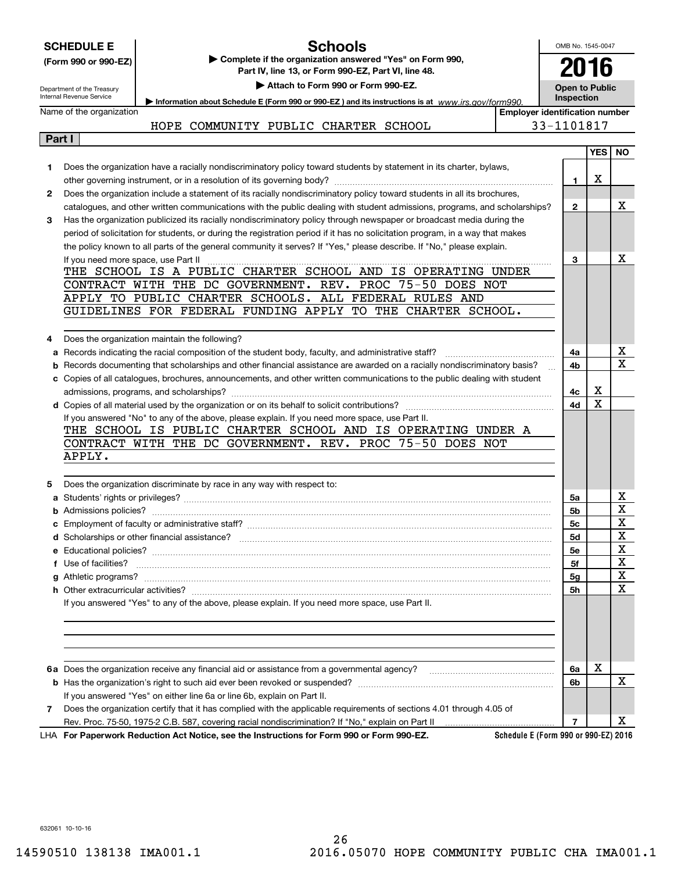|              | <b>Schools</b><br><b>SCHEDULE E</b>                                                                                                                                    | OMB No. 1545-0047                   |            |     |  |
|--------------|------------------------------------------------------------------------------------------------------------------------------------------------------------------------|-------------------------------------|------------|-----|--|
|              | Complete if the organization answered "Yes" on Form 990,<br>(Form 990 or 990-EZ)                                                                                       |                                     | 2016       |     |  |
|              | Part IV, line 13, or Form 990-EZ, Part VI, line 48.                                                                                                                    |                                     |            |     |  |
|              | Attach to Form 990 or Form 990-EZ.<br>Department of the Treasury<br>Internal Revenue Service                                                                           | <b>Open to Public</b><br>Inspection |            |     |  |
|              | Information about Schedule E (Form 990 or 990-EZ) and its instructions is at www.jrs.gov/form990.<br>Name of the organization<br><b>Employer identification number</b> |                                     |            |     |  |
|              | HOPE COMMUNITY PUBLIC CHARTER SCHOOL                                                                                                                                   | 33-1101817                          |            |     |  |
| Part I       |                                                                                                                                                                        |                                     |            |     |  |
|              |                                                                                                                                                                        |                                     | <b>YES</b> | NO. |  |
| 1            | Does the organization have a racially nondiscriminatory policy toward students by statement in its charter, bylaws,                                                    |                                     |            |     |  |
|              |                                                                                                                                                                        | 1.                                  | х          |     |  |
| $\mathbf{2}$ | Does the organization include a statement of its racially nondiscriminatory policy toward students in all its brochures,                                               |                                     |            |     |  |
|              | catalogues, and other written communications with the public dealing with student admissions, programs, and scholarships?                                              | $\mathbf{2}$                        |            | x   |  |
| 3            | Has the organization publicized its racially nondiscriminatory policy through newspaper or broadcast media during the                                                  |                                     |            |     |  |
|              | period of solicitation for students, or during the registration period if it has no solicitation program, in a way that makes                                          |                                     |            |     |  |
|              | the policy known to all parts of the general community it serves? If "Yes," please describe. If "No," please explain.                                                  |                                     |            |     |  |
|              | If you need more space, use Part II                                                                                                                                    | 3                                   |            | х   |  |
|              | THE SCHOOL IS A PUBLIC CHARTER SCHOOL AND IS OPERATING UNDER                                                                                                           |                                     |            |     |  |
|              | CONTRACT WITH THE DC GOVERNMENT. REV. PROC 75-50 DOES NOT                                                                                                              |                                     |            |     |  |
|              | APPLY TO PUBLIC CHARTER SCHOOLS. ALL FEDERAL RULES AND                                                                                                                 |                                     |            |     |  |
|              | GUIDELINES FOR FEDERAL FUNDING APPLY TO THE CHARTER SCHOOL.                                                                                                            |                                     |            |     |  |
|              |                                                                                                                                                                        |                                     |            |     |  |
| 4            | Does the organization maintain the following?                                                                                                                          |                                     |            |     |  |
| а            | Records indicating the racial composition of the student body, faculty, and administrative staff?                                                                      | 4a                                  |            | x   |  |
| b            | Records documenting that scholarships and other financial assistance are awarded on a racially nondiscriminatory basis?                                                | 4b                                  |            | X   |  |
|              | c Copies of all catalogues, brochures, announcements, and other written communications to the public dealing with student                                              |                                     |            |     |  |
|              |                                                                                                                                                                        | 4с                                  | х          |     |  |
|              |                                                                                                                                                                        | 4d                                  | x          |     |  |
|              | If you answered "No" to any of the above, please explain. If you need more space, use Part II.                                                                         |                                     |            |     |  |
|              | THE SCHOOL IS PUBLIC CHARTER SCHOOL AND IS OPERATING UNDER A                                                                                                           |                                     |            |     |  |
|              | CONTRACT WITH THE DC GOVERNMENT. REV. PROC 75-50 DOES NOT<br>APPLY.                                                                                                    |                                     |            |     |  |
|              |                                                                                                                                                                        |                                     |            |     |  |
| 5            | Does the organization discriminate by race in any way with respect to:                                                                                                 |                                     |            |     |  |
|              |                                                                                                                                                                        | 5a                                  |            | x   |  |
|              |                                                                                                                                                                        | 5b                                  |            | X   |  |
|              |                                                                                                                                                                        | 5c                                  |            | X   |  |
|              |                                                                                                                                                                        | 5d                                  |            | x   |  |
|              |                                                                                                                                                                        | 5е                                  |            | x   |  |
|              | f Use of facilities?                                                                                                                                                   | 5f                                  |            | x   |  |
|              |                                                                                                                                                                        | 5g                                  |            | X   |  |
|              |                                                                                                                                                                        | <b>5h</b>                           |            | x   |  |
|              | If you answered "Yes" to any of the above, please explain. If you need more space, use Part II.                                                                        |                                     |            |     |  |
|              |                                                                                                                                                                        |                                     |            |     |  |
|              |                                                                                                                                                                        |                                     |            |     |  |
|              |                                                                                                                                                                        |                                     |            |     |  |
|              |                                                                                                                                                                        |                                     |            |     |  |
|              |                                                                                                                                                                        | 6a                                  | Х          |     |  |
|              |                                                                                                                                                                        | 6b                                  |            | x   |  |
|              | If you answered "Yes" on either line 6a or line 6b, explain on Part II.                                                                                                |                                     |            |     |  |
| 7            | Does the organization certify that it has complied with the applicable requirements of sections 4.01 through 4.05 of                                                   |                                     |            |     |  |
|              |                                                                                                                                                                        | 7                                   |            | x.  |  |
|              | Schedule E (Form 990 or 990-EZ) 2016<br>LHA For Paperwork Reduction Act Notice, see the Instructions for Form 990 or Form 990-EZ.                                      |                                     |            |     |  |

632061 10-10-16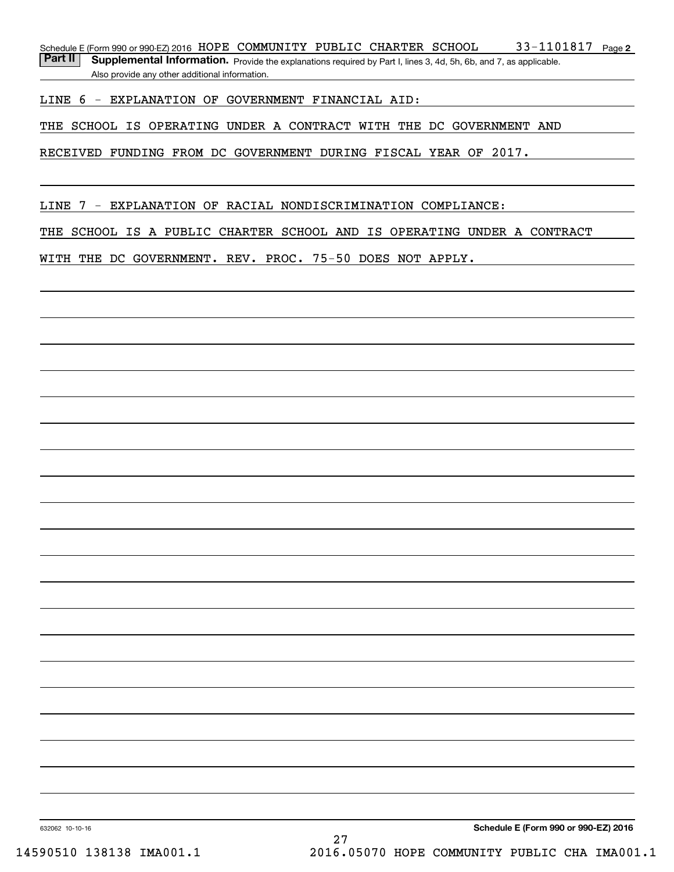33-1101817 Page 2 Schedule E (Form 990 or 990-EZ) 2016  $\,$  HOPE  $\,$  COMMUNITY <code>PUBLIC</code>  $\,$  CHARTER  $\,$  SCHOOL  $\,$   $\,$   $\,$   $\,$  33  $1101817$   $\,$   $\,$   $\,$  Page

Part II | Supplemental Information. Provide the explanations required by Part I, lines 3, 4d, 5h, 6b, and 7, as applicable. Also provide any other additional information.

LINE 6 - EXPLANATION OF GOVERNMENT FINANCIAL AID:

THE SCHOOL IS OPERATING UNDER A CONTRACT WITH THE DC GOVERNMENT AND

RECEIVED FUNDING FROM DC GOVERNMENT DURING FISCAL YEAR OF 2017.

LINE 7 - EXPLANATION OF RACIAL NONDISCRIMINATION COMPLIANCE:

THE SCHOOL IS A PUBLIC CHARTER SCHOOL AND IS OPERATING UNDER A CONTRACT

WITH THE DC GOVERNMENT. REV. PROC. 75-50 DOES NOT APPLY.

632062 10-10-16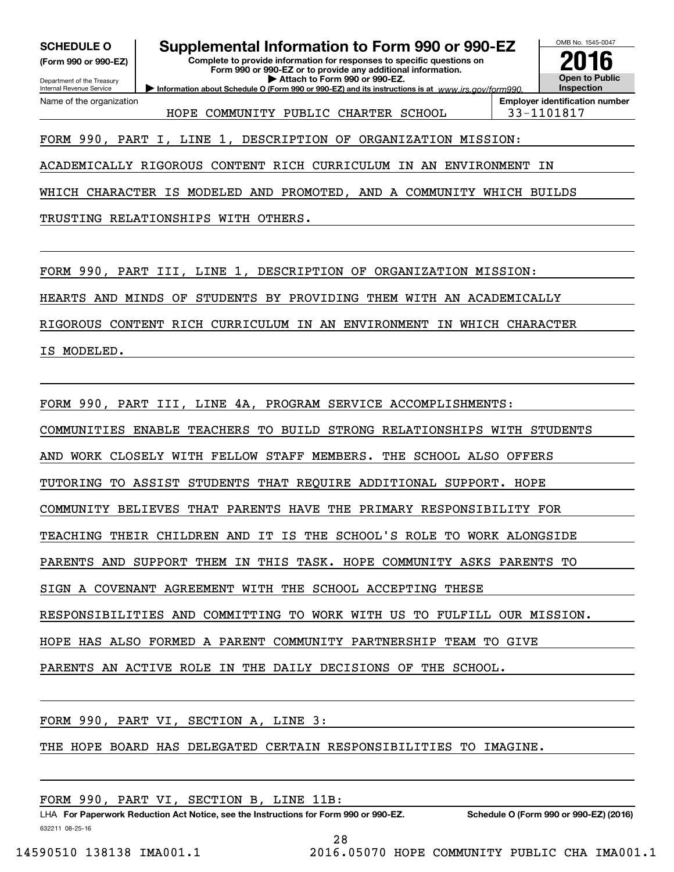**(Form 990 or 990-EZ)**

### Department of the Treasury Internal Revenue Service Name of the organization

**SCHEDULE O Supplemental Information to Form 990 or 990-EZ**

**Complete to provide information for responses to specific questions on Form 990 or 990-EZ or to provide any additional information. | Attach to Form 990 or 990-EZ.**

**Information about Schedule O (Form 990 or 990-EZ) and its instructions is at**  $www.irs.gov/form990.$ 

HOPE COMMUNITY PUBLIC CHARTER SCHOOL 33-1101817

**Employer identification number**

OMB No. 1545-0047

**Open to Public Inspection**

**2016**

FORM 990, PART I, LINE 1, DESCRIPTION OF ORGANIZATION MISSION:

ACADEMICALLY RIGOROUS CONTENT RICH CURRICULUM IN AN ENVIRONMENT IN

WHICH CHARACTER IS MODELED AND PROMOTED, AND A COMMUNITY WHICH BUILDS

TRUSTING RELATIONSHIPS WITH OTHERS.

FORM 990, PART III, LINE 1, DESCRIPTION OF ORGANIZATION MISSION:

HEARTS AND MINDS OF STUDENTS BY PROVIDING THEM WITH AN ACADEMICALLY

RIGOROUS CONTENT RICH CURRICULUM IN AN ENVIRONMENT IN WHICH CHARACTER

IS MODELED.

FORM 990, PART III, LINE 4A, PROGRAM SERVICE ACCOMPLISHMENTS:

COMMUNITIES ENABLE TEACHERS TO BUILD STRONG RELATIONSHIPS WITH STUDENTS

AND WORK CLOSELY WITH FELLOW STAFF MEMBERS. THE SCHOOL ALSO OFFERS

TUTORING TO ASSIST STUDENTS THAT REQUIRE ADDITIONAL SUPPORT. HOPE

COMMUNITY BELIEVES THAT PARENTS HAVE THE PRIMARY RESPONSIBILITY FOR

TEACHING THEIR CHILDREN AND IT IS THE SCHOOL'S ROLE TO WORK ALONGSIDE

PARENTS AND SUPPORT THEM IN THIS TASK. HOPE COMMUNITY ASKS PARENTS TO

SIGN A COVENANT AGREEMENT WITH THE SCHOOL ACCEPTING THESE

RESPONSIBILITIES AND COMMITTING TO WORK WITH US TO FULFILL OUR MISSION.

HOPE HAS ALSO FORMED A PARENT COMMUNITY PARTNERSHIP TEAM TO GIVE

PARENTS AN ACTIVE ROLE IN THE DAILY DECISIONS OF THE SCHOOL.

FORM 990, PART VI, SECTION A, LINE 3:

THE HOPE BOARD HAS DELEGATED CERTAIN RESPONSIBILITIES TO IMAGINE.

FORM 990, PART VI, SECTION B, LINE 11B:

632211 08-25-16 LHA For Paperwork Reduction Act Notice, see the Instructions for Form 990 or 990-EZ. Schedule O (Form 990 or 990-EZ) (2016)

28